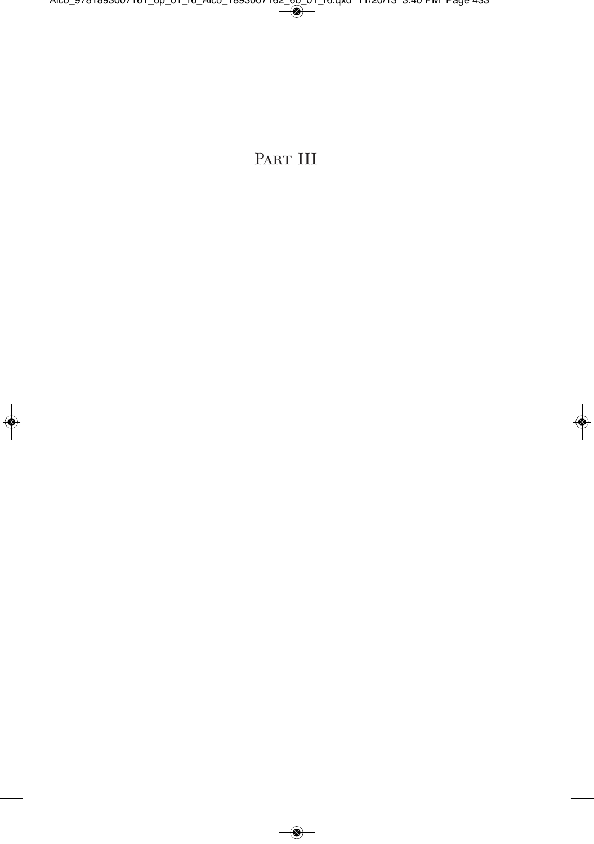## PART III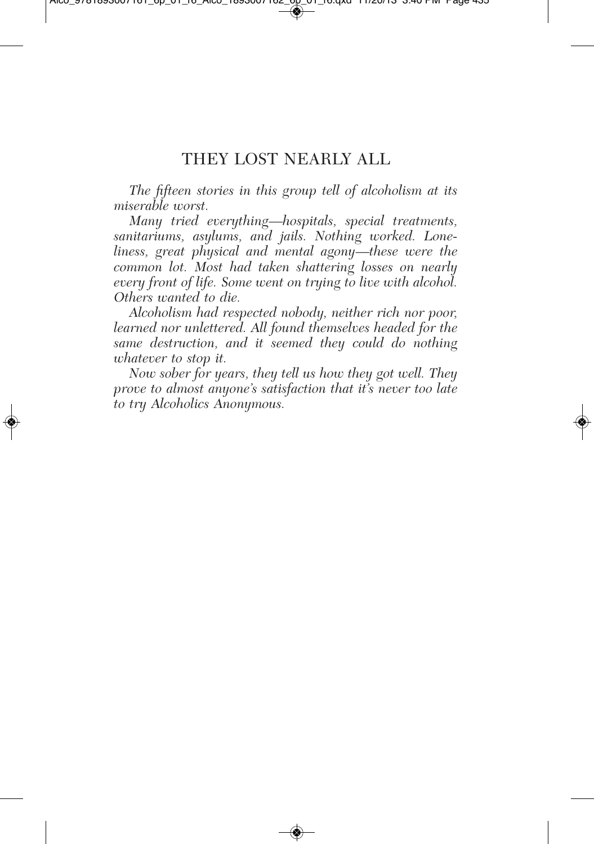## THEY LOST NEARLY ALL

*The fifteen stories in this group tell of alcoholism at its miserable worst.*

*Many tried everything—hospitals, special treatments, sanitariums, asylums, and jails. Nothing worked. Lone liness, great physical and mental agony—these were the common lot. Most had taken shattering losses on nearly every front of life. Some went on trying to live with alcohol. Others wanted to die.*

*Alcoholism had respected nobody, neither rich nor poor, learned nor unlettered. All found themselves headed for the same destruction, and it seemed they could do nothing whatever to stop it.*

*Now sober for years, they tell us how they got well. They prove to almost anyone's satisfaction that it's never too late to try Alcoholics Anonymous.*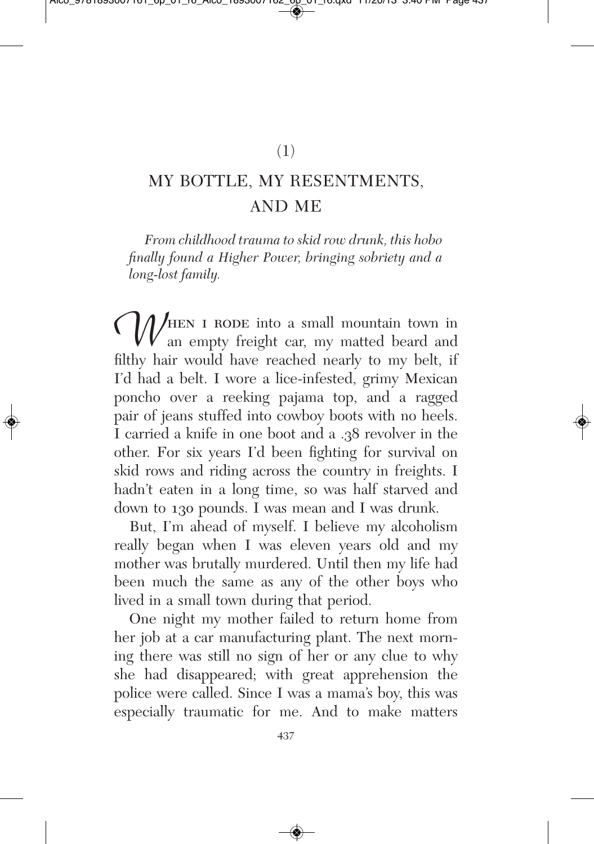# MY BOTTLE, MY RESENTMENTS, AND ME

(1)

*From childhood trauma to skid row drunk, this hobo finally found a Higher Power, bringing sobriety and a long-lost family.*

*WHEN I RODE* into a small mountain town in an empty freight car, my matted beard and filthy hair would have reached nearly to my belt, if I'd had a belt. I wore a lice-infested, grimy Mexican poncho over a reeking pajama top, and a ragged pair of jeans stuffed into cowboy boots with no heels. I carried a knife in one boot and a .38 revolver in the other. For six years I'd been fighting for survival on skid rows and riding across the country in freights. I hadn't eaten in a long time, so was half starved and down to 130 pounds. I was mean and I was drunk.

But, I'm ahead of myself. I believe my alcoholism really began when I was eleven years old and my mother was brutally murdered. Until then my life had been much the same as any of the other boys who lived in a small town during that period.

One night my mother failed to return home from her job at a car manufacturing plant. The next morning there was still no sign of her or any clue to why she had disappeared; with great apprehension the police were called. Since I was a mama's boy, this was especially traumatic for me. And to make matters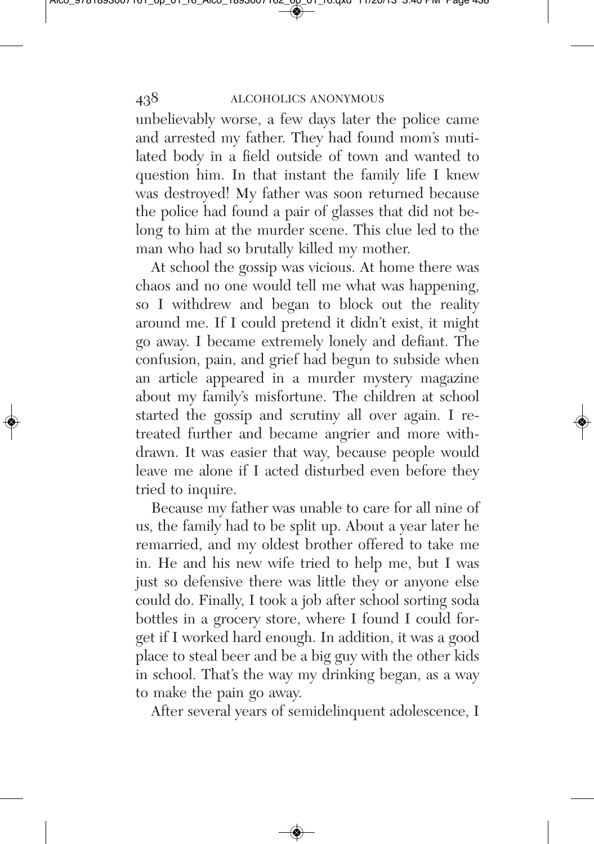unbelievably worse, a few days later the police came and arrested my father. They had found mom's mutilated body in a field outside of town and wanted to question him. In that instant the family life I knew was destroyed! My father was soon returned because the police had found a pair of glasses that did not belong to him at the murder scene. This clue led to the man who had so brutally killed my mother.

At school the gossip was vicious. At home there was chaos and no one would tell me what was happening, so I withdrew and began to block out the reality around me. If I could pretend it didn't exist, it might go away. I became extremely lonely and defiant. The confusion, pain, and grief had begun to subside when an article appeared in a murder mystery magazine about my family's misfortune. The children at school started the gossip and scrutiny all over again. I retreated further and became angrier and more withdrawn. It was easier that way, because people would leave me alone if I acted disturbed even before they tried to inquire.

Because my father was unable to care for all nine of us, the family had to be split up. About a year later he remarried, and my oldest brother offered to take me in. He and his new wife tried to help me, but I was just so defensive there was little they or anyone else could do. Finally, I took a job after school sorting soda bottles in a grocery store, where I found I could forget if I worked hard enough. In addition, it was a good place to steal beer and be a big guy with the other kids in school. That's the way my drinking began, as a way to make the pain go away.

After several years of semidelinquent adolescence, I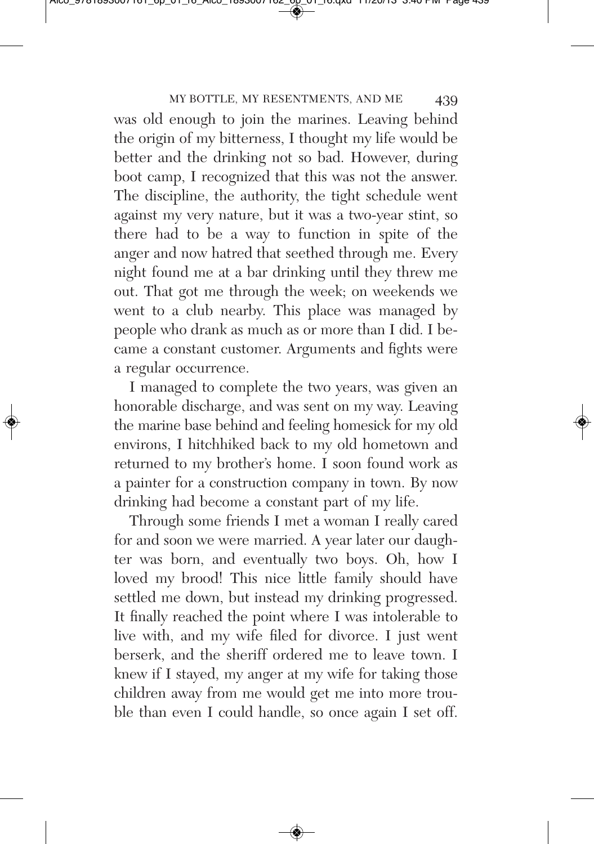was old enough to join the marines. Leaving behind the origin of my bitterness, I thought my life would be better and the drinking not so bad. However, during boot camp, I recognized that this was not the answer. The discipline, the authority, the tight schedule went against my very nature, but it was a two-year stint, so there had to be a way to function in spite of the anger and now hatred that seethed through me. Every night found me at a bar drinking until they threw me out. That got me through the week; on weekends we went to a club nearby. This place was managed by people who drank as much as or more than I did. I became a constant customer. Arguments and fights were a regular occurrence.

I managed to complete the two years, was given an honorable discharge, and was sent on my way. Leaving the marine base behind and feeling homesick for my old environs, I hitchhiked back to my old hometown and returned to my brother's home. I soon found work as a painter for a construction company in town. By now drinking had become a constant part of my life.

Through some friends I met a woman I really cared for and soon we were married. A year later our daughter was born, and eventually two boys. Oh, how I loved my brood! This nice little family should have settled me down, but instead my drinking progressed. It finally reached the point where I was intolerable to live with, and my wife filed for divorce. I just went berserk, and the sheriff ordered me to leave town. I knew if I stayed, my anger at my wife for taking those children away from me would get me into more trouble than even I could handle, so once again I set off.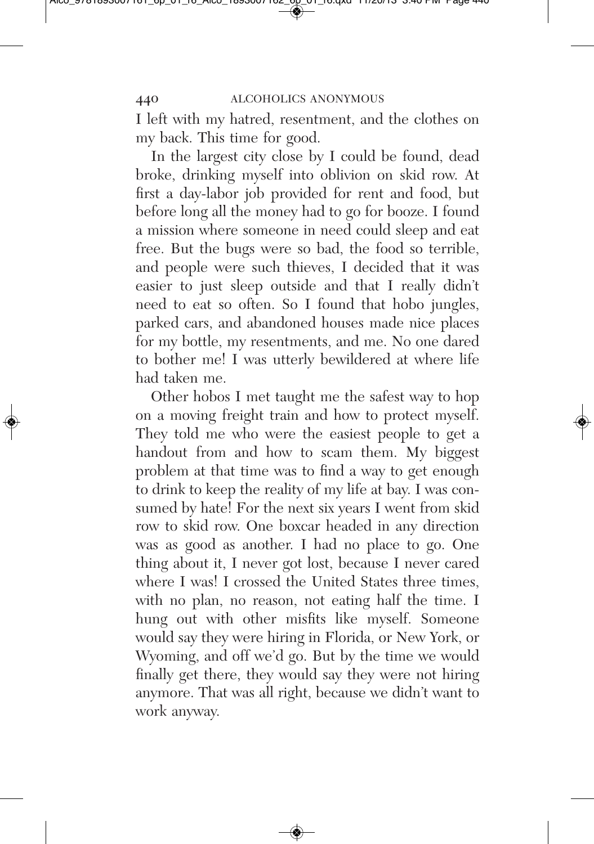I left with my hatred, resentment, and the clothes on my back. This time for good.

In the largest city close by I could be found, dead broke, drinking myself into oblivion on skid row. At first a day-labor job provided for rent and food, but before long all the money had to go for booze. I found a mission where someone in need could sleep and eat free. But the bugs were so bad, the food so terrible, and people were such thieves, I decided that it was easier to just sleep outside and that I really didn't need to eat so often. So I found that hobo jungles, parked cars, and abandoned houses made nice places for my bottle, my resentments, and me. No one dared to bother me! I was utterly bewildered at where life had taken me.

Other hobos I met taught me the safest way to hop on a moving freight train and how to protect myself. They told me who were the easiest people to get a handout from and how to scam them. My biggest problem at that time was to find a way to get enough to drink to keep the reality of my life at bay. I was consumed by hate! For the next six years I went from skid row to skid row. One boxcar headed in any direction was as good as another. I had no place to go. One thing about it, I never got lost, because I never cared where I was! I crossed the United States three times, with no plan, no reason, not eating half the time. I hung out with other misfits like myself. Someone would say they were hiring in Florida, or New York, or Wyoming, and off we'd go. But by the time we would finally get there, they would say they were not hiring anymore. That was all right, because we didn't want to work anyway.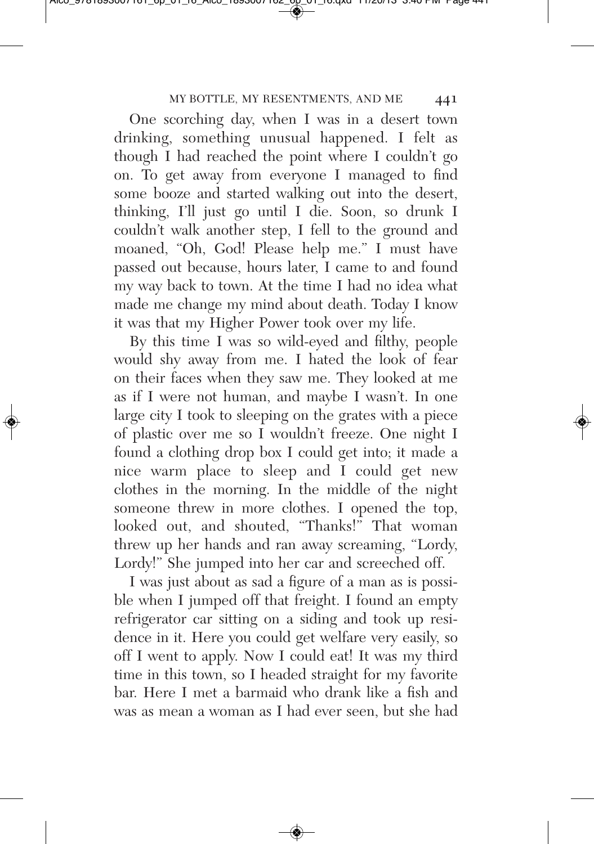One scorching day, when I was in a desert town drinking, something unusual happened. I felt as though I had reached the point where I couldn't go on. To get away from everyone I managed to find some booze and started walking out into the desert, thinking, I'll just go until I die. Soon, so drunk I couldn't walk another step, I fell to the ground and moaned, "Oh, God! Please help me." I must have passed out because, hours later, I came to and found my way back to town. At the time I had no idea what made me change my mind about death. Today I know it was that my Higher Power took over my life.

By this time I was so wild-eyed and filthy, people would shy away from me. I hated the look of fear on their faces when they saw me. They looked at me as if I were not human, and maybe I wasn't. In one large city I took to sleeping on the grates with a piece of plastic over me so I wouldn't freeze. One night I found a clothing drop box I could get into; it made a nice warm place to sleep and I could get new clothes in the morning. In the middle of the night someone threw in more clothes. I opened the top, looked out, and shouted, "Thanks!" That woman threw up her hands and ran away screaming, "Lordy, Lordy!" She jumped into her car and screeched off.

I was just about as sad a figure of a man as is possible when I jumped off that freight. I found an empty refrigerator car sitting on a siding and took up residence in it. Here you could get welfare very easily, so off I went to apply. Now I could eat! It was my third time in this town, so I headed straight for my favorite bar. Here I met a barmaid who drank like a fish and was as mean a woman as I had ever seen, but she had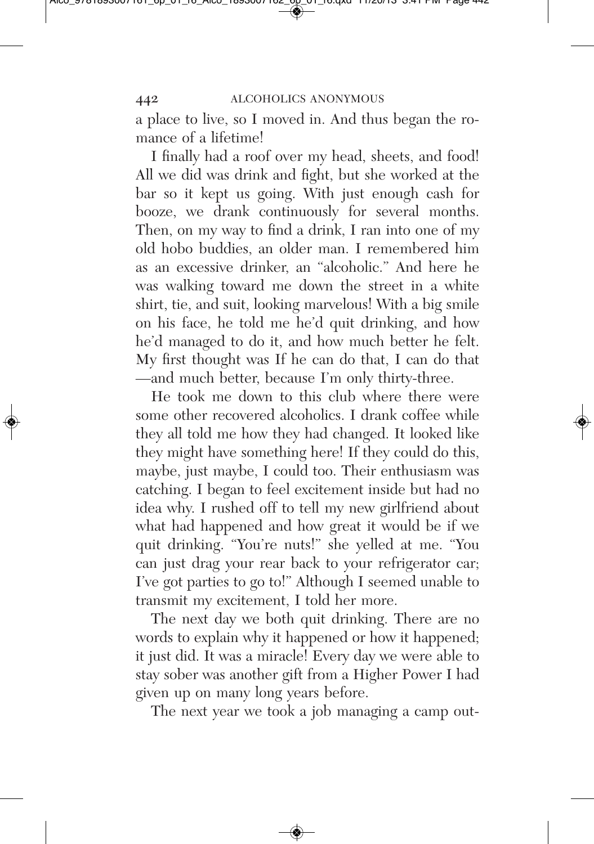a place to live, so I moved in. And thus began the romance of a lifetime!

I finally had a roof over my head, sheets, and food! All we did was drink and fight, but she worked at the bar so it kept us going. With just enough cash for booze, we drank continuously for several months. Then, on my way to find a drink, I ran into one of my old hobo buddies, an older man. I remembered him as an excessive drinker, an "alcoholic." And here he was walking toward me down the street in a white shirt, tie, and suit, looking marvelous! With a big smile on his face, he told me he'd quit drinking, and how he'd managed to do it, and how much better he felt. My first thought was If he can do that, I can do that —and much better, because I'm only thirty-three.

He took me down to this club where there were some other recovered alcoholics. I drank coffee while they all told me how they had changed. It looked like they might have something here! If they could do this, maybe, just maybe, I could too. Their enthusiasm was catching. I began to feel excitement inside but had no idea why. I rushed off to tell my new girlfriend about what had happened and how great it would be if we quit drinking. "You're nuts!" she yelled at me. "You can just drag your rear back to your refrigerator car; I've got parties to go to!" Although I seemed unable to transmit my excitement, I told her more.

The next day we both quit drinking. There are no words to explain why it happened or how it happened; it just did. It was a miracle! Every day we were able to stay sober was another gift from a Higher Power I had given up on many long years before.

The next year we took a job managing a camp out-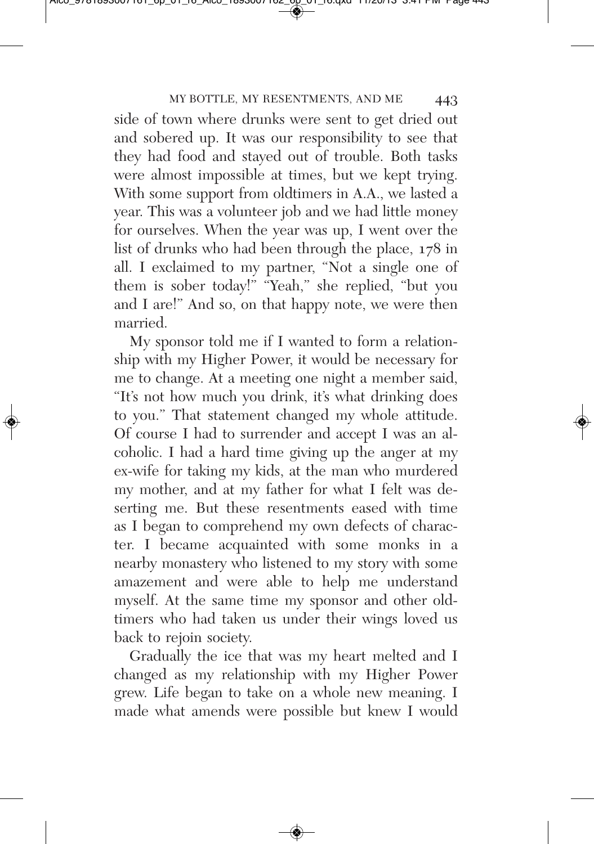side of town where drunks were sent to get dried out and sobered up. It was our responsibility to see that they had food and stayed out of trouble. Both tasks were almost impossible at times, but we kept trying. With some support from oldtimers in A.A., we lasted a year. This was a volunteer job and we had little money for ourselves. When the year was up, I went over the list of drunks who had been through the place, 178 in all. I exclaimed to my partner, "Not a single one of them is sober today!" "Yeah," she replied, "but you and I are!" And so, on that happy note, we were then married.

My sponsor told me if I wanted to form a relationship with my Higher Power, it would be necessary for me to change. At a meeting one night a member said, "It's not how much you drink, it's what drinking does to you." That statement changed my whole attitude. Of course I had to surrender and accept I was an alcoholic. I had a hard time giving up the anger at my ex-wife for taking my kids, at the man who murdered my mother, and at my father for what I felt was deserting me. But these resentments eased with time as I began to comprehend my own defects of character. I became acquainted with some monks in a nearby monastery who listened to my story with some amazement and were able to help me understand myself. At the same time my sponsor and other oldtimers who had taken us under their wings loved us back to rejoin society.

Gradually the ice that was my heart melted and I changed as my relationship with my Higher Power grew. Life began to take on a whole new meaning. I made what amends were possible but knew I would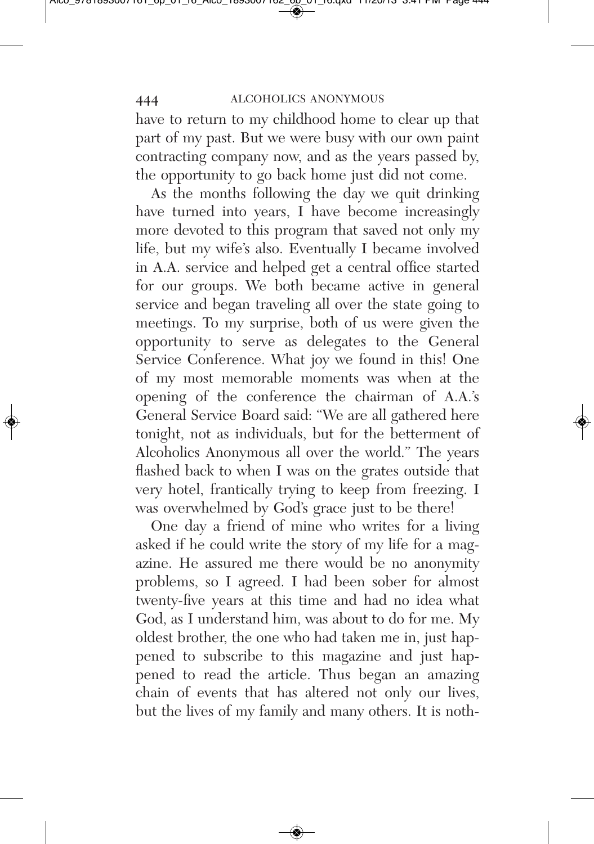have to return to my childhood home to clear up that part of my past. But we were busy with our own paint contracting company now, and as the years passed by, the opportunity to go back home just did not come.

As the months following the day we quit drinking have turned into years, I have become increasingly more devoted to this program that saved not only my life, but my wife's also. Eventually I became involved in A.A. service and helped get a central office started for our groups. We both became active in general service and began traveling all over the state going to meetings. To my surprise, both of us were given the opportunity to serve as delegates to the General Service Conference. What joy we found in this! One of my most memorable moments was when at the opening of the conference the chairman of A.A.'s General Service Board said: "We are all gathered here tonight, not as individuals, but for the betterment of Alcoholics Anonymous all over the world." The years flashed back to when I was on the grates outside that very hotel, frantically trying to keep from freezing. I was overwhelmed by God's grace just to be there!

One day a friend of mine who writes for a living asked if he could write the story of my life for a magazine. He assured me there would be no anonymity problems, so I agreed. I had been sober for almost twenty-five years at this time and had no idea what God, as I understand him, was about to do for me. My oldest brother, the one who had taken me in, just happened to subscribe to this magazine and just happened to read the article. Thus began an amazing chain of events that has altered not only our lives, but the lives of my family and many others. It is noth-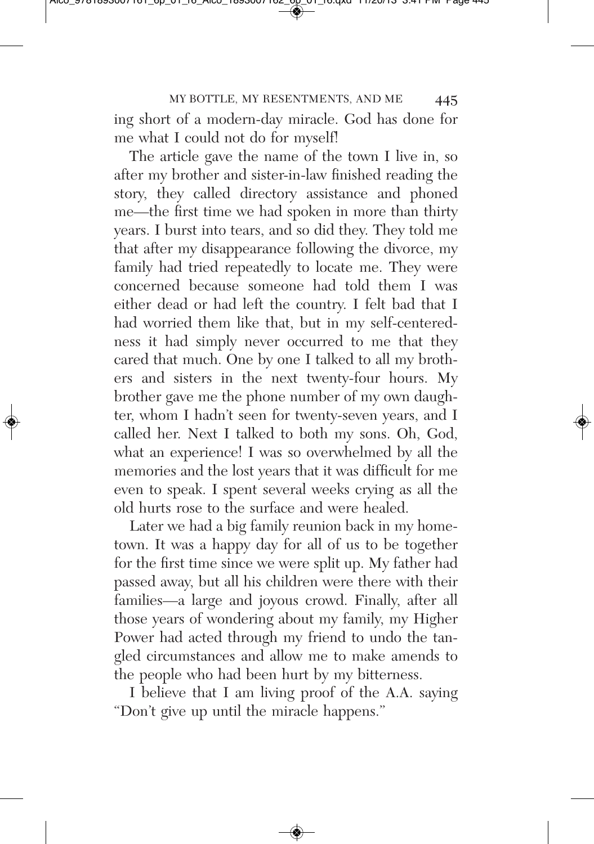ing short of a modern-day miracle. God has done for me what I could not do for myself!

The article gave the name of the town I live in, so after my brother and sister-in-law finished reading the story, they called directory assistance and phoned me—the first time we had spoken in more than thirty years. I burst into tears, and so did they. They told me that after my disappearance following the divorce, my family had tried repeatedly to locate me. They were concerned because someone had told them I was either dead or had left the country. I felt bad that I had worried them like that, but in my self-centeredness it had simply never occurred to me that they cared that much. One by one I talked to all my brothers and sisters in the next twenty-four hours. My brother gave me the phone number of my own daughter, whom I hadn't seen for twenty-seven years, and I called her. Next I talked to both my sons. Oh, God, what an experience! I was so overwhelmed by all the memories and the lost years that it was difficult for me even to speak. I spent several weeks crying as all the old hurts rose to the surface and were healed.

Later we had a big family reunion back in my hometown. It was a happy day for all of us to be together for the first time since we were split up. My father had passed away, but all his children were there with their families—a large and joyous crowd. Finally, after all those years of wondering about my family, my Higher Power had acted through my friend to undo the tangled circumstances and allow me to make amends to the people who had been hurt by my bitterness.

I believe that I am living proof of the A.A. saying "Don't give up until the miracle happens."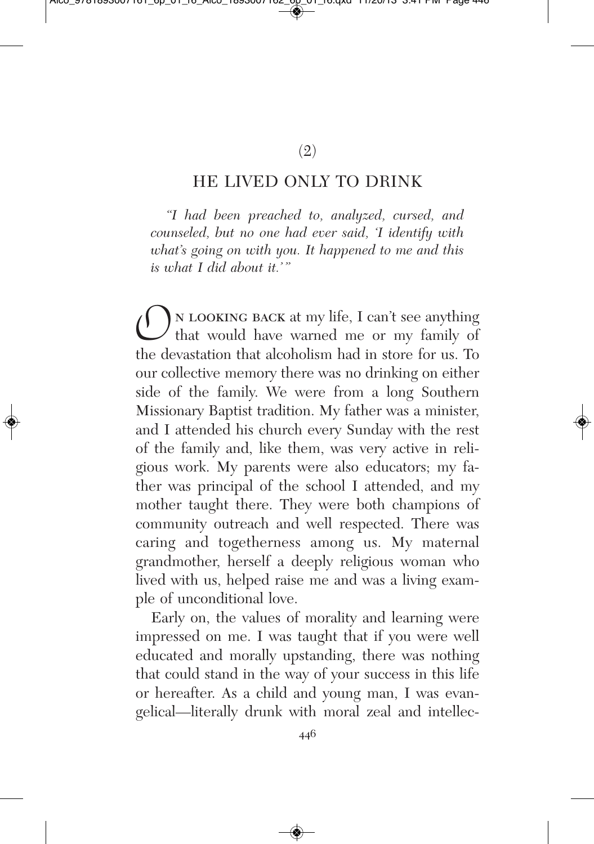## HE LIVED ONLY TO DRINK

*"I had been preached to, analyzed, cursed, and counseled, but no one had ever said, 'I identify with what's going on with you. It happened to me and this is what I did about it.' "*

*O* N LOOKING BACK at my life, I can't see anything that would have warned me or my family of the devastation that alcoholism had in store for us. To that would have warned me or my family of the devastation that alcoholism had in store for us. To our collective memory there was no drinking on either side of the family. We were from a long Southern Missionary Baptist tradition. My father was a minister, and I attended his church every Sunday with the rest of the family and, like them, was very active in religious work. My parents were also educators; my father was principal of the school I attended, and my mother taught there. They were both champions of community outreach and well respected. There was caring and togetherness among us. My maternal grandmother, herself a deeply religious woman who lived with us, helped raise me and was a living example of unconditional love.

Early on, the values of morality and learning were impressed on me. I was taught that if you were well educated and morally upstanding, there was nothing that could stand in the way of your success in this life or hereafter. As a child and young man, I was evangelical—literally drunk with moral zeal and intellec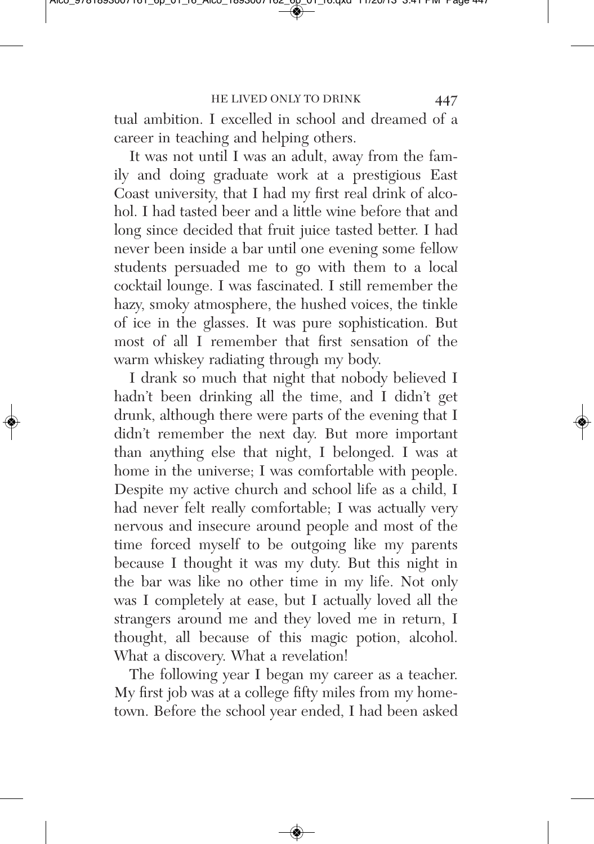tual ambition. I excelled in school and dreamed of a career in teaching and helping others.

It was not until I was an adult, away from the family and doing graduate work at a prestigious East Coast university, that I had my first real drink of alcohol. I had tasted beer and a little wine before that and long since decided that fruit juice tasted better. I had never been inside a bar until one evening some fellow students persuaded me to go with them to a local cocktail lounge. I was fascinated. I still remember the hazy, smoky atmosphere, the hushed voices, the tinkle of ice in the glasses. It was pure sophistication. But most of all I remember that first sensation of the warm whiskey radiating through my body.

I drank so much that night that nobody believed I hadn't been drinking all the time, and I didn't get drunk, although there were parts of the evening that I didn't remember the next day. But more important than anything else that night, I belonged. I was at home in the universe; I was comfortable with people. Despite my active church and school life as a child, I had never felt really comfortable; I was actually very nervous and insecure around people and most of the time forced myself to be outgoing like my parents because I thought it was my duty. But this night in the bar was like no other time in my life. Not only was I completely at ease, but I actually loved all the strangers around me and they loved me in return, I thought, all because of this magic potion, alcohol. What a discovery. What a revelation!

The following year I began my career as a teacher. My first job was at a college fifty miles from my hometown. Before the school year ended, I had been asked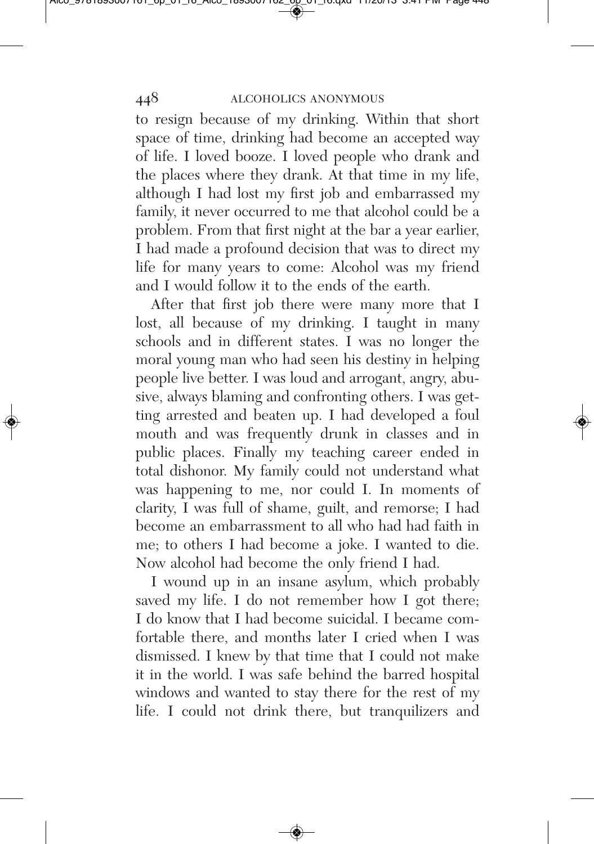to resign because of my drinking. Within that short space of time, drinking had become an accepted way of life. I loved booze. I loved people who drank and the places where they drank. At that time in my life, although I had lost my first job and embarrassed my family, it never occurred to me that alcohol could be a problem. From that first night at the bar a year earlier, I had made a profound decision that was to direct my life for many years to come: Alcohol was my friend and I would follow it to the ends of the earth.

After that first job there were many more that I lost, all because of my drinking. I taught in many schools and in different states. I was no longer the moral young man who had seen his destiny in helping people live better. I was loud and arrogant, angry, abusive, always blaming and confronting others. I was getting arrested and beaten up. I had developed a foul mouth and was frequently drunk in classes and in public places. Finally my teaching career ended in total dishonor. My family could not understand what was happening to me, nor could I. In moments of clarity, I was full of shame, guilt, and remorse; I had become an embarrassment to all who had had faith in me; to others I had become a joke. I wanted to die. Now alcohol had become the only friend I had.

I wound up in an insane asylum, which probably saved my life. I do not remember how I got there; I do know that I had become suicidal. I became comfortable there, and months later I cried when I was dismissed. I knew by that time that I could not make it in the world. I was safe behind the barred hospital windows and wanted to stay there for the rest of my life. I could not drink there, but tranquilizers and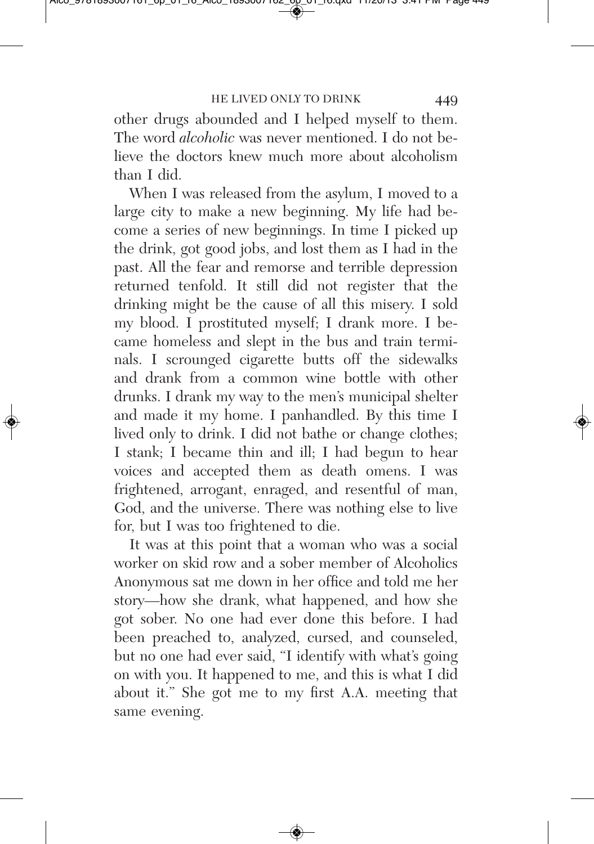other drugs abounded and I helped myself to them. The word *alcoholic* was never mentioned. I do not believe the doctors knew much more about alcoholism than I did.

When I was released from the asylum, I moved to a large city to make a new beginning. My life had become a series of new beginnings. In time I picked up the drink, got good jobs, and lost them as I had in the past. All the fear and remorse and terrible depression returned tenfold. It still did not register that the drinking might be the cause of all this misery. I sold my blood. I prostituted myself; I drank more. I became homeless and slept in the bus and train terminals. I scrounged cigarette butts off the sidewalks and drank from a common wine bottle with other drunks. I drank my way to the men's municipal shelter and made it my home. I panhandled. By this time I lived only to drink. I did not bathe or change clothes; I stank; I became thin and ill; I had begun to hear voices and accepted them as death omens. I was frightened, arrogant, enraged, and resentful of man, God, and the universe. There was nothing else to live for, but I was too frightened to die.

It was at this point that a woman who was a social worker on skid row and a sober member of Alcoholics Anonymous sat me down in her office and told me her story—how she drank, what happened, and how she got sober. No one had ever done this before. I had been preached to, analyzed, cursed, and counseled, but no one had ever said, "I identify with what's going on with you. It happened to me, and this is what I did about it." She got me to my first A.A. meeting that same evening.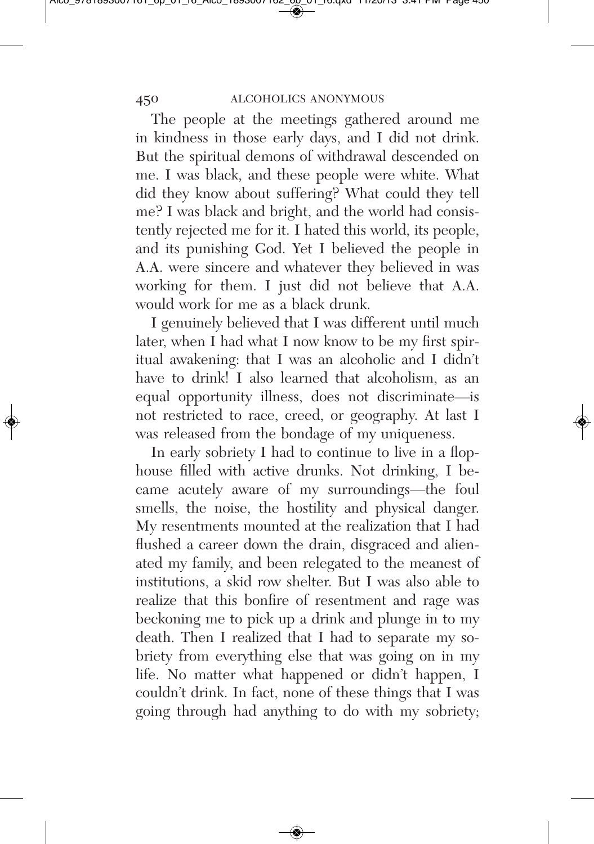The people at the meetings gathered around me in kindness in those early days, and I did not drink. But the spiritual demons of withdrawal descended on me. I was black, and these people were white. What did they know about suffering? What could they tell me? I was black and bright, and the world had consistently rejected me for it. I hated this world, its people, and its punishing God. Yet I believed the people in A.A. were sincere and whatever they believed in was working for them. I just did not believe that A.A. would work for me as a black drunk.

I genuinely believed that I was different until much later, when I had what I now know to be my first spiritual awakening: that I was an alcoholic and I didn't have to drink! I also learned that alcoholism, as an equal opportunity illness, does not discriminate—is not restricted to race, creed, or geography. At last I was released from the bondage of my uniqueness.

In early sobriety I had to continue to live in a flophouse filled with active drunks. Not drinking, I became acutely aware of my surroundings—the foul smells, the noise, the hostility and physical danger. My resentments mounted at the realization that I had flushed a career down the drain, disgraced and alienated my family, and been relegated to the meanest of institutions, a skid row shelter. But I was also able to realize that this bonfire of resentment and rage was beckoning me to pick up a drink and plunge in to my death. Then I realized that I had to separate my sobriety from everything else that was going on in my life. No matter what happened or didn't happen, I couldn't drink. In fact, none of these things that I was going through had anything to do with my sobriety;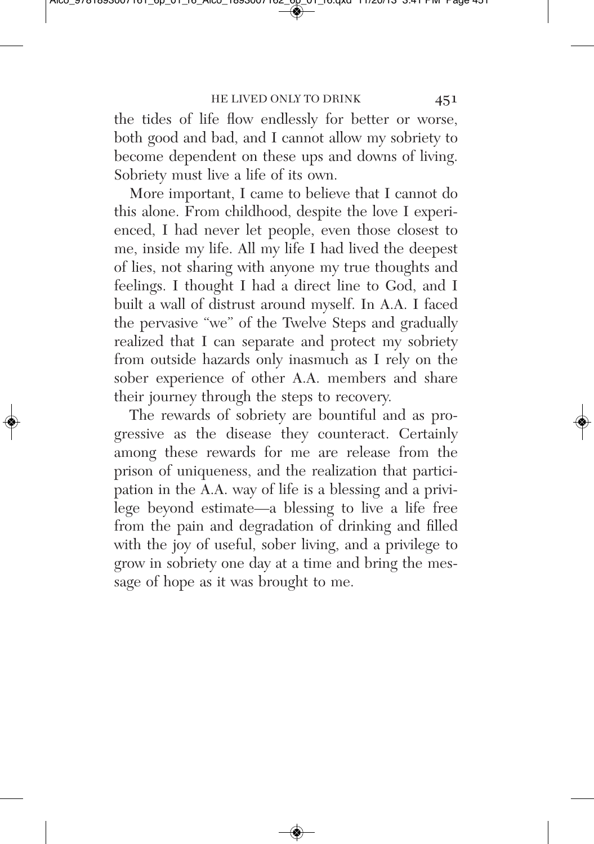the tides of life flow endlessly for better or worse, both good and bad, and I cannot allow my sobriety to become dependent on these ups and downs of living. Sobriety must live a life of its own.

More important, I came to believe that I cannot do this alone. From childhood, despite the love I experienced, I had never let people, even those closest to me, inside my life. All my life I had lived the deepest of lies, not sharing with anyone my true thoughts and feelings. I thought I had a direct line to God, and I built a wall of distrust around myself. In A.A. I faced the pervasive "we" of the Twelve Steps and gradually realized that I can separate and protect my sobriety from outside hazards only inasmuch as I rely on the sober experience of other A.A. members and share their journey through the steps to recovery.

The rewards of sobriety are bountiful and as progressive as the disease they counteract. Certainly among these rewards for me are release from the prison of uniqueness, and the realization that participation in the A.A. way of life is a blessing and a privilege beyond estimate—a blessing to live a life free from the pain and degradation of drinking and filled with the joy of useful, sober living, and a privilege to grow in sobriety one day at a time and bring the message of hope as it was brought to me.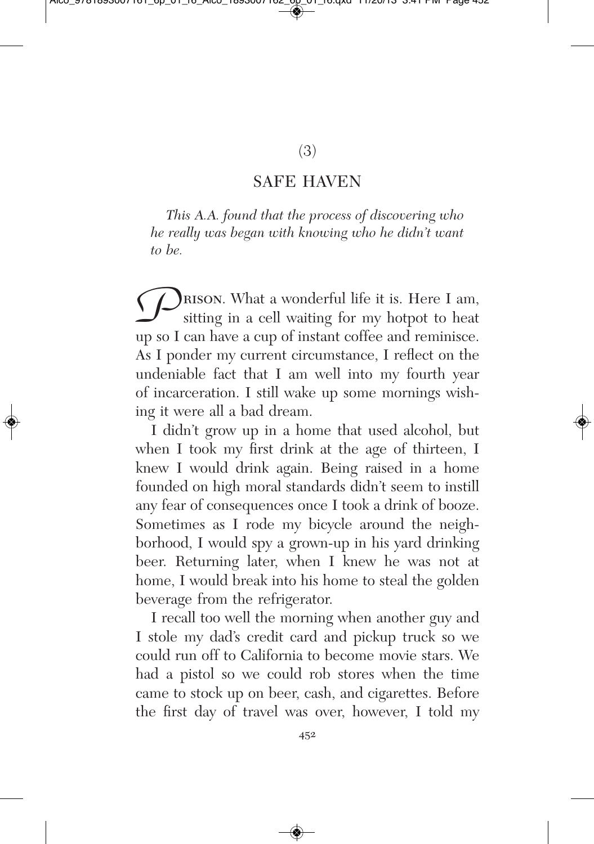## SAFE HAVEN

*This A.A. found that the process of discovering who he really was began with knowing who he didn't want to be.*

*P*rison. What a wonderful life it is. Here I am, sitting in a cell waiting for my hotpot to heat up so I can have a cup of instant coffee and reminisce. As I ponder my current circumstance, I reflect on the undeniable fact that I am well into my fourth year of incarceration. I still wake up some mornings wishing it were all a bad dream.

I didn't grow up in a home that used alcohol, but when I took my first drink at the age of thirteen, I knew I would drink again. Being raised in a home founded on high moral standards didn't seem to instill any fear of consequences once I took a drink of booze. Sometimes as I rode my bicycle around the neighborhood, I would spy a grown-up in his yard drinking beer. Returning later, when I knew he was not at home, I would break into his home to steal the golden beverage from the refrigerator.

I recall too well the morning when another guy and I stole my dad's credit card and pickup truck so we could run off to California to become movie stars. We had a pistol so we could rob stores when the time came to stock up on beer, cash, and cigarettes. Before the first day of travel was over, however, I told my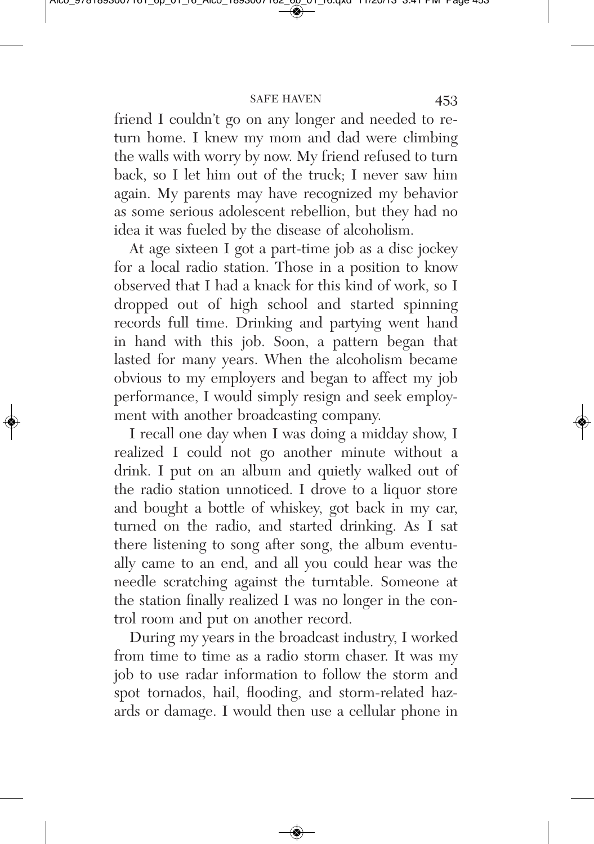friend I couldn't go on any longer and needed to return home. I knew my mom and dad were climbing the walls with worry by now. My friend refused to turn back, so I let him out of the truck; I never saw him again. My parents may have recognized my behavior as some serious adolescent rebellion, but they had no idea it was fueled by the disease of alcoholism.

At age sixteen I got a part-time job as a disc jockey for a local radio station. Those in a position to know observed that I had a knack for this kind of work, so I dropped out of high school and started spinning records full time. Drinking and partying went hand in hand with this job. Soon, a pattern began that lasted for many years. When the alcoholism became obvious to my employers and began to affect my job performance, I would simply resign and seek employment with another broadcasting company.

I recall one day when I was doing a midday show, I realized I could not go another minute without a drink. I put on an album and quietly walked out of the radio station unnoticed. I drove to a liquor store and bought a bottle of whiskey, got back in my car, turned on the radio, and started drinking. As I sat there listening to song after song, the album eventually came to an end, and all you could hear was the needle scratching against the turntable. Someone at the station finally realized I was no longer in the control room and put on another record.

During my years in the broadcast industry, I worked from time to time as a radio storm chaser. It was my job to use radar information to follow the storm and spot tornados, hail, flooding, and storm-related hazards or damage. I would then use a cellular phone in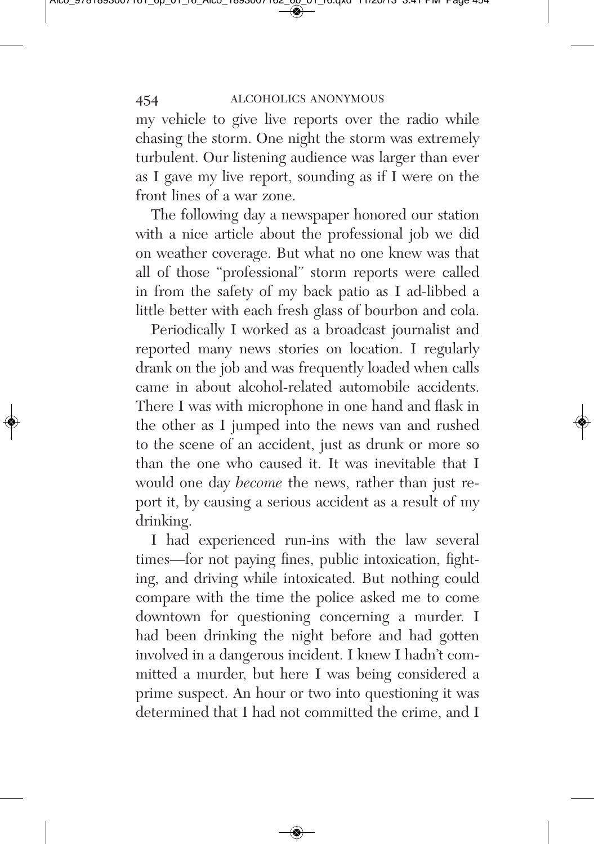my vehicle to give live reports over the radio while chasing the storm. One night the storm was extremely turbulent. Our listening audience was larger than ever as I gave my live report, sounding as if I were on the front lines of a war zone.

The following day a newspaper honored our station with a nice article about the professional job we did on weather coverage. But what no one knew was that all of those "professional" storm reports were called in from the safety of my back patio as I ad-libbed a little better with each fresh glass of bourbon and cola.

Periodically I worked as a broadcast journalist and reported many news stories on location. I regularly drank on the job and was frequently loaded when calls came in about alcohol-related automobile accidents. There I was with microphone in one hand and flask in the other as I jumped into the news van and rushed to the scene of an accident, just as drunk or more so than the one who caused it. It was inevitable that I would one day *become* the news, rather than just report it, by causing a serious accident as a result of my drinking.

I had experienced run-ins with the law several times—for not paying fines, public intoxication, fighting, and driving while intoxicated. But nothing could compare with the time the police asked me to come downtown for questioning concerning a murder. I had been drinking the night before and had gotten involved in a dangerous incident. I knew I hadn't committed a murder, but here I was being considered a prime suspect. An hour or two into questioning it was determined that I had not committed the crime, and I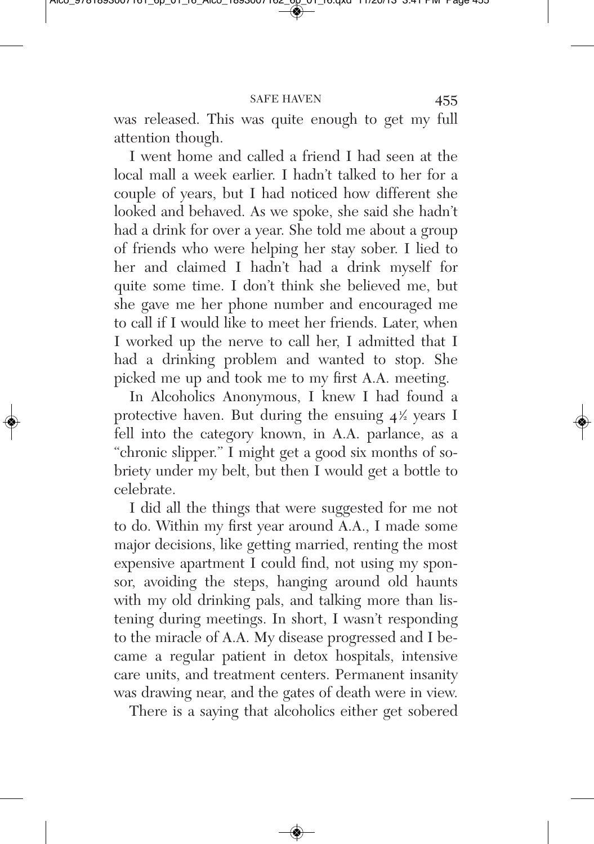was released. This was quite enough to get my full attention though.

I went home and called a friend I had seen at the local mall a week earlier. I hadn't talked to her for a couple of years, but I had noticed how different she looked and behaved. As we spoke, she said she hadn't had a drink for over a year. She told me about a group of friends who were helping her stay sober. I lied to her and claimed I hadn't had a drink myself for quite some time. I don't think she believed me, but she gave me her phone number and encouraged me to call if I would like to meet her friends. Later, when I worked up the nerve to call her, I admitted that I had a drinking problem and wanted to stop. She picked me up and took me to my first A.A. meeting.

In Alcoholics Anonymous, I knew I had found a protective haven. But during the ensuing 41 ⁄<sup>2</sup> years I fell into the category known, in A.A. parlance, as a "chronic slipper." I might get a good six months of sobriety under my belt, but then I would get a bottle to celebrate.

I did all the things that were suggested for me not to do. Within my first year around A.A., I made some major decisions, like getting married, renting the most expensive apartment I could find, not using my sponsor, avoiding the steps, hanging around old haunts with my old drinking pals, and talking more than listening during meetings. In short, I wasn't responding to the miracle of A.A. My disease progressed and I became a regular patient in detox hospitals, intensive care units, and treatment centers. Permanent insanity was drawing near, and the gates of death were in view.

There is a saying that alcoholics either get sobered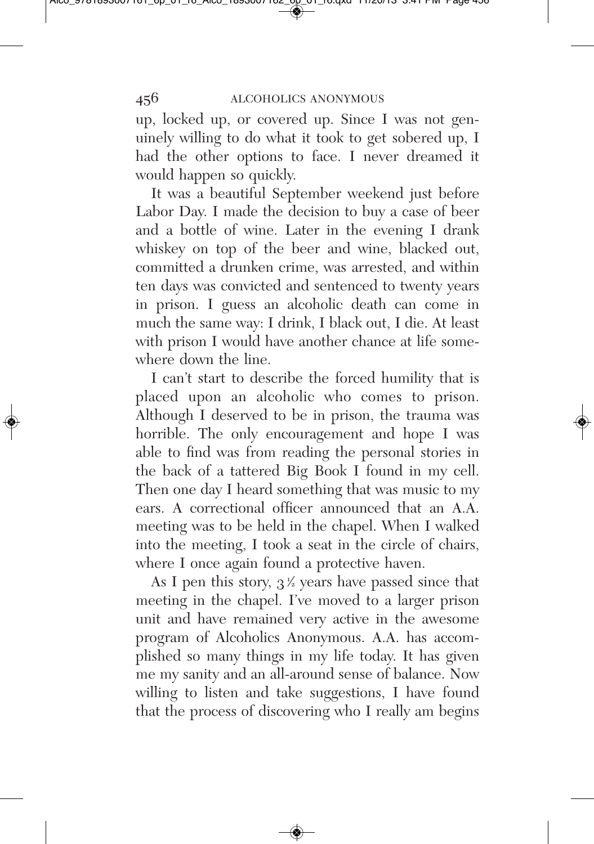up, locked up, or covered up. Since I was not genuinely willing to do what it took to get sobered up, I had the other options to face. I never dreamed it would happen so quickly.

It was a beautiful September weekend just before Labor Day. I made the decision to buy a case of beer and a bottle of wine. Later in the evening I drank whiskey on top of the beer and wine, blacked out, committed a drunken crime, was arrested, and within ten days was convicted and sentenced to twenty years in prison. I guess an alcoholic death can come in much the same way: I drink, I black out, I die. At least with prison I would have another chance at life somewhere down the line.

I can't start to describe the forced humility that is placed upon an alcoholic who comes to prison. Although I deserved to be in prison, the trauma was horrible. The only encouragement and hope I was able to find was from reading the personal stories in the back of a tattered Big Book I found in my cell. Then one day I heard something that was music to my ears. A correctional officer announced that an A.A. meeting was to be held in the chapel. When I walked into the meeting, I took a seat in the circle of chairs, where I once again found a protective haven.

As I pen this story,  $3\frac{1}{2}$  years have passed since that meeting in the chapel. I've moved to a larger prison unit and have remained very active in the awesome program of Alcoholics Anonymous. A.A. has accomplished so many things in my life today. It has given me my sanity and an all-around sense of balance. Now willing to listen and take suggestions, I have found that the process of discovering who I really am begins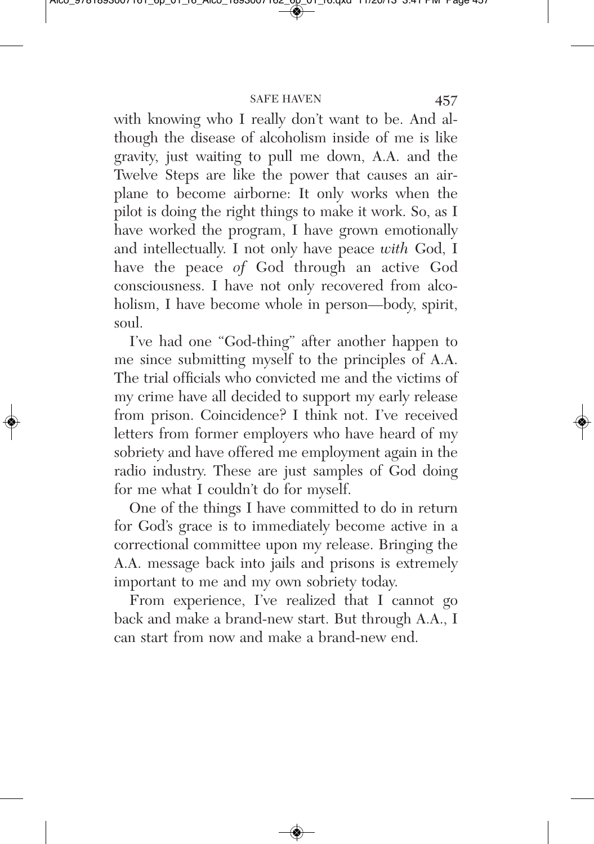with knowing who I really don't want to be. And although the disease of alcoholism inside of me is like gravity, just waiting to pull me down, A.A. and the Twelve Steps are like the power that causes an airplane to become airborne: It only works when the pilot is doing the right things to make it work. So, as I have worked the program, I have grown emotionally and intellectually. I not only have peace *with* God, I have the peace *of* God through an active God consciousness. I have not only recovered from alcoholism, I have become whole in person—body, spirit, soul.

I've had one "God-thing" after another happen to me since submitting myself to the principles of A.A. The trial officials who convicted me and the victims of my crime have all decided to support my early release from prison. Coincidence? I think not. I've received letters from former employers who have heard of my sobriety and have offered me employment again in the radio industry. These are just samples of God doing for me what I couldn't do for myself.

One of the things I have committed to do in return for God's grace is to immediately become active in a correctional committee upon my release. Bringing the A.A. message back into jails and prisons is extremely important to me and my own sobriety today.

From experience, I've realized that I cannot go back and make a brand-new start. But through A.A., I can start from now and make a brand-new end.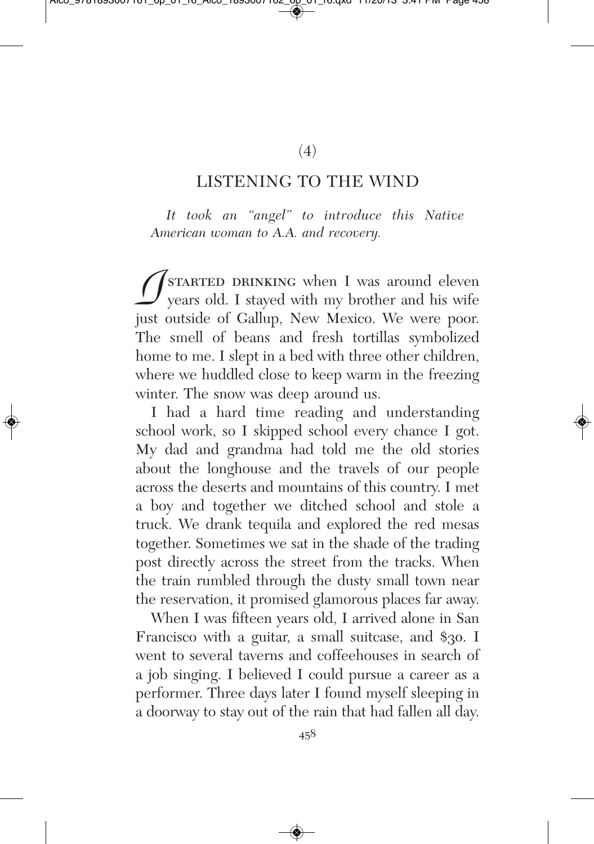#### LISTENING TO THE WIND

*It took an "angel" to introduce this Native American woman to A.A. and recovery.*

**I** STARTED DRINKING when I was around eleven years old. I stayed with my brother and his wife just outside of Gallup, New Mexico. We were poor. The smell of beans and fresh tortillas symbolized home to me. I slept in a bed with three other children, where we huddled close to keep warm in the freezing winter. The snow was deep around us.

I had a hard time reading and understanding school work, so I skipped school every chance I got. My dad and grandma had told me the old stories about the longhouse and the travels of our people across the deserts and mountains of this country. I met a boy and together we ditched school and stole a truck. We drank tequila and explored the red mesas together. Sometimes we sat in the shade of the trading post directly across the street from the tracks. When the train rumbled through the dusty small town near the reservation, it promised glamorous places far away.

When I was fifteen years old, I arrived alone in San Francisco with a guitar, a small suitcase, and \$30. I went to several taverns and coffeehouses in search of a job singing. I believed I could pursue a career as a performer. Three days later I found myself sleeping in a doorway to stay out of the rain that had fallen all day.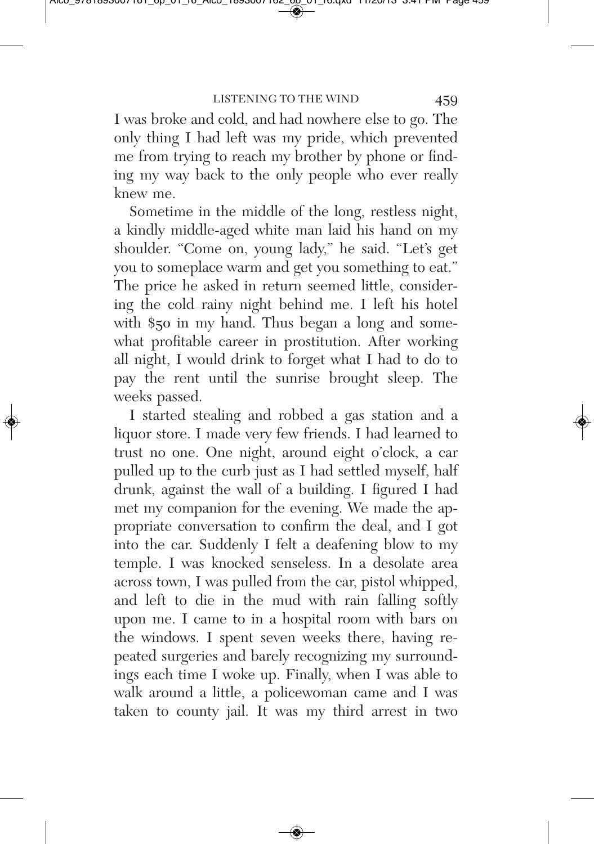I was broke and cold, and had nowhere else to go. The only thing I had left was my pride, which prevented me from trying to reach my brother by phone or finding my way back to the only people who ever really knew me.

Sometime in the middle of the long, restless night, a kindly middle-aged white man laid his hand on my shoulder. "Come on, young lady," he said. "Let's get you to someplace warm and get you something to eat." The price he asked in return seemed little, considering the cold rainy night behind me. I left his hotel with \$50 in my hand. Thus began a long and somewhat profitable career in prostitution. After working all night, I would drink to forget what I had to do to pay the rent until the sunrise brought sleep. The weeks passed.

I started stealing and robbed a gas station and a liquor store. I made very few friends. I had learned to trust no one. One night, around eight o'clock, a car pulled up to the curb just as I had settled myself, half drunk, against the wall of a building. I figured I had met my companion for the evening. We made the appropriate conversation to confirm the deal, and I got into the car. Suddenly I felt a deafening blow to my temple. I was knocked senseless. In a desolate area across town, I was pulled from the car, pistol whipped, and left to die in the mud with rain falling softly upon me. I came to in a hospital room with bars on the windows. I spent seven weeks there, having repeated surgeries and barely recognizing my surroundings each time I woke up. Finally, when I was able to walk around a little, a policewoman came and I was taken to county jail. It was my third arrest in two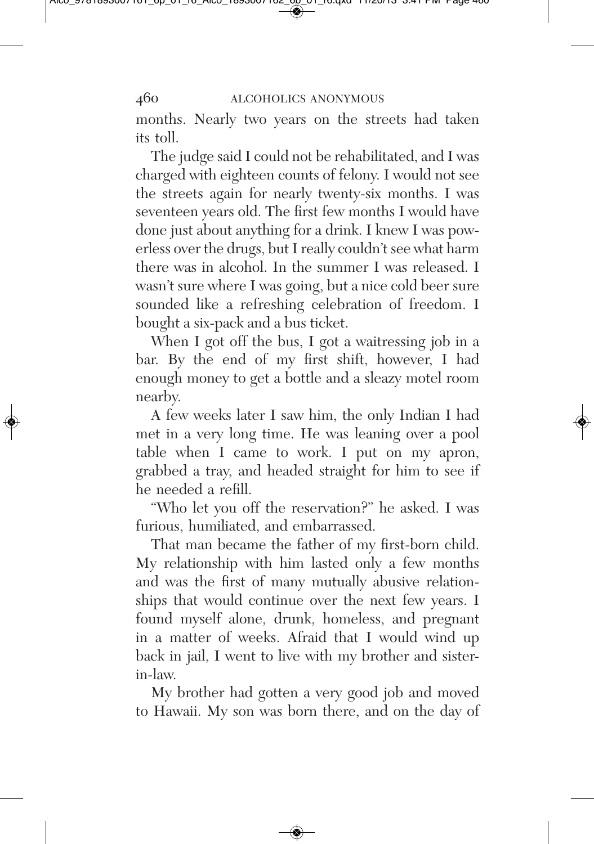months. Nearly two years on the streets had taken its toll.

The judge said I could not be rehabilitated, and I was charged with eighteen counts of felony. I would not see the streets again for nearly twenty-six months. I was seventeen years old. The first few months I would have done just about anything for a drink. I knew I was powerless over the drugs, but I really couldn't see what harm there was in alcohol. In the summer I was released. I wasn't sure where I was going, but a nice cold beer sure sounded like a refreshing celebration of freedom. I bought a six-pack and a bus ticket.

When I got off the bus, I got a waitressing job in a bar. By the end of my first shift, however, I had enough money to get a bottle and a sleazy motel room nearby.

A few weeks later I saw him, the only Indian I had met in a very long time. He was leaning over a pool table when I came to work. I put on my apron, grabbed a tray, and headed straight for him to see if he needed a refill.

"Who let you off the reservation?" he asked. I was furious, humiliated, and embarrassed.

That man became the father of my first-born child. My relationship with him lasted only a few months and was the first of many mutually abusive relationships that would continue over the next few years. I found myself alone, drunk, homeless, and pregnant in a matter of weeks. Afraid that I would wind up back in jail, I went to live with my brother and sisterin-law.

My brother had gotten a very good job and moved to Hawaii. My son was born there, and on the day of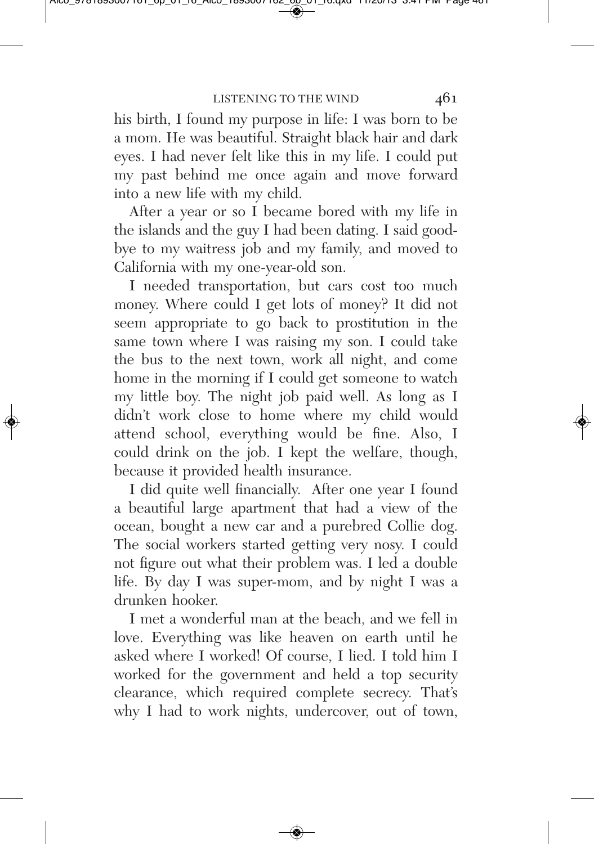his birth, I found my purpose in life: I was born to be a mom. He was beautiful. Straight black hair and dark eyes. I had never felt like this in my life. I could put my past behind me once again and move forward into a new life with my child.

After a year or so I became bored with my life in the islands and the guy I had been dating. I said goodbye to my waitress job and my family, and moved to California with my one-year-old son.

I needed transportation, but cars cost too much money. Where could I get lots of money? It did not seem appropriate to go back to prostitution in the same town where I was raising my son. I could take the bus to the next town, work all night, and come home in the morning if I could get someone to watch my little boy. The night job paid well. As long as I didn't work close to home where my child would attend school, everything would be fine. Also, I could drink on the job. I kept the welfare, though, because it provided health insurance.

I did quite well financially. After one year I found a beautiful large apartment that had a view of the ocean, bought a new car and a purebred Collie dog. The social workers started getting very nosy. I could not figure out what their problem was. I led a double life. By day I was super-mom, and by night I was a drunken hooker.

I met a wonderful man at the beach, and we fell in love. Everything was like heaven on earth until he asked where I worked! Of course, I lied. I told him I worked for the government and held a top security clearance, which required complete secrecy. That's why I had to work nights, undercover, out of town,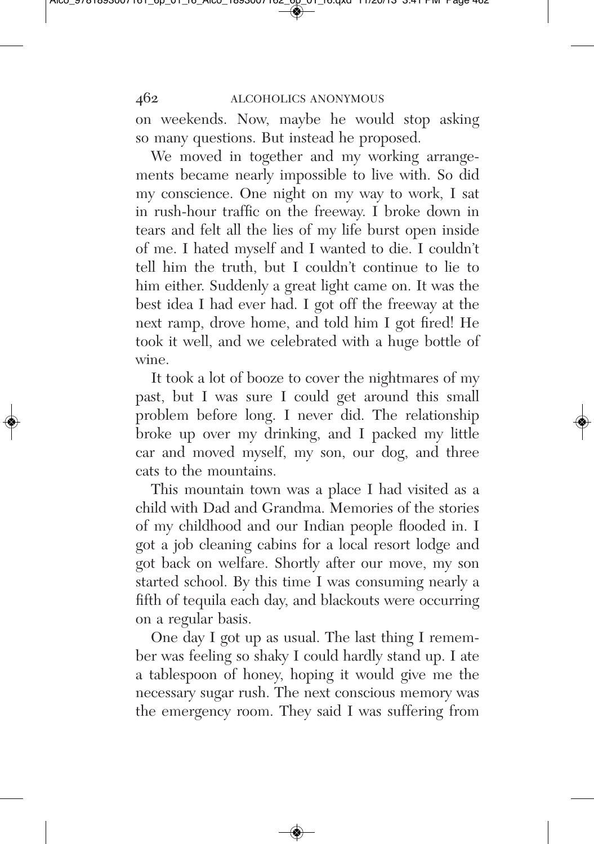on weekends. Now, maybe he would stop asking so many questions. But instead he proposed.

We moved in together and my working arrangements became nearly impossible to live with. So did my conscience. One night on my way to work, I sat in rush-hour traffic on the freeway. I broke down in tears and felt all the lies of my life burst open inside of me. I hated myself and I wanted to die. I couldn't tell him the truth, but I couldn't continue to lie to him either. Suddenly a great light came on. It was the best idea I had ever had. I got off the freeway at the next ramp, drove home, and told him I got fired! He took it well, and we celebrated with a huge bottle of wine.

It took a lot of booze to cover the nightmares of my past, but I was sure I could get around this small problem before long. I never did. The relationship broke up over my drinking, and I packed my little car and moved myself, my son, our dog, and three cats to the mountains.

This mountain town was a place I had visited as a child with Dad and Grandma. Memories of the stories of my childhood and our Indian people flooded in. I got a job cleaning cabins for a local resort lodge and got back on welfare. Shortly after our move, my son started school. By this time I was consuming nearly a fifth of tequila each day, and blackouts were occurring on a regular basis.

One day I got up as usual. The last thing I remember was feeling so shaky I could hardly stand up. I ate a tablespoon of honey, hoping it would give me the necessary sugar rush. The next conscious memory was the emergency room. They said I was suffering from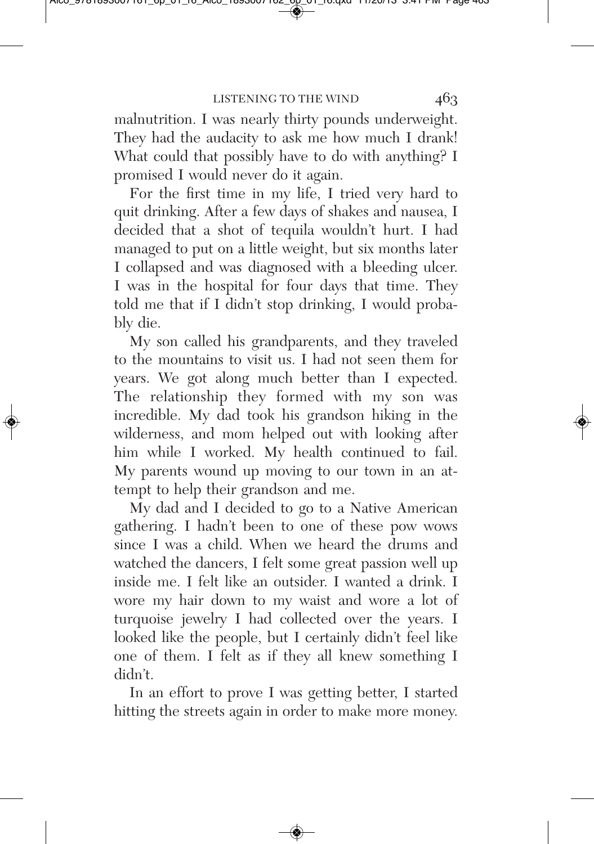malnutrition. I was nearly thirty pounds underweight. They had the audacity to ask me how much I drank! What could that possibly have to do with anything? I promised I would never do it again.

For the first time in my life, I tried very hard to quit drinking. After a few days of shakes and nausea, I decided that a shot of tequila wouldn't hurt. I had managed to put on a little weight, but six months later I collapsed and was diagnosed with a bleeding ulcer. I was in the hospital for four days that time. They told me that if I didn't stop drinking, I would probably die.

My son called his grandparents, and they traveled to the mountains to visit us. I had not seen them for years. We got along much better than I expected. The relationship they formed with my son was incredible. My dad took his grandson hiking in the wilderness, and mom helped out with looking after him while I worked. My health continued to fail. My parents wound up moving to our town in an attempt to help their grandson and me.

My dad and I decided to go to a Native American gathering. I hadn't been to one of these pow wows since I was a child. When we heard the drums and watched the dancers, I felt some great passion well up inside me. I felt like an outsider. I wanted a drink. I wore my hair down to my waist and wore a lot of turquoise jewelry I had collected over the years. I looked like the people, but I certainly didn't feel like one of them. I felt as if they all knew something I didn't.

In an effort to prove I was getting better, I started hitting the streets again in order to make more money.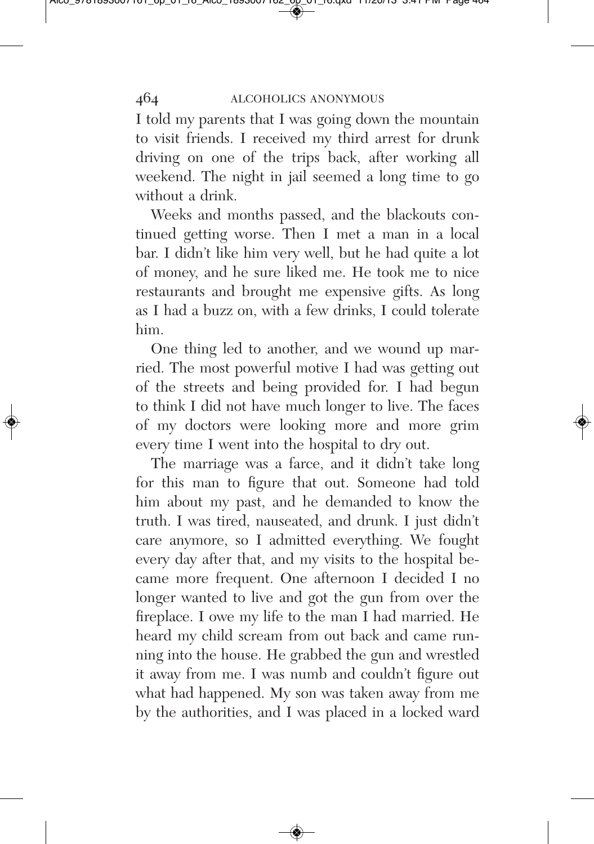I told my parents that I was going down the mountain to visit friends. I received my third arrest for drunk driving on one of the trips back, after working all weekend. The night in jail seemed a long time to go without a drink.

Weeks and months passed, and the blackouts continued getting worse. Then I met a man in a local bar. I didn't like him very well, but he had quite a lot of money, and he sure liked me. He took me to nice restaurants and brought me expensive gifts. As long as I had a buzz on, with a few drinks, I could tolerate him.

One thing led to another, and we wound up married. The most powerful motive I had was getting out of the streets and being provided for. I had begun to think I did not have much longer to live. The faces of my doctors were looking more and more grim every time I went into the hospital to dry out.

The marriage was a farce, and it didn't take long for this man to figure that out. Someone had told him about my past, and he demanded to know the truth. I was tired, nauseated, and drunk. I just didn't care anymore, so I admitted everything. We fought every day after that, and my visits to the hospital became more frequent. One afternoon I decided I no longer wanted to live and got the gun from over the fireplace. I owe my life to the man I had married. He heard my child scream from out back and came running into the house. He grabbed the gun and wrestled it away from me. I was numb and couldn't figure out what had happened. My son was taken away from me by the authorities, and I was placed in a locked ward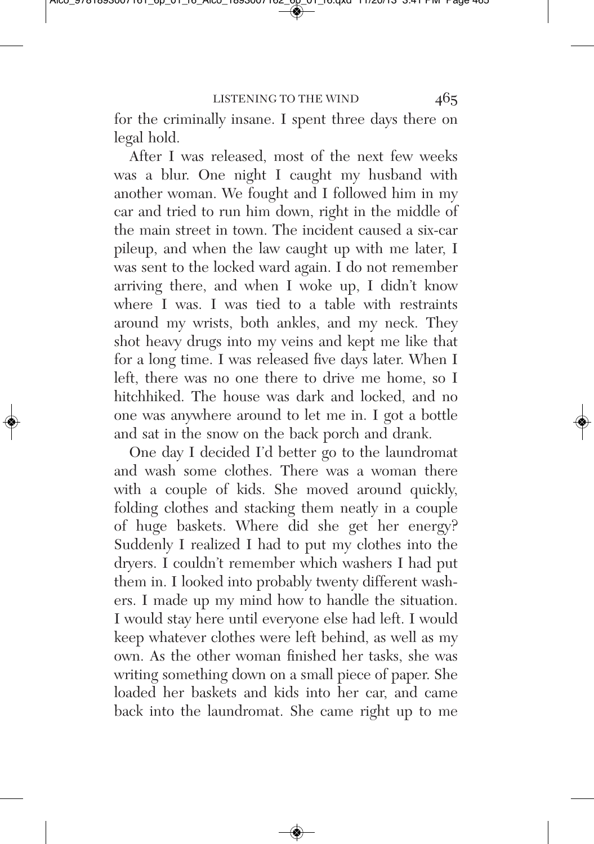for the criminally insane. I spent three days there on legal hold.

After I was released, most of the next few weeks was a blur. One night I caught my husband with another woman. We fought and I followed him in my car and tried to run him down, right in the middle of the main street in town. The incident caused a six-car pileup, and when the law caught up with me later, I was sent to the locked ward again. I do not remember arriving there, and when I woke up, I didn't know where I was. I was tied to a table with restraints around my wrists, both ankles, and my neck. They shot heavy drugs into my veins and kept me like that for a long time. I was released five days later. When I left, there was no one there to drive me home, so I hitchhiked. The house was dark and locked, and no one was anywhere around to let me in. I got a bottle and sat in the snow on the back porch and drank.

One day I decided I'd better go to the laundromat and wash some clothes. There was a woman there with a couple of kids. She moved around quickly, folding clothes and stacking them neatly in a couple of huge baskets. Where did she get her energy? Suddenly I realized I had to put my clothes into the dryers. I couldn't remember which washers I had put them in. I looked into probably twenty different washers. I made up my mind how to handle the situation. I would stay here until everyone else had left. I would keep whatever clothes were left behind, as well as my own. As the other woman finished her tasks, she was writing something down on a small piece of paper. She loaded her baskets and kids into her car, and came back into the laundromat. She came right up to me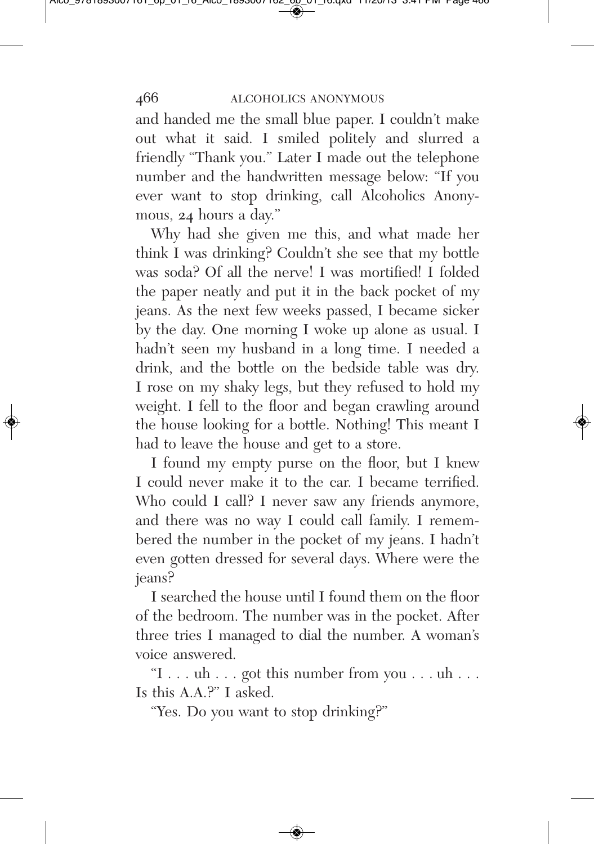and handed me the small blue paper. I couldn't make out what it said. I smiled politely and slurred a friendly "Thank you." Later I made out the telephone number and the handwritten message below: "If you ever want to stop drinking, call Alcoholics Anonymous, 24 hours a day."

Why had she given me this, and what made her think I was drinking? Couldn't she see that my bottle was soda? Of all the nerve! I was mortified! I folded the paper neatly and put it in the back pocket of my jeans. As the next few weeks passed, I became sicker by the day. One morning I woke up alone as usual. I hadn't seen my husband in a long time. I needed a drink, and the bottle on the bedside table was dry. I rose on my shaky legs, but they refused to hold my weight. I fell to the floor and began crawling around the house looking for a bottle. Nothing! This meant I had to leave the house and get to a store.

I found my empty purse on the floor, but I knew I could never make it to the car. I became terrified. Who could I call? I never saw any friends anymore, and there was no way I could call family. I remembered the number in the pocket of my jeans. I hadn't even gotten dressed for several days. Where were the jeans?

I searched the house until I found them on the floor of the bedroom. The number was in the pocket. After three tries I managed to dial the number. A woman's voice answered.

"I . . . uh . . . got this number from you . . . uh . . . Is this A.A.?" I asked.

"Yes. Do you want to stop drinking?"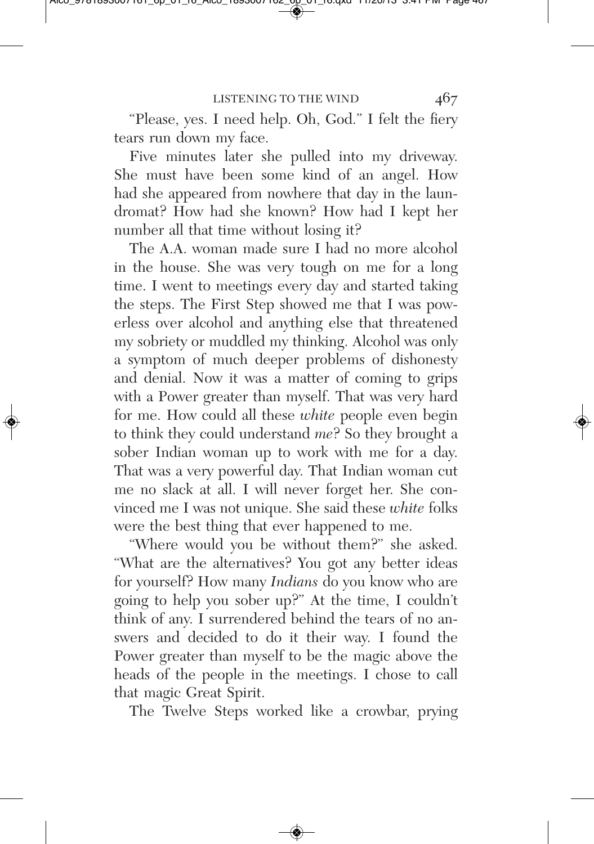"Please, yes. I need help. Oh, God." I felt the fiery tears run down my face.

Five minutes later she pulled into my driveway. She must have been some kind of an angel. How had she appeared from nowhere that day in the laundromat? How had she known? How had I kept her number all that time without losing it?

The A.A. woman made sure I had no more alcohol in the house. She was very tough on me for a long time. I went to meetings every day and started taking the steps. The First Step showed me that I was powerless over alcohol and anything else that threatened my sobriety or muddled my thinking. Alcohol was only a symptom of much deeper problems of dishonesty and denial. Now it was a matter of coming to grips with a Power greater than myself. That was very hard for me. How could all these *white* people even begin to think they could understand *me*? So they brought a sober Indian woman up to work with me for a day. That was a very powerful day. That Indian woman cut me no slack at all. I will never forget her. She convinced me I was not unique. She said these *white* folks were the best thing that ever happened to me.

"Where would you be without them?" she asked. "What are the alternatives? You got any better ideas for yourself? How many *Indians* do you know who are going to help you sober up?" At the time, I couldn't think of any. I surrendered behind the tears of no answers and decided to do it their way. I found the Power greater than myself to be the magic above the heads of the people in the meetings. I chose to call that magic Great Spirit.

The Twelve Steps worked like a crowbar, prying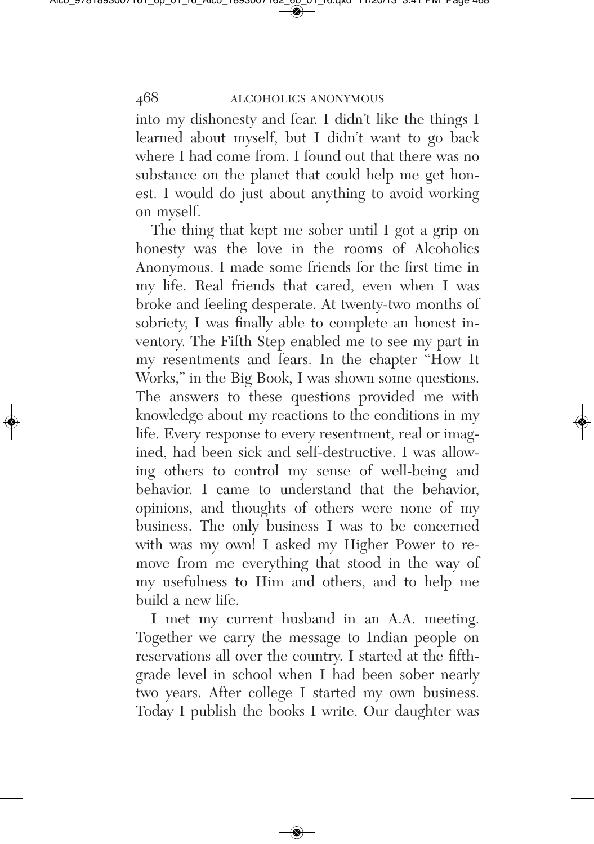into my dishonesty and fear. I didn't like the things I learned about myself, but I didn't want to go back where I had come from. I found out that there was no substance on the planet that could help me get honest. I would do just about anything to avoid working on myself.

The thing that kept me sober until I got a grip on honesty was the love in the rooms of Alcoholics Anonymous. I made some friends for the first time in my life. Real friends that cared, even when I was broke and feeling desperate. At twenty-two months of sobriety, I was finally able to complete an honest inventory. The Fifth Step enabled me to see my part in my resentments and fears. In the chapter "How It Works," in the Big Book, I was shown some questions. The answers to these questions provided me with knowledge about my reactions to the conditions in my life. Every response to every resentment, real or imagined, had been sick and self-destructive. I was allowing others to control my sense of well-being and behavior. I came to understand that the behavior, opinions, and thoughts of others were none of my business. The only business I was to be concerned with was my own! I asked my Higher Power to remove from me everything that stood in the way of my usefulness to Him and others, and to help me build a new life.

I met my current husband in an A.A. meeting. Together we carry the message to Indian people on reservations all over the country. I started at the fifthgrade level in school when I had been sober nearly two years. After college I started my own business. Today I publish the books I write. Our daughter was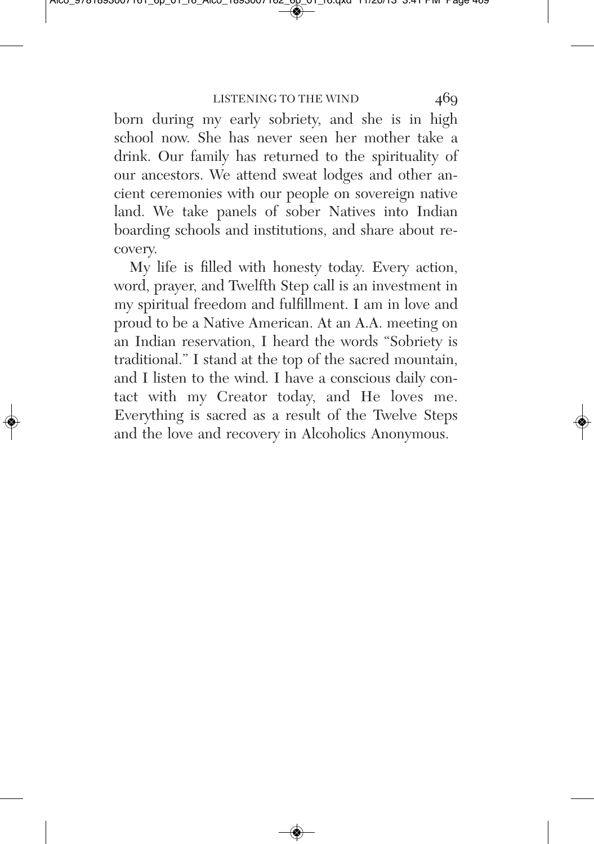born during my early sobriety, and she is in high school now. She has never seen her mother take a drink. Our family has returned to the spirituality of our ancestors. We attend sweat lodges and other ancient ceremonies with our people on sovereign native land. We take panels of sober Natives into Indian boarding schools and institutions, and share about recovery.

My life is filled with honesty today. Every action, word, prayer, and Twelfth Step call is an investment in my spiritual freedom and fulfillment. I am in love and proud to be a Native American. At an A.A. meeting on an Indian reservation, I heard the words "Sobriety is traditional." I stand at the top of the sacred mountain, and I listen to the wind. I have a conscious daily contact with my Creator today, and He loves me. Everything is sacred as a result of the Twelve Steps and the love and recovery in Alcoholics Anonymous.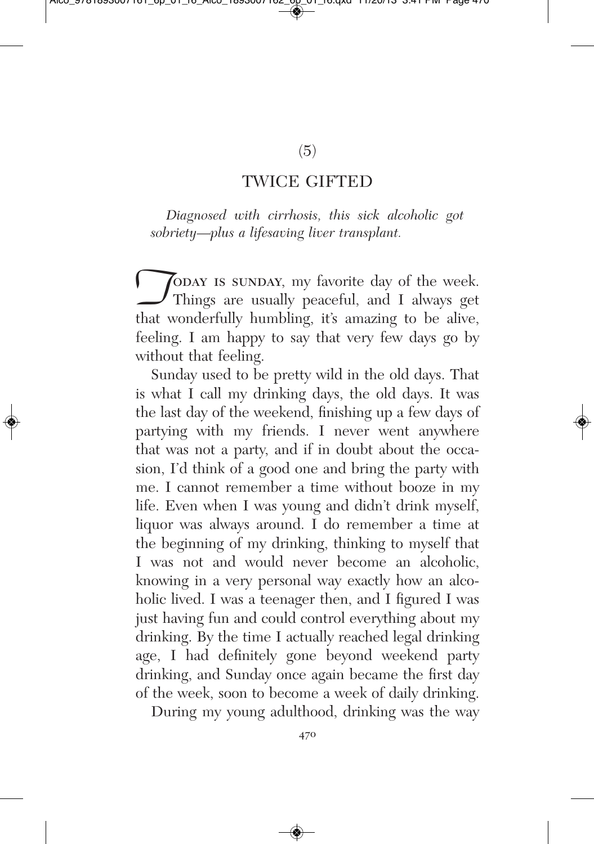## TWICE GIFTED

*Diagnosed with cirrhosis, this sick alcoholic got sobriety—plus a lifesaving liver transplant.*

*TODAY IS SUNDAY, my favorite day of the week.* Things are usually peaceful, and I always get that wonderfully humbling, it's amazing to be alive, feeling. I am happy to say that very few days go by without that feeling.

Sunday used to be pretty wild in the old days. That is what I call my drinking days, the old days. It was the last day of the weekend, finishing up a few days of partying with my friends. I never went anywhere that was not a party, and if in doubt about the occasion, I'd think of a good one and bring the party with me. I cannot remember a time without booze in my life. Even when I was young and didn't drink myself, liquor was always around. I do remember a time at the beginning of my drinking, thinking to myself that I was not and would never become an alcoholic, knowing in a very personal way exactly how an alcoholic lived. I was a teenager then, and I figured I was just having fun and could control everything about my drinking. By the time I actually reached legal drinking age, I had definitely gone beyond weekend party drinking, and Sunday once again became the first day of the week, soon to become a week of daily drinking.

During my young adulthood, drinking was the way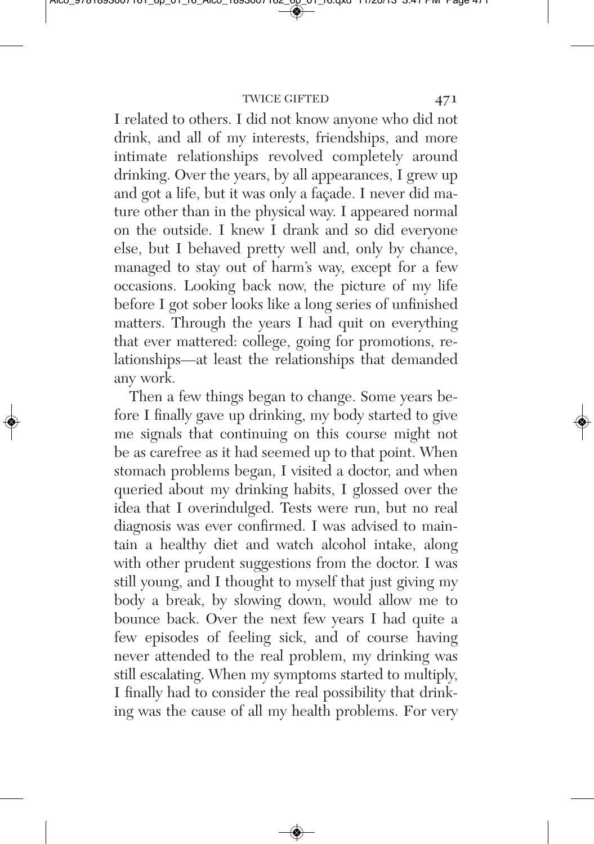I related to others. I did not know anyone who did not drink, and all of my interests, friendships, and more intimate relationships revolved completely around drinking. Over the years, by all appearances, I grew up and got a life, but it was only a façade. I never did mature other than in the physical way. I appeared normal on the outside. I knew I drank and so did everyone else, but I behaved pretty well and, only by chance, managed to stay out of harm's way, except for a few occasions. Looking back now, the picture of my life before I got sober looks like a long series of unfinished matters. Through the years I had quit on everything that ever mattered: college, going for promotions, relationships—at least the relationships that demanded any work.

Then a few things began to change. Some years before I finally gave up drinking, my body started to give me signals that continuing on this course might not be as carefree as it had seemed up to that point. When stomach problems began, I visited a doctor, and when queried about my drinking habits, I glossed over the idea that I overindulged. Tests were run, but no real diagnosis was ever confirmed. I was advised to maintain a healthy diet and watch alcohol intake, along with other prudent suggestions from the doctor. I was still young, and I thought to myself that just giving my body a break, by slowing down, would allow me to bounce back. Over the next few years I had quite a few episodes of feeling sick, and of course having never attended to the real problem, my drinking was still escalating. When my symptoms started to multiply, I finally had to consider the real possibility that drinking was the cause of all my health problems. For very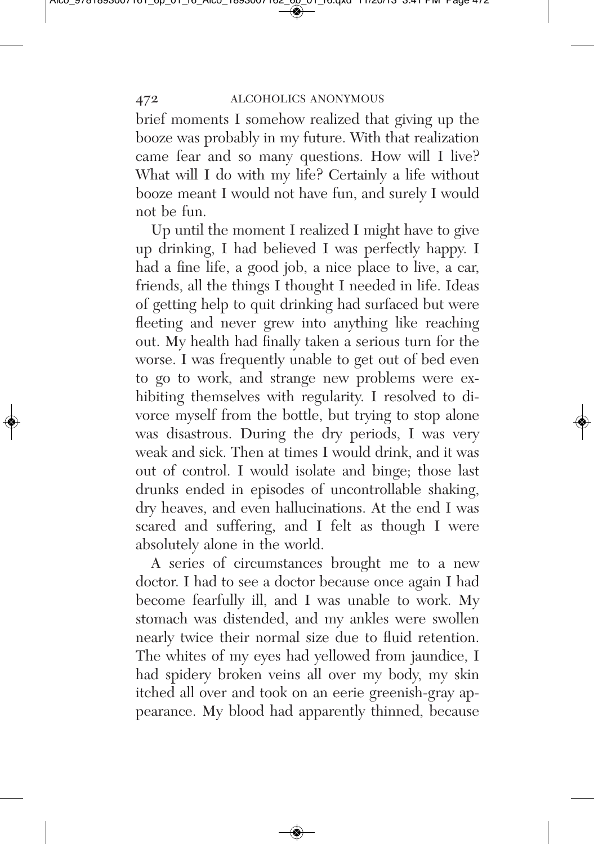brief moments I somehow realized that giving up the booze was probably in my future. With that realization came fear and so many questions. How will I live? What will I do with my life? Certainly a life without booze meant I would not have fun, and surely I would not be fun.

Up until the moment I realized I might have to give up drinking, I had believed I was perfectly happy. I had a fine life, a good job, a nice place to live, a car, friends, all the things I thought I needed in life. Ideas of getting help to quit drinking had surfaced but were fleeting and never grew into anything like reaching out. My health had finally taken a serious turn for the worse. I was frequently unable to get out of bed even to go to work, and strange new problems were exhibiting themselves with regularity. I resolved to divorce myself from the bottle, but trying to stop alone was disastrous. During the dry periods, I was very weak and sick. Then at times I would drink, and it was out of control. I would isolate and binge; those last drunks ended in episodes of uncontrollable shaking, dry heaves, and even hallucinations. At the end I was scared and suffering, and I felt as though I were absolutely alone in the world.

A series of circumstances brought me to a new doctor. I had to see a doctor because once again I had become fearfully ill, and I was unable to work. My stomach was distended, and my ankles were swollen nearly twice their normal size due to fluid retention. The whites of my eyes had yellowed from jaundice, I had spidery broken veins all over my body, my skin itched all over and took on an eerie greenish-gray appearance. My blood had apparently thinned, because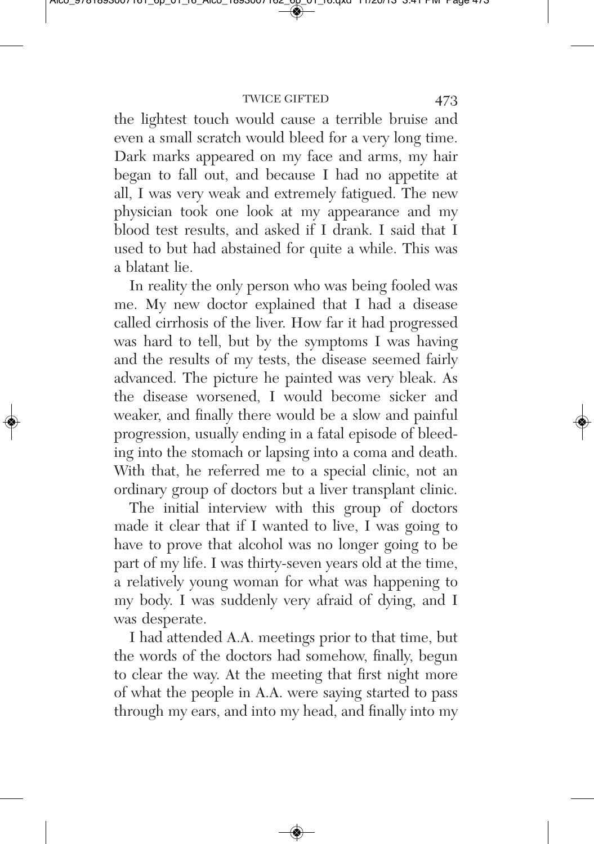#### TWICE GIFTED 473

the lightest touch would cause a terrible bruise and even a small scratch would bleed for a very long time. Dark marks appeared on my face and arms, my hair began to fall out, and because I had no appetite at all, I was very weak and extremely fatigued. The new physician took one look at my appearance and my blood test results, and asked if I drank. I said that I used to but had abstained for quite a while. This was a blatant lie.

In reality the only person who was being fooled was me. My new doctor explained that I had a disease called cirrhosis of the liver. How far it had progressed was hard to tell, but by the symptoms I was having and the results of my tests, the disease seemed fairly advanced. The picture he painted was very bleak. As the disease worsened, I would become sicker and weaker, and finally there would be a slow and painful progression, usually ending in a fatal episode of bleeding into the stomach or lapsing into a coma and death. With that, he referred me to a special clinic, not an ordinary group of doctors but a liver transplant clinic.

The initial interview with this group of doctors made it clear that if I wanted to live, I was going to have to prove that alcohol was no longer going to be part of my life. I was thirty-seven years old at the time, a relatively young woman for what was happening to my body. I was suddenly very afraid of dying, and I was desperate.

I had attended A.A. meetings prior to that time, but the words of the doctors had somehow, finally, begun to clear the way. At the meeting that first night more of what the people in A.A. were saying started to pass through my ears, and into my head, and finally into my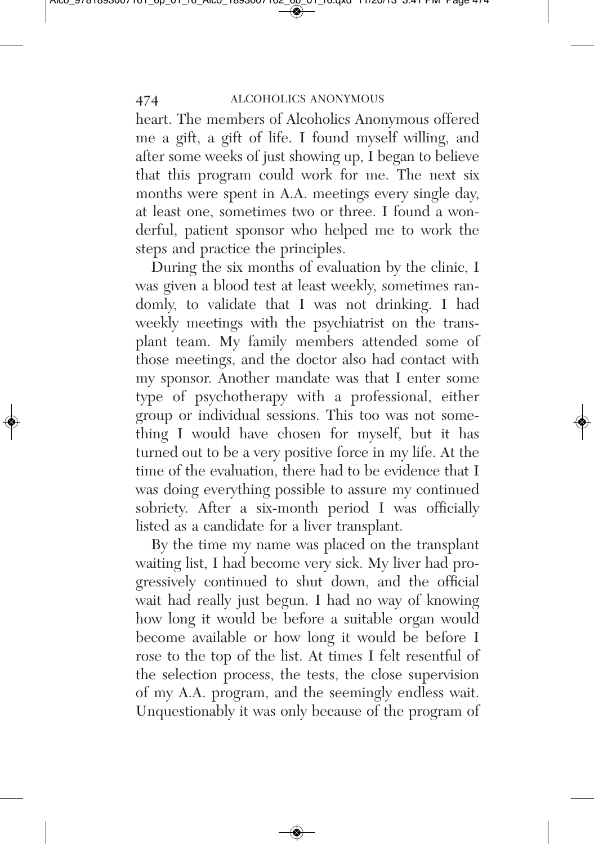heart. The members of Alcoholics Anonymous offered me a gift, a gift of life. I found myself willing, and after some weeks of just showing up, I began to believe that this program could work for me. The next six months were spent in A.A. meetings every single day, at least one, sometimes two or three. I found a wonderful, patient sponsor who helped me to work the steps and practice the principles.

During the six months of evaluation by the clinic, I was given a blood test at least weekly, sometimes randomly, to validate that I was not drinking. I had weekly meetings with the psychiatrist on the transplant team. My family members attended some of those meetings, and the doctor also had contact with my sponsor. Another mandate was that I enter some type of psychotherapy with a professional, either group or individual sessions. This too was not something I would have chosen for myself, but it has turned out to be a very positive force in my life. At the time of the evaluation, there had to be evidence that I was doing everything possible to assure my continued sobriety. After a six-month period I was officially listed as a candidate for a liver transplant.

By the time my name was placed on the transplant waiting list, I had become very sick. My liver had progressively continued to shut down, and the official wait had really just begun. I had no way of knowing how long it would be before a suitable organ would become available or how long it would be before I rose to the top of the list. At times I felt resentful of the selection process, the tests, the close supervision of my A.A. program, and the seemingly endless wait. Unquestionably it was only because of the program of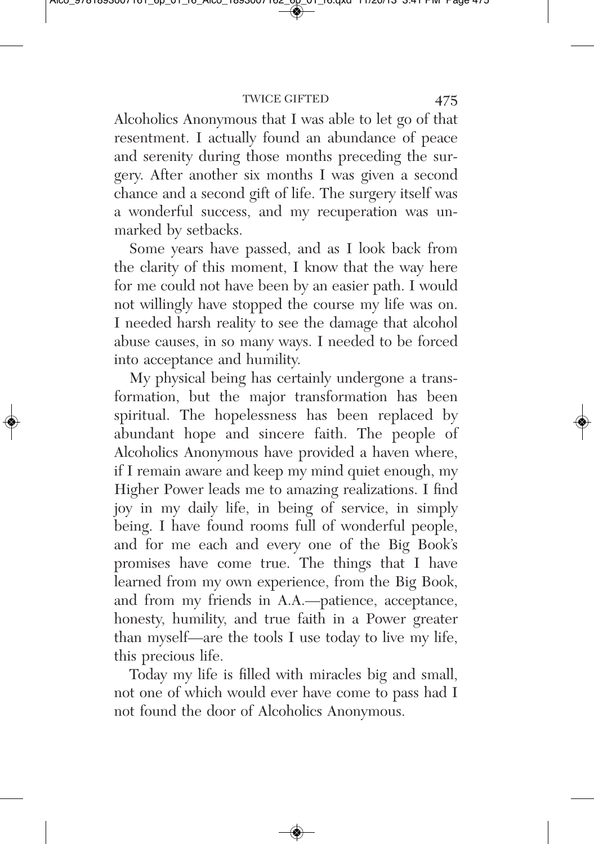Alcoholics Anonymous that I was able to let go of that resentment. I actually found an abundance of peace and serenity during those months preceding the surgery. After another six months I was given a second chance and a second gift of life. The surgery itself was a wonderful success, and my recuperation was unmarked by setbacks.

Some years have passed, and as I look back from the clarity of this moment, I know that the way here for me could not have been by an easier path. I would not willingly have stopped the course my life was on. I needed harsh reality to see the damage that alcohol abuse causes, in so many ways. I needed to be forced into acceptance and humility.

My physical being has certainly undergone a transformation, but the major transformation has been spiritual. The hopelessness has been replaced by abundant hope and sincere faith. The people of Alcoholics Anonymous have provided a haven where, if I remain aware and keep my mind quiet enough, my Higher Power leads me to amazing realizations. I find joy in my daily life, in being of service, in simply being. I have found rooms full of wonderful people, and for me each and every one of the Big Book's promises have come true. The things that I have learned from my own experience, from the Big Book, and from my friends in A.A.—patience, acceptance, honesty, humility, and true faith in a Power greater than myself—are the tools I use today to live my life, this precious life.

Today my life is filled with miracles big and small, not one of which would ever have come to pass had I not found the door of Alcoholics Anonymous.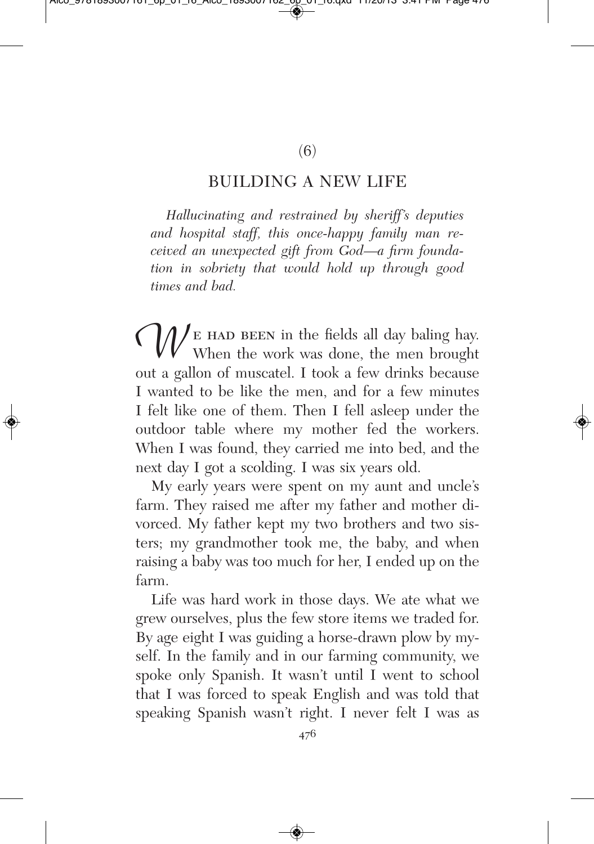## BUILDING A NEW LIFE

*Hallucinating and restrained by sheriff's deputies and hospital staff, this once-happy family man received an unexpected gift from God—a firm foundation in sobriety that would hold up through good times and bad.*

WE HAD BEEN in the fields all day baling hay.<br>When the work was done, the men brought<br>out a gallon of muscatel. I took a few drinks because When the work was done, the men brought out a gallon of muscatel. I took a few drinks because I wanted to be like the men, and for a few minutes I felt like one of them. Then I fell asleep under the outdoor table where my mother fed the workers. When I was found, they carried me into bed, and the next day I got a scolding. I was six years old.

My early years were spent on my aunt and uncle's farm. They raised me after my father and mother divorced. My father kept my two brothers and two sisters; my grandmother took me, the baby, and when raising a baby was too much for her, I ended up on the farm.

Life was hard work in those days. We ate what we grew ourselves, plus the few store items we traded for. By age eight I was guiding a horse-drawn plow by myself. In the family and in our farming community, we spoke only Spanish. It wasn't until I went to school that I was forced to speak English and was told that speaking Spanish wasn't right. I never felt I was as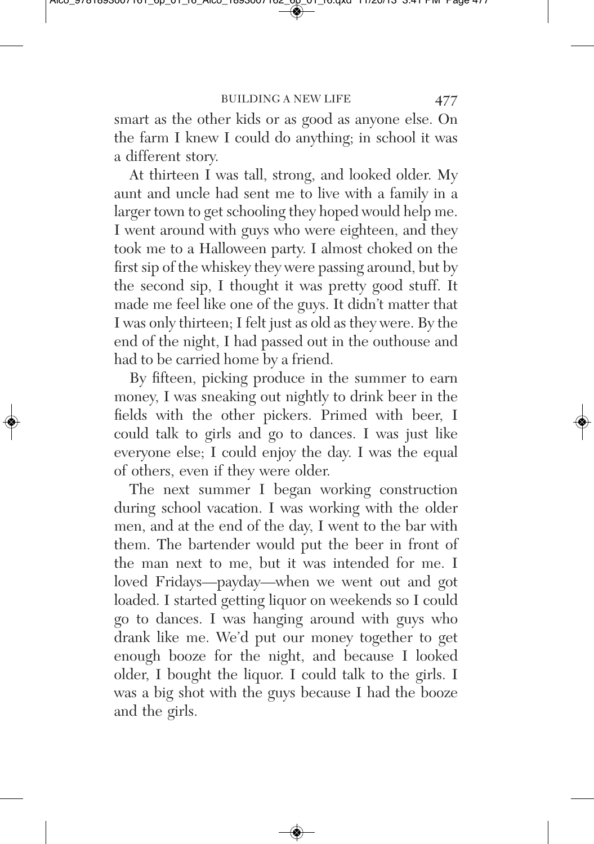smart as the other kids or as good as anyone else. On the farm I knew I could do anything; in school it was a different story.

At thirteen I was tall, strong, and looked older. My aunt and uncle had sent me to live with a family in a larger town to get schooling they hoped would help me. I went around with guys who were eighteen, and they took me to a Halloween party. I almost choked on the first sip of the whiskey they were passing around, but by the second sip, I thought it was pretty good stuff. It made me feel like one of the guys. It didn't matter that I was only thirteen; I felt just as old as they were. By the end of the night, I had passed out in the outhouse and had to be carried home by a friend.

By fifteen, picking produce in the summer to earn money, I was sneaking out nightly to drink beer in the fields with the other pickers. Primed with beer, I could talk to girls and go to dances. I was just like everyone else; I could enjoy the day. I was the equal of others, even if they were older.

The next summer I began working construction during school vacation. I was working with the older men, and at the end of the day, I went to the bar with them. The bartender would put the beer in front of the man next to me, but it was intended for me. I loved Fridays—payday—when we went out and got loaded. I started getting liquor on weekends so I could go to dances. I was hanging around with guys who drank like me. We'd put our money together to get enough booze for the night, and because I looked older, I bought the liquor. I could talk to the girls. I was a big shot with the guys because I had the booze and the girls.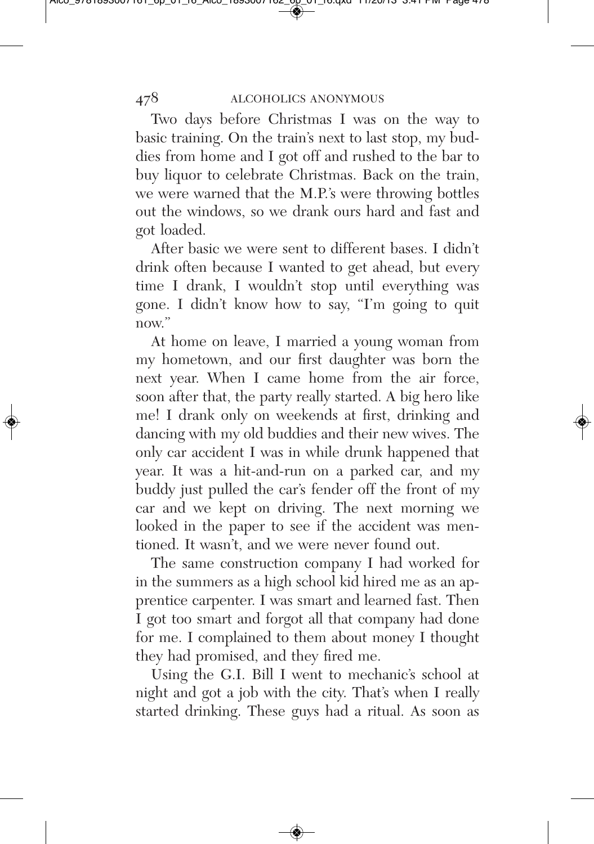Two days before Christmas I was on the way to basic training. On the train's next to last stop, my buddies from home and I got off and rushed to the bar to buy liquor to celebrate Christmas. Back on the train, we were warned that the M.P.'s were throwing bottles out the windows, so we drank ours hard and fast and got loaded.

After basic we were sent to different bases. I didn't drink often because I wanted to get ahead, but every time I drank, I wouldn't stop until everything was gone. I didn't know how to say, "I'm going to quit now"

At home on leave, I married a young woman from my hometown, and our first daughter was born the next year. When I came home from the air force, soon after that, the party really started. A big hero like me! I drank only on weekends at first, drinking and dancing with my old buddies and their new wives. The only car accident I was in while drunk happened that year. It was a hit-and-run on a parked car, and my buddy just pulled the car's fender off the front of my car and we kept on driving. The next morning we looked in the paper to see if the accident was mentioned. It wasn't, and we were never found out.

The same construction company I had worked for in the summers as a high school kid hired me as an apprentice carpenter. I was smart and learned fast. Then I got too smart and forgot all that company had done for me. I complained to them about money I thought they had promised, and they fired me.

Using the G.I. Bill I went to mechanic's school at night and got a job with the city. That's when I really started drinking. These guys had a ritual. As soon as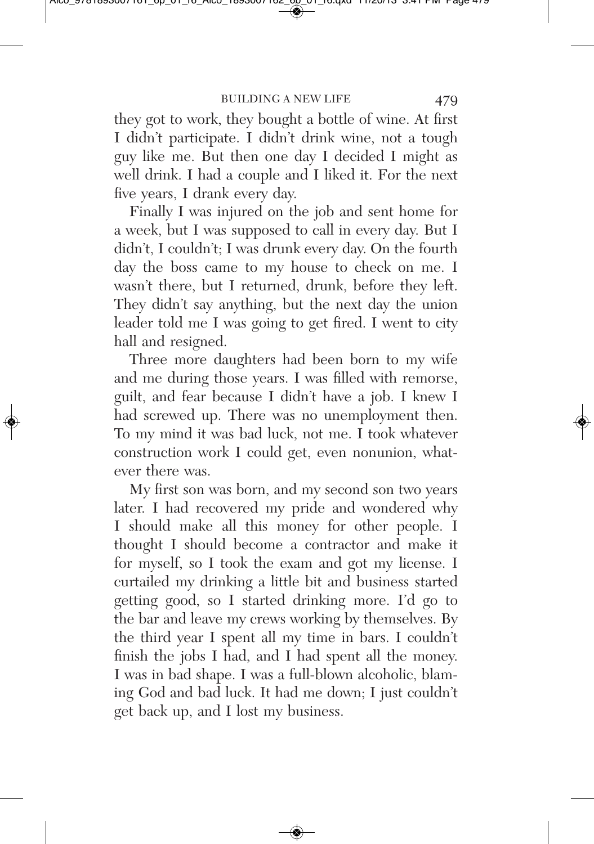they got to work, they bought a bottle of wine. At first I didn't participate. I didn't drink wine, not a tough guy like me. But then one day I decided I might as well drink. I had a couple and I liked it. For the next five years, I drank every day.

Finally I was injured on the job and sent home for a week, but I was supposed to call in every day. But I didn't, I couldn't; I was drunk every day. On the fourth day the boss came to my house to check on me. I wasn't there, but I returned, drunk, before they left. They didn't say anything, but the next day the union leader told me I was going to get fired. I went to city hall and resigned.

Three more daughters had been born to my wife and me during those years. I was filled with remorse, guilt, and fear because I didn't have a job. I knew I had screwed up. There was no unemployment then. To my mind it was bad luck, not me. I took whatever construction work I could get, even nonunion, whatever there was.

My first son was born, and my second son two years later. I had recovered my pride and wondered why I should make all this money for other people. I thought I should become a contractor and make it for myself, so I took the exam and got my license. I curtailed my drinking a little bit and business started getting good, so I started drinking more. I'd go to the bar and leave my crews working by themselves. By the third year I spent all my time in bars. I couldn't finish the jobs I had, and I had spent all the money. I was in bad shape. I was a full-blown alcoholic, blaming God and bad luck. It had me down; I just couldn't get back up, and I lost my business.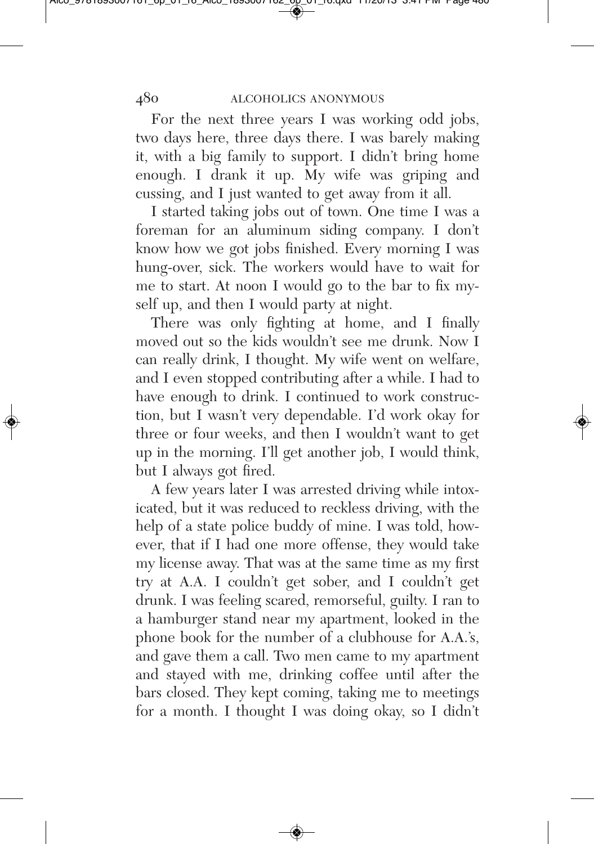For the next three years I was working odd jobs, two days here, three days there. I was barely making it, with a big family to support. I didn't bring home enough. I drank it up. My wife was griping and cussing, and I just wanted to get away from it all.

I started taking jobs out of town. One time I was a foreman for an aluminum siding company. I don't know how we got jobs finished. Every morning I was hung-over, sick. The workers would have to wait for me to start. At noon I would go to the bar to fix myself up, and then I would party at night.

There was only fighting at home, and I finally moved out so the kids wouldn't see me drunk. Now I can really drink, I thought. My wife went on welfare, and I even stopped contributing after a while. I had to have enough to drink. I continued to work construction, but I wasn't very dependable. I'd work okay for three or four weeks, and then I wouldn't want to get up in the morning. I'll get another job, I would think, but I always got fired.

A few years later I was arrested driving while intoxicated, but it was reduced to reckless driving, with the help of a state police buddy of mine. I was told, however, that if I had one more offense, they would take my license away. That was at the same time as my first try at A.A. I couldn't get sober, and I couldn't get drunk. I was feeling scared, remorseful, guilty. I ran to a hamburger stand near my apartment, looked in the phone book for the number of a clubhouse for A.A.'s, and gave them a call. Two men came to my apartment and stayed with me, drinking coffee until after the bars closed. They kept coming, taking me to meetings for a month. I thought I was doing okay, so I didn't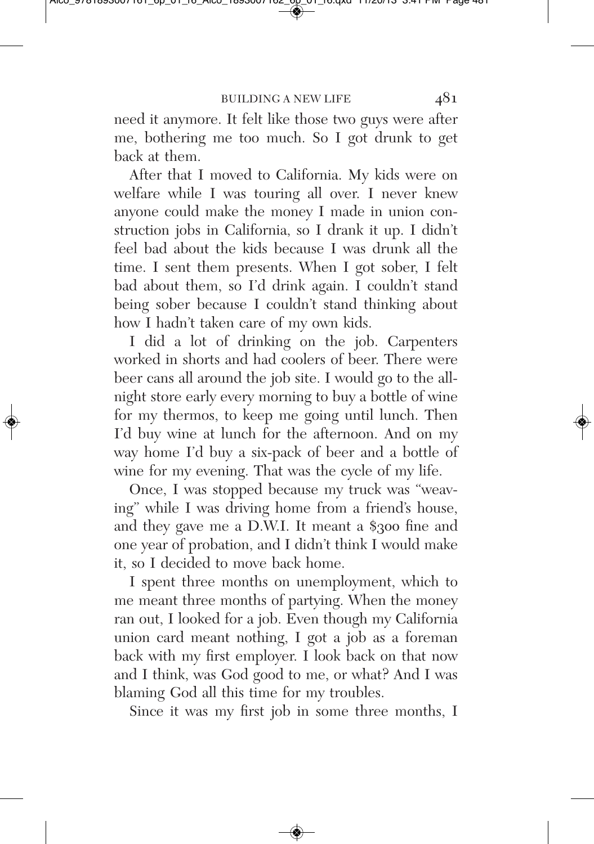need it anymore. It felt like those two guys were after me, bothering me too much. So I got drunk to get back at them.

After that I moved to California. My kids were on welfare while I was touring all over. I never knew anyone could make the money I made in union construction jobs in California, so I drank it up. I didn't feel bad about the kids because I was drunk all the time. I sent them presents. When I got sober, I felt bad about them, so I'd drink again. I couldn't stand being sober because I couldn't stand thinking about how I hadn't taken care of my own kids.

I did a lot of drinking on the job. Carpenters worked in shorts and had coolers of beer. There were beer cans all around the job site. I would go to the allnight store early every morning to buy a bottle of wine for my thermos, to keep me going until lunch. Then I'd buy wine at lunch for the afternoon. And on my way home I'd buy a six-pack of beer and a bottle of wine for my evening. That was the cycle of my life.

Once, I was stopped because my truck was "weaving" while I was driving home from a friend's house, and they gave me a D.W.I. It meant a \$300 fine and one year of probation, and I didn't think I would make it, so I decided to move back home.

I spent three months on unemployment, which to me meant three months of partying. When the money ran out, I looked for a job. Even though my California union card meant nothing, I got a job as a foreman back with my first employer. I look back on that now and I think, was God good to me, or what? And I was blaming God all this time for my troubles.

Since it was my first job in some three months, I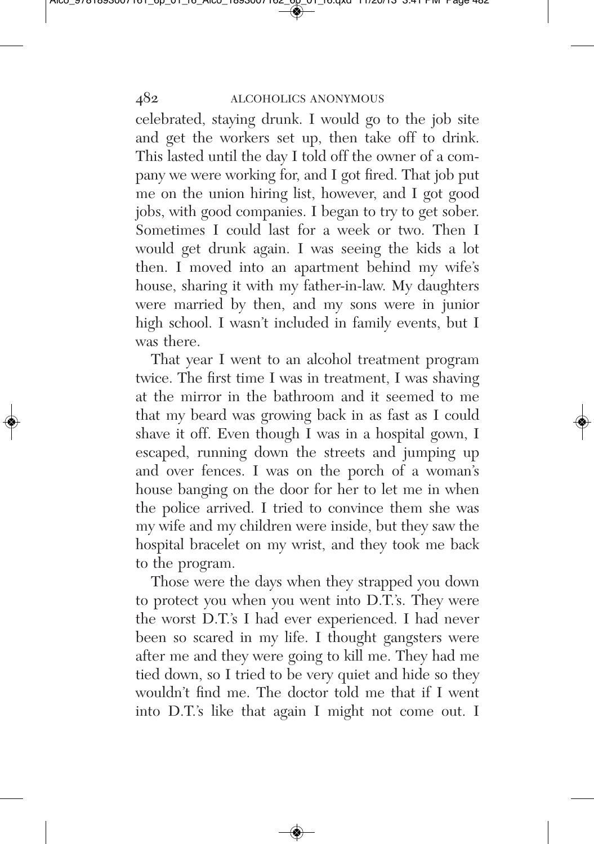celebrated, staying drunk. I would go to the job site and get the workers set up, then take off to drink. This lasted until the day I told off the owner of a company we were working for, and I got fired. That job put me on the union hiring list, however, and I got good jobs, with good companies. I began to try to get sober. Sometimes I could last for a week or two. Then I would get drunk again. I was seeing the kids a lot then. I moved into an apartment behind my wife's house, sharing it with my father-in-law. My daughters were married by then, and my sons were in junior high school. I wasn't included in family events, but I was there.

That year I went to an alcohol treatment program twice. The first time I was in treatment, I was shaving at the mirror in the bathroom and it seemed to me that my beard was growing back in as fast as I could shave it off. Even though I was in a hospital gown, I escaped, running down the streets and jumping up and over fences. I was on the porch of a woman's house banging on the door for her to let me in when the police arrived. I tried to convince them she was my wife and my children were inside, but they saw the hospital bracelet on my wrist, and they took me back to the program.

Those were the days when they strapped you down to protect you when you went into D.T.'s. They were the worst D.T.'s I had ever experienced. I had never been so scared in my life. I thought gangsters were after me and they were going to kill me. They had me tied down, so I tried to be very quiet and hide so they wouldn't find me. The doctor told me that if I went into D.T.'s like that again I might not come out. I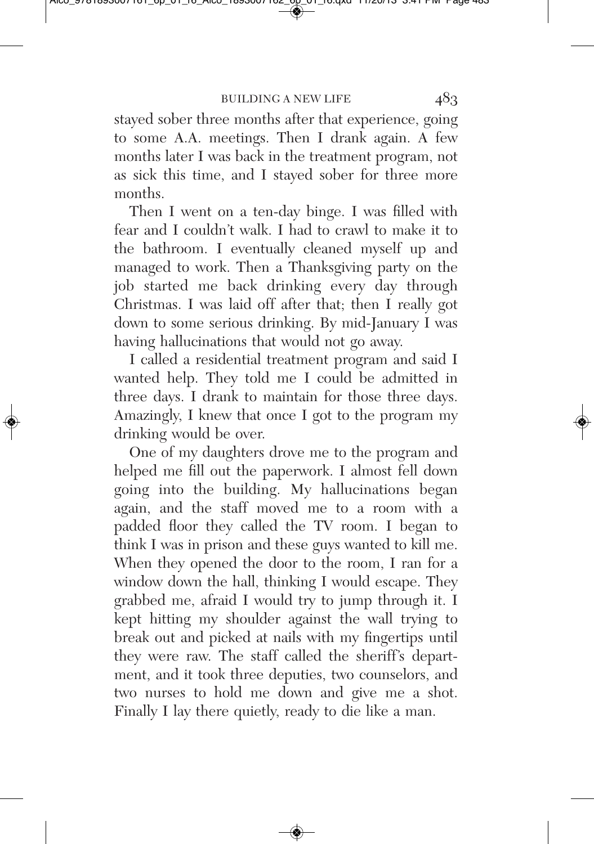stayed sober three months after that experience, going to some A.A. meetings. Then I drank again. A few months later I was back in the treatment program, not as sick this time, and I stayed sober for three more months.

Then I went on a ten-day binge. I was filled with fear and I couldn't walk. I had to crawl to make it to the bathroom. I eventually cleaned myself up and managed to work. Then a Thanksgiving party on the job started me back drinking every day through Christmas. I was laid off after that; then I really got down to some serious drinking. By mid-January I was having hallucinations that would not go away.

I called a residential treatment program and said I wanted help. They told me I could be admitted in three days. I drank to maintain for those three days. Amazingly, I knew that once I got to the program my drinking would be over.

One of my daughters drove me to the program and helped me fill out the paperwork. I almost fell down going into the building. My hallucinations began again, and the staff moved me to a room with a padded floor they called the TV room. I began to think I was in prison and these guys wanted to kill me. When they opened the door to the room, I ran for a window down the hall, thinking I would escape. They grabbed me, afraid I would try to jump through it. I kept hitting my shoulder against the wall trying to break out and picked at nails with my fingertips until they were raw. The staff called the sheriff's department, and it took three deputies, two counselors, and two nurses to hold me down and give me a shot. Finally I lay there quietly, ready to die like a man.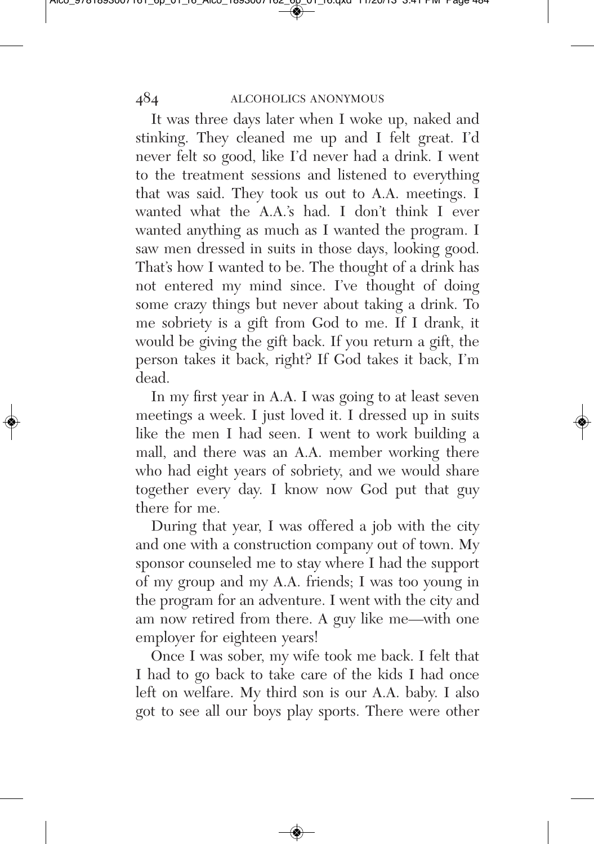It was three days later when I woke up, naked and stinking. They cleaned me up and I felt great. I'd never felt so good, like I'd never had a drink. I went to the treatment sessions and listened to everything that was said. They took us out to A.A. meetings. I wanted what the A.A.'s had. I don't think I ever wanted anything as much as I wanted the program. I saw men dressed in suits in those days, looking good. That's how I wanted to be. The thought of a drink has not entered my mind since. I've thought of doing some crazy things but never about taking a drink. To me sobriety is a gift from God to me. If I drank, it would be giving the gift back. If you return a gift, the person takes it back, right? If God takes it back, I'm dead.

In my first year in A.A. I was going to at least seven meetings a week. I just loved it. I dressed up in suits like the men I had seen. I went to work building a mall, and there was an A.A. member working there who had eight years of sobriety, and we would share together every day. I know now God put that guy there for me.

During that year, I was offered a job with the city and one with a construction company out of town. My sponsor counseled me to stay where I had the support of my group and my A.A. friends; I was too young in the program for an adventure. I went with the city and am now retired from there. A guy like me—with one employer for eighteen years!

Once I was sober, my wife took me back. I felt that I had to go back to take care of the kids I had once left on welfare. My third son is our A.A. baby. I also got to see all our boys play sports. There were other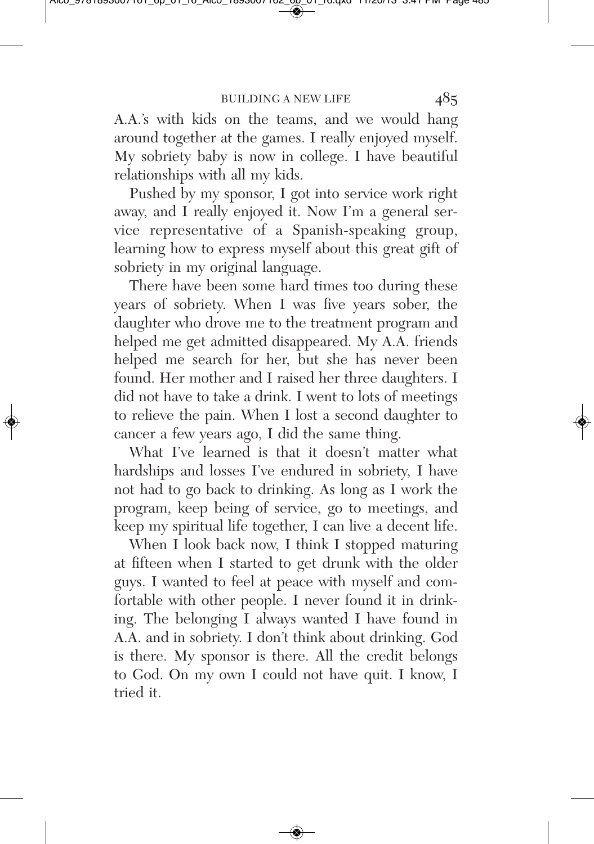A.A.'s with kids on the teams, and we would hang around together at the games. I really enjoyed myself. My sobriety baby is now in college. I have beautiful relationships with all my kids.

Pushed by my sponsor, I got into service work right away, and I really enjoyed it. Now I'm a general ser vice representative of a Spanish-speaking group, learning how to express myself about this great gift of sobriety in my original language.

There have been some hard times too during these years of sobriety. When I was five years sober, the daughter who drove me to the treatment program and helped me get admitted disappeared. My A.A. friends helped me search for her, but she has never been found. Her mother and I raised her three daughters. I did not have to take a drink. I went to lots of meetings to relieve the pain. When I lost a second daughter to cancer a few years ago, I did the same thing.

What I've learned is that it doesn't matter what hardships and losses I've endured in sobriety, I have not had to go back to drinking. As long as I work the program, keep being of service, go to meetings, and keep my spiritual life together, I can live a decent life.

When I look back now, I think I stopped maturing at fifteen when I started to get drunk with the older guys. I wanted to feel at peace with myself and comfortable with other people. I never found it in drinking. The belonging I always wanted I have found in A.A. and in sobriety. I don't think about drinking. God is there. My sponsor is there. All the credit belongs to God. On my own I could not have quit. I know, I tried it.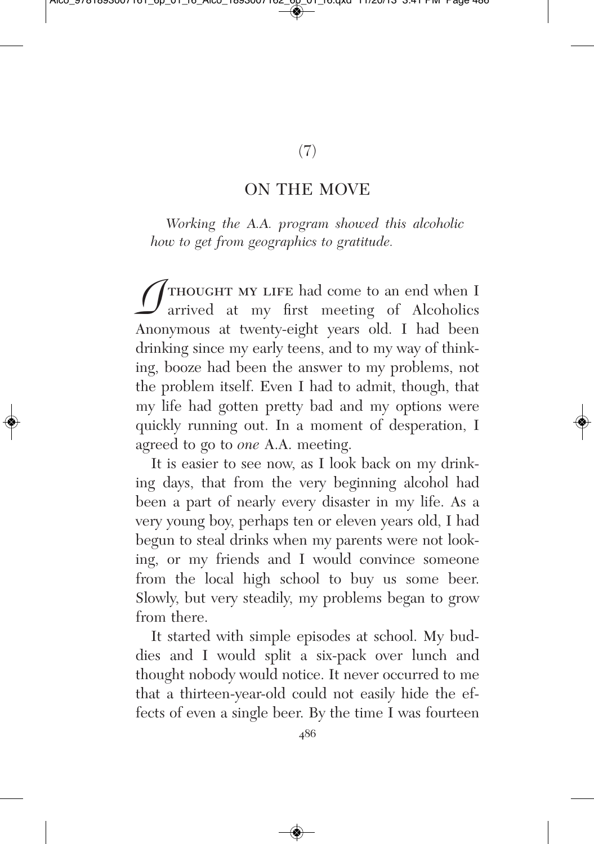#### ON THE MOVE

*Working the A.A. program showed this alcoholic how to get from geographics to gratitude.*

ITHOUGHT MY LIFE had come to an end when I arrived at my first meeting of Alcoholics Anonymous at twenty-eight years old. I had been drinking since my early teens, and to my way of thinking, booze had been the answer to my problems, not the problem itself. Even I had to admit, though, that my life had gotten pretty bad and my options were quickly running out. In a moment of desperation, I agreed to go to *one* A.A. meeting.

It is easier to see now, as I look back on my drinking days, that from the very beginning alcohol had been a part of nearly every disaster in my life. As a very young boy, perhaps ten or eleven years old, I had begun to steal drinks when my parents were not looking, or my friends and I would convince someone from the local high school to buy us some beer. Slowly, but very steadily, my problems began to grow from there.

It started with simple episodes at school. My buddies and I would split a six-pack over lunch and thought nobody would notice. It never occurred to me that a thirteen-year-old could not easily hide the effects of even a single beer. By the time I was fourteen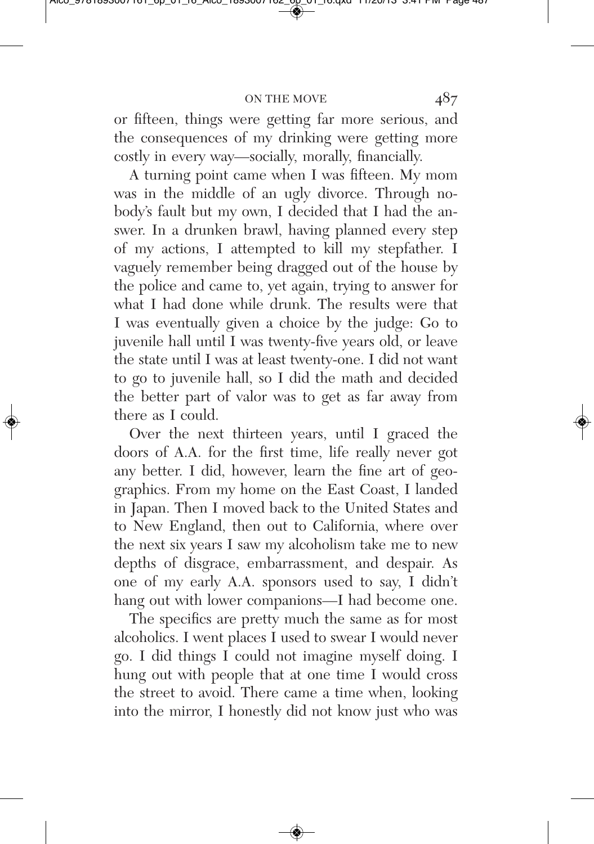or fifteen, things were getting far more serious, and the consequences of my drinking were getting more costly in every way—socially, morally, financially.

A turning point came when I was fifteen. My mom was in the middle of an ugly divorce. Through nobody's fault but my own, I decided that I had the answer. In a drunken brawl, having planned every step of my actions, I attempted to kill my stepfather. I vaguely remember being dragged out of the house by the police and came to, yet again, trying to answer for what I had done while drunk. The results were that I was eventually given a choice by the judge: Go to juvenile hall until I was twenty-five years old, or leave the state until I was at least twenty-one. I did not want to go to juvenile hall, so I did the math and decided the better part of valor was to get as far away from there as I could.

Over the next thirteen years, until I graced the doors of A.A. for the first time, life really never got any better. I did, however, learn the fine art of geographics. From my home on the East Coast, I landed in Japan. Then I moved back to the United States and to New England, then out to California, where over the next six years I saw my alcoholism take me to new depths of disgrace, embarrassment, and despair. As one of my early A.A. sponsors used to say, I didn't hang out with lower companions—I had become one.

The specifics are pretty much the same as for most alcoholics. I went places I used to swear I would never go. I did things I could not imagine myself doing. I hung out with people that at one time I would cross the street to avoid. There came a time when, looking into the mirror, I honestly did not know just who was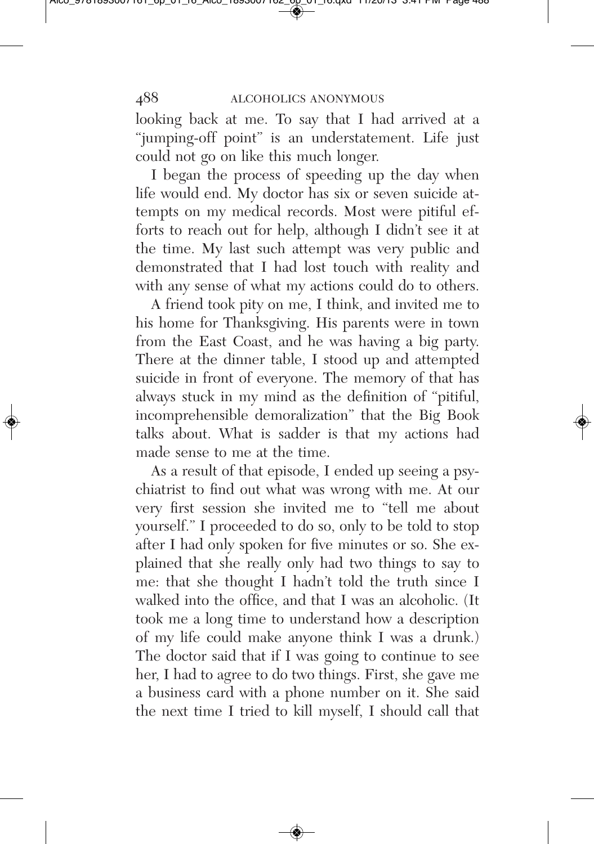looking back at me. To say that I had arrived at a "jumping-off point" is an understatement. Life just could not go on like this much longer.

I began the process of speeding up the day when life would end. My doctor has six or seven suicide attempts on my medical records. Most were pitiful efforts to reach out for help, although I didn't see it at the time. My last such attempt was very public and demonstrated that I had lost touch with reality and with any sense of what my actions could do to others.

A friend took pity on me, I think, and invited me to his home for Thanksgiving. His parents were in town from the East Coast, and he was having a big party. There at the dinner table, I stood up and attempted suicide in front of everyone. The memory of that has always stuck in my mind as the definition of "pitiful, incomprehensible demoralization" that the Big Book talks about. What is sadder is that my actions had made sense to me at the time.

As a result of that episode, I ended up seeing a psychiatrist to find out what was wrong with me. At our very first session she invited me to "tell me about yourself." I proceeded to do so, only to be told to stop after I had only spoken for five minutes or so. She explained that she really only had two things to say to me: that she thought I hadn't told the truth since I walked into the office, and that I was an alcoholic. (It took me a long time to understand how a description of my life could make anyone think I was a drunk.) The doctor said that if I was going to continue to see her, I had to agree to do two things. First, she gave me a business card with a phone number on it. She said the next time I tried to kill myself, I should call that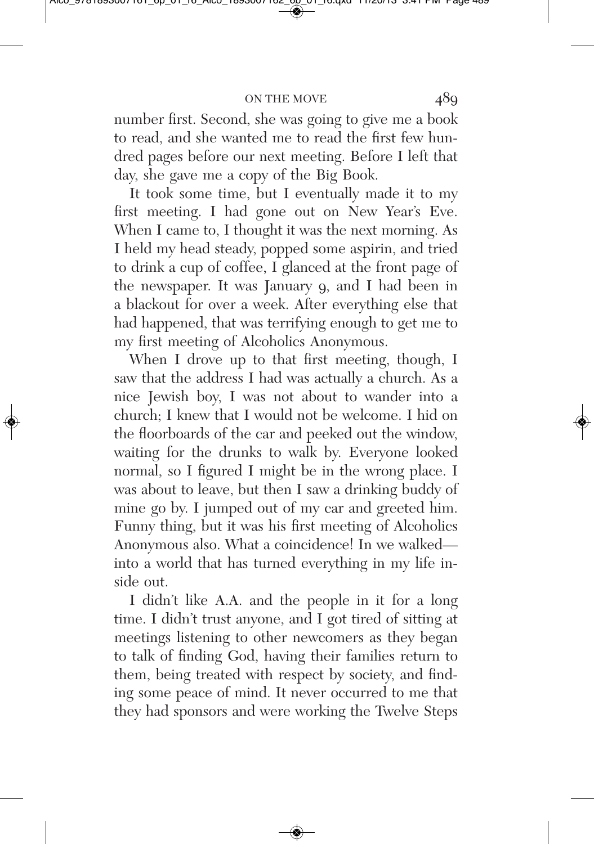number first. Second, she was going to give me a book to read, and she wanted me to read the first few hundred pages before our next meeting. Before I left that day, she gave me a copy of the Big Book.

It took some time, but I eventually made it to my first meeting. I had gone out on New Year's Eve. When I came to, I thought it was the next morning. As I held my head steady, popped some aspirin, and tried to drink a cup of coffee, I glanced at the front page of the newspaper. It was January 9, and I had been in a blackout for over a week. After everything else that had happened, that was terrifying enough to get me to my first meeting of Alcoholics Anonymous.

When I drove up to that first meeting, though, I saw that the address I had was actually a church. As a nice Jewish boy, I was not about to wander into a church; I knew that I would not be welcome. I hid on the floorboards of the car and peeked out the window, waiting for the drunks to walk by. Everyone looked normal, so I figured I might be in the wrong place. I was about to leave, but then I saw a drinking buddy of mine go by. I jumped out of my car and greeted him. Funny thing, but it was his first meeting of Alcoholics Anonymous also. What a coincidence! In we walked into a world that has turned everything in my life inside out.

I didn't like A.A. and the people in it for a long time. I didn't trust anyone, and I got tired of sitting at meetings listening to other newcomers as they began to talk of finding God, having their families return to them, being treated with respect by society, and finding some peace of mind. It never occurred to me that they had sponsors and were working the Twelve Steps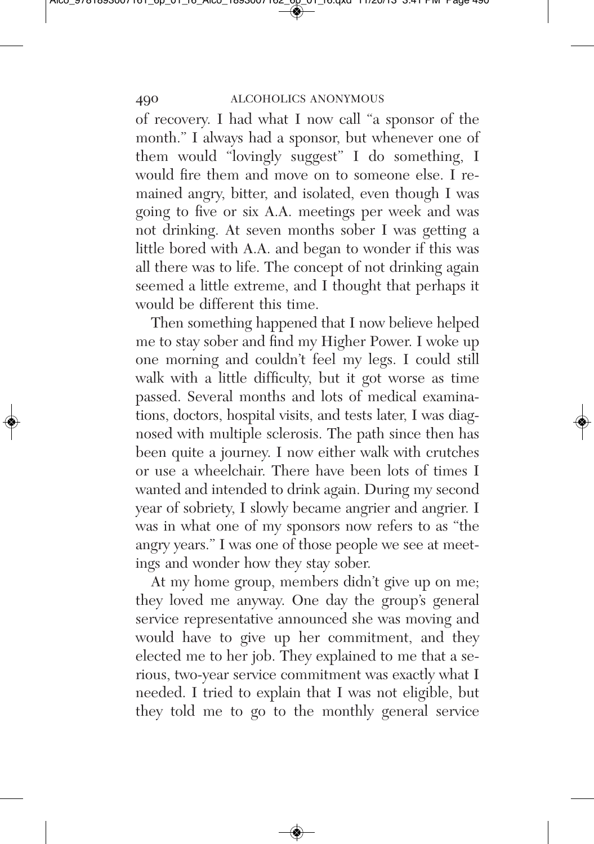of recovery. I had what I now call "a sponsor of the month." I always had a sponsor, but whenever one of them would "lovingly suggest" I do something, I would fire them and move on to someone else. I remained angry, bitter, and isolated, even though I was going to five or six A.A. meetings per week and was not drinking. At seven months sober I was getting a little bored with A.A. and began to wonder if this was all there was to life. The concept of not drinking again seemed a little extreme, and I thought that perhaps it would be different this time.

Then something happened that I now believe helped me to stay sober and find my Higher Power. I woke up one morning and couldn't feel my legs. I could still walk with a little difficulty, but it got worse as time passed. Several months and lots of medical examinations, doctors, hospital visits, and tests later, I was diagnosed with multiple sclerosis. The path since then has been quite a journey. I now either walk with crutches or use a wheelchair. There have been lots of times I wanted and intended to drink again. During my second year of sobriety, I slowly became angrier and angrier. I was in what one of my sponsors now refers to as "the angry years." I was one of those people we see at meetings and wonder how they stay sober.

At my home group, members didn't give up on me; they loved me anyway. One day the group's general service representative announced she was moving and would have to give up her commitment, and they elected me to her job. They explained to me that a serious, two-year service commitment was exactly what I needed. I tried to explain that I was not eligible, but they told me to go to the monthly general service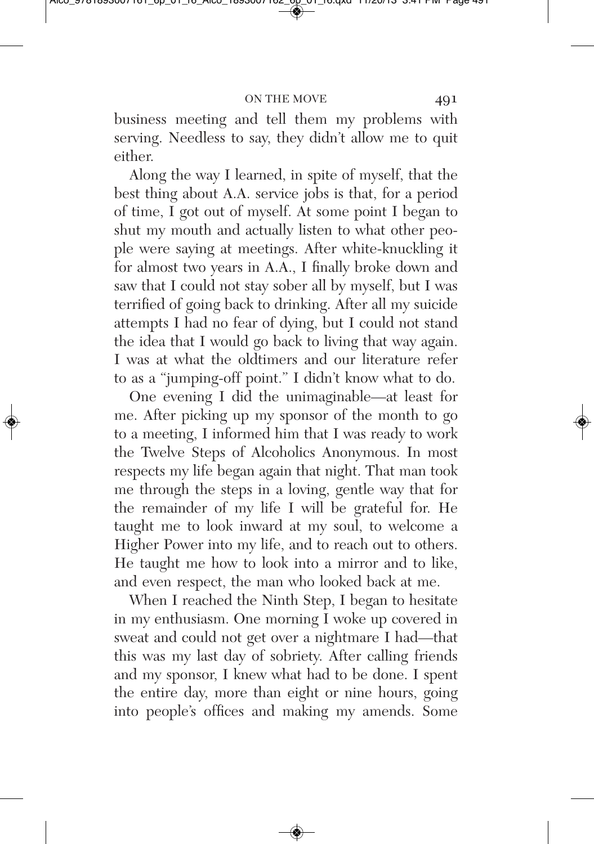business meeting and tell them my problems with serving. Needless to say, they didn't allow me to quit either.

Along the way I learned, in spite of myself, that the best thing about A.A. service jobs is that, for a period of time, I got out of myself. At some point I began to shut my mouth and actually listen to what other people were saying at meetings. After white-knuckling it for almost two years in A.A., I finally broke down and saw that I could not stay sober all by myself, but I was terrified of going back to drinking. After all my suicide attempts I had no fear of dying, but I could not stand the idea that I would go back to living that way again. I was at what the oldtimers and our literature refer to as a "jumping-off point." I didn't know what to do.

One evening I did the unimaginable—at least for me. After picking up my sponsor of the month to go to a meeting, I informed him that I was ready to work the Twelve Steps of Alcoholics Anonymous. In most respects my life began again that night. That man took me through the steps in a loving, gentle way that for the remainder of my life I will be grateful for. He taught me to look inward at my soul, to welcome a Higher Power into my life, and to reach out to others. He taught me how to look into a mirror and to like, and even respect, the man who looked back at me.

When I reached the Ninth Step, I began to hesitate in my enthusiasm. One morning I woke up covered in sweat and could not get over a nightmare I had—that this was my last day of sobriety. After calling friends and my sponsor, I knew what had to be done. I spent the entire day, more than eight or nine hours, going into people's offices and making my amends. Some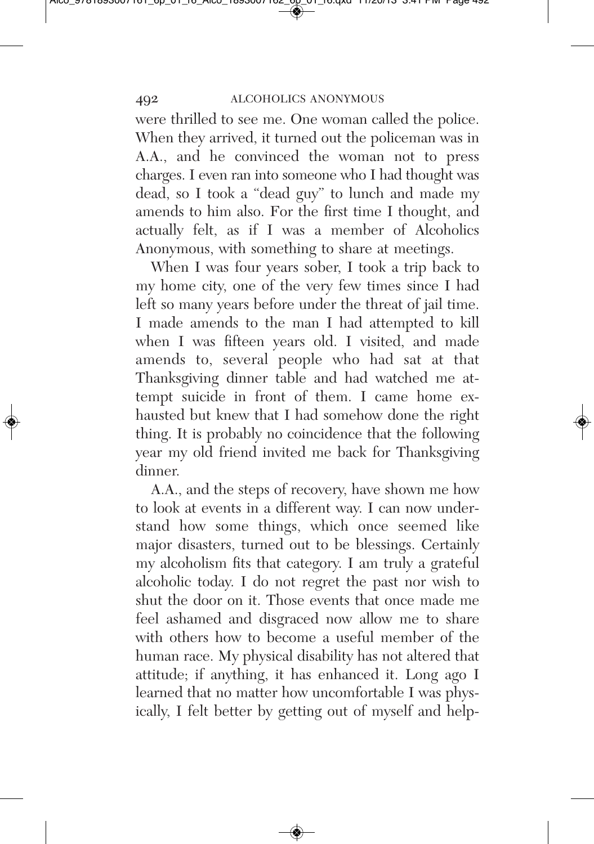were thrilled to see me. One woman called the police. When they arrived, it turned out the policeman was in A.A., and he convinced the woman not to press charges. I even ran into someone who I had thought was dead, so I took a "dead guy" to lunch and made my amends to him also. For the first time I thought, and actually felt, as if I was a member of Alcoholics Anonymous, with something to share at meetings.

When I was four years sober, I took a trip back to my home city, one of the very few times since I had left so many years before under the threat of jail time. I made amends to the man I had attempted to kill when I was fifteen years old. I visited, and made amends to, several people who had sat at that Thanksgiving dinner table and had watched me attempt suicide in front of them. I came home exhausted but knew that I had somehow done the right thing. It is probably no coincidence that the following year my old friend invited me back for Thanksgiving dinner.

A.A., and the steps of recovery, have shown me how to look at events in a different way. I can now understand how some things, which once seemed like major disasters, turned out to be blessings. Certainly my alcoholism fits that category. I am truly a grateful alcoholic today. I do not regret the past nor wish to shut the door on it. Those events that once made me feel ashamed and disgraced now allow me to share with others how to become a useful member of the human race. My physical disability has not altered that attitude; if anything, it has enhanced it. Long ago I learned that no matter how uncomfortable I was physically, I felt better by getting out of myself and help-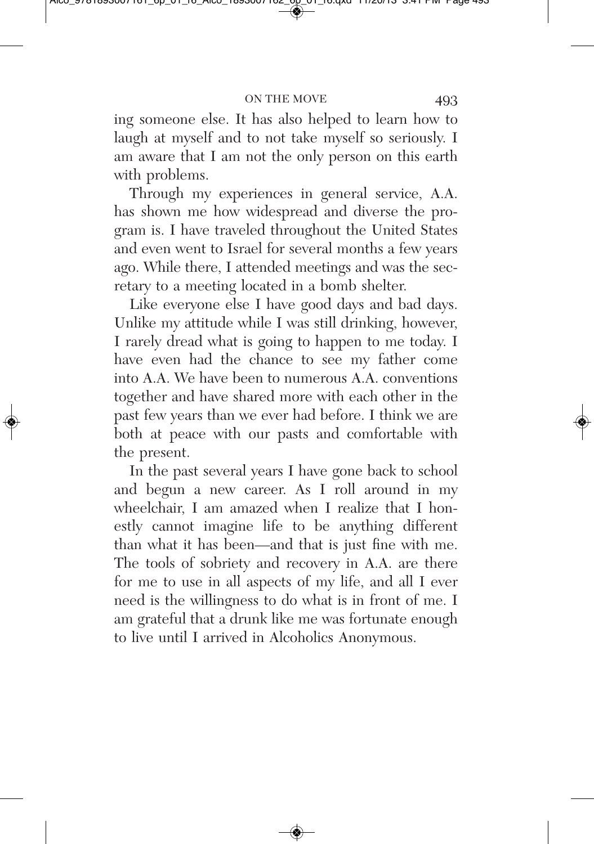ing someone else. It has also helped to learn how to laugh at myself and to not take myself so seriously. I am aware that I am not the only person on this earth with problems.

Through my experiences in general service, A.A. has shown me how widespread and diverse the program is. I have traveled throughout the United States and even went to Israel for several months a few years ago. While there, I attended meetings and was the secretary to a meeting located in a bomb shelter.

Like everyone else I have good days and bad days. Unlike my attitude while I was still drinking, however, I rarely dread what is going to happen to me today. I have even had the chance to see my father come into A.A. We have been to numerous A.A. conventions together and have shared more with each other in the past few years than we ever had before. I think we are both at peace with our pasts and comfortable with the present.

In the past several years I have gone back to school and begun a new career. As I roll around in my wheelchair, I am amazed when I realize that I honestly cannot imagine life to be anything different than what it has been—and that is just fine with me. The tools of sobriety and recovery in A.A. are there for me to use in all aspects of my life, and all I ever need is the willingness to do what is in front of me. I am grateful that a drunk like me was fortunate enough to live until I arrived in Alcoholics Anonymous.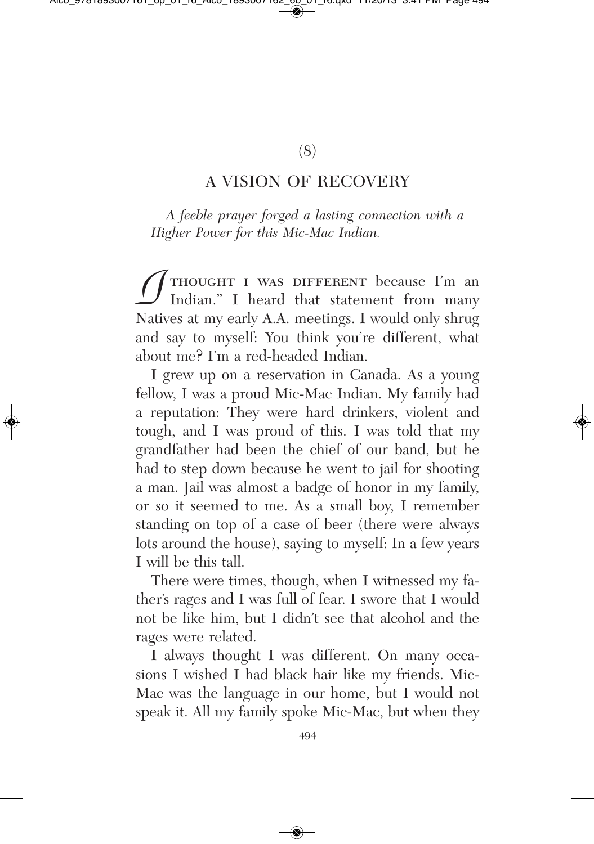### A VISION OF RECOVERY

*A feeble prayer forged a lasting connection with a Higher Power for this Mic-Mac Indian.*

*I* thought i was different because I'm an Indian." I heard that statement from many Natives at my early A.A. meetings. I would only shrug and say to myself: You think you're different, what about me? I'm a red-headed Indian.

I grew up on a reservation in Canada. As a young fellow, I was a proud Mic-Mac Indian. My family had a reputation: They were hard drinkers, violent and tough, and I was proud of this. I was told that my grandfather had been the chief of our band, but he had to step down because he went to jail for shooting a man. Jail was almost a badge of honor in my family, or so it seemed to me. As a small boy, I remember standing on top of a case of beer (there were always lots around the house), saying to myself: In a few years I will be this tall.

There were times, though, when I witnessed my father's rages and I was full of fear. I swore that I would not be like him, but I didn't see that alcohol and the rages were related.

I always thought I was different. On many occasions I wished I had black hair like my friends. Mic-Mac was the language in our home, but I would not speak it. All my family spoke Mic-Mac, but when they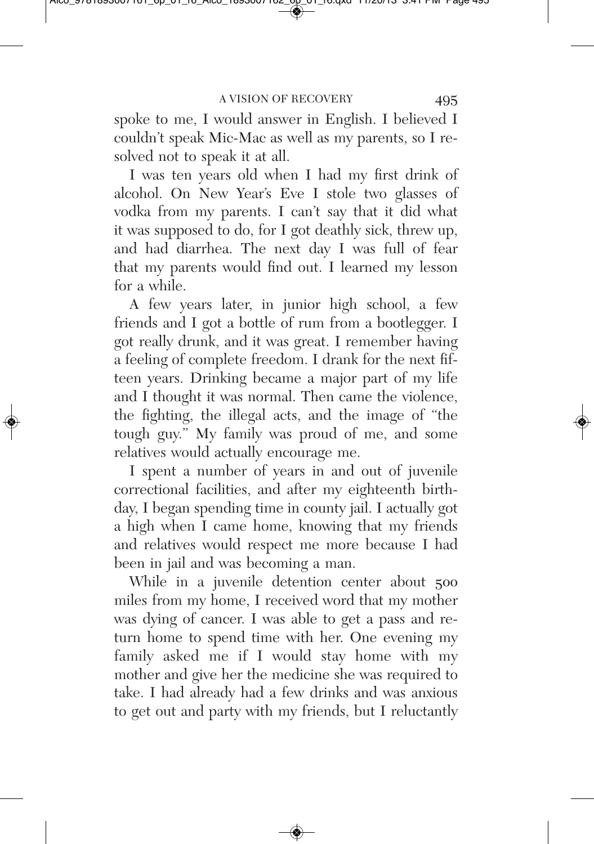spoke to me, I would answer in English. I believed I couldn't speak Mic-Mac as well as my parents, so I resolved not to speak it at all.

I was ten years old when I had my first drink of alcohol. On New Year's Eve I stole two glasses of vodka from my parents. I can't say that it did what it was supposed to do, for I got deathly sick, threw up, and had diarrhea. The next day I was full of fear that my parents would find out. I learned my lesson for a while.

A few years later, in junior high school, a few friends and I got a bottle of rum from a bootlegger. I got really drunk, and it was great. I remember having a feeling of complete freedom. I drank for the next fifteen years. Drinking became a major part of my life and I thought it was normal. Then came the violence, the fighting, the illegal acts, and the image of "the tough guy." My family was proud of me, and some relatives would actually encourage me.

I spent a number of years in and out of juvenile correctional facilities, and after my eighteenth birthday, I began spending time in county jail. I actually got a high when I came home, knowing that my friends and relatives would respect me more because I had been in jail and was becoming a man.

While in a juvenile detention center about 500 miles from my home, I received word that my mother was dying of cancer. I was able to get a pass and return home to spend time with her. One evening my family asked me if I would stay home with my mother and give her the medicine she was required to take. I had already had a few drinks and was anxious to get out and party with my friends, but I reluctantly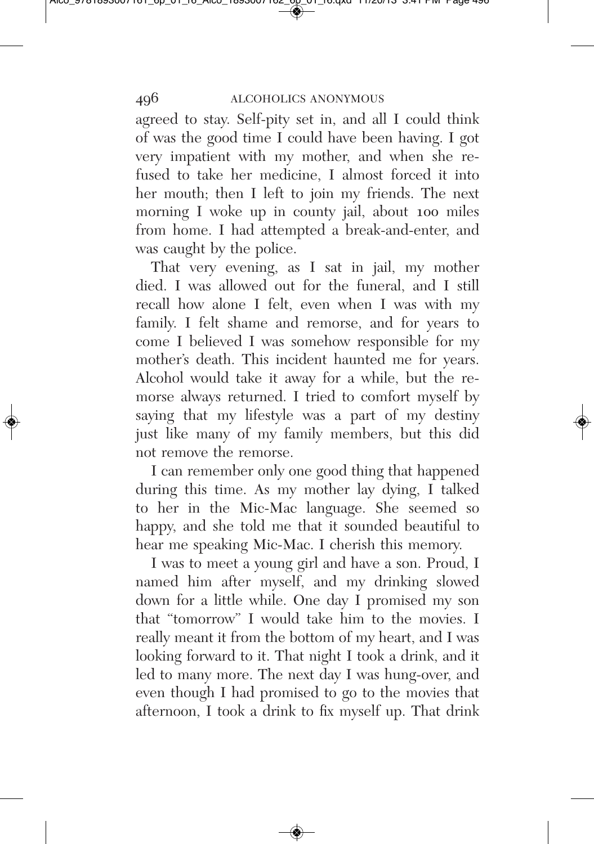agreed to stay. Self-pity set in, and all I could think of was the good time I could have been having. I got very impatient with my mother, and when she refused to take her medicine, I almost forced it into her mouth; then I left to join my friends. The next morning I woke up in county jail, about 100 miles from home. I had attempted a break-and-enter, and was caught by the police.

That very evening, as I sat in jail, my mother died. I was allowed out for the funeral, and I still recall how alone I felt, even when I was with my family. I felt shame and remorse, and for years to come I believed I was somehow responsible for my mother's death. This incident haunted me for years. Alcohol would take it away for a while, but the remorse always returned. I tried to comfort myself by saying that my lifestyle was a part of my destiny just like many of my family members, but this did not remove the remorse.

I can remember only one good thing that happened during this time. As my mother lay dying, I talked to her in the Mic-Mac language. She seemed so happy, and she told me that it sounded beautiful to hear me speaking Mic-Mac. I cherish this memory.

I was to meet a young girl and have a son. Proud, I named him after myself, and my drinking slowed down for a little while. One day I promised my son that "tomorrow" I would take him to the movies. I really meant it from the bottom of my heart, and I was looking forward to it. That night I took a drink, and it led to many more. The next day I was hung-over, and even though I had promised to go to the movies that afternoon, I took a drink to fix myself up. That drink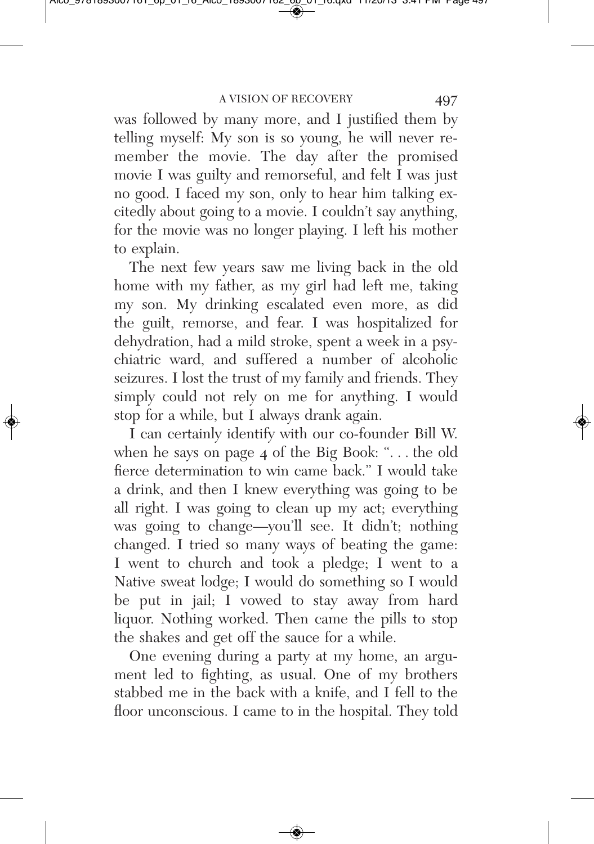was followed by many more, and I justified them by telling myself: My son is so young, he will never remember the movie. The day after the promised movie I was guilty and remorseful, and felt I was just no good. I faced my son, only to hear him talking excitedly about going to a movie. I couldn't say anything, for the movie was no longer playing. I left his mother to explain.

The next few years saw me living back in the old home with my father, as my girl had left me, taking my son. My drinking escalated even more, as did the guilt, remorse, and fear. I was hospitalized for dehydration, had a mild stroke, spent a week in a psychiatric ward, and suffered a number of alcoholic seizures. I lost the trust of my family and friends. They simply could not rely on me for anything. I would stop for a while, but I always drank again.

I can certainly identify with our co-founder Bill W. when he says on page 4 of the Big Book: "... the old fierce determination to win came back." I would take a drink, and then I knew everything was going to be all right. I was going to clean up my act; everything was going to change—you'll see. It didn't; nothing changed. I tried so many ways of beating the game: I went to church and took a pledge; I went to a Native sweat lodge; I would do something so I would be put in jail; I vowed to stay away from hard liquor. Nothing worked. Then came the pills to stop the shakes and get off the sauce for a while.

One evening during a party at my home, an argument led to fighting, as usual. One of my brothers stabbed me in the back with a knife, and I fell to the floor unconscious. I came to in the hospital. They told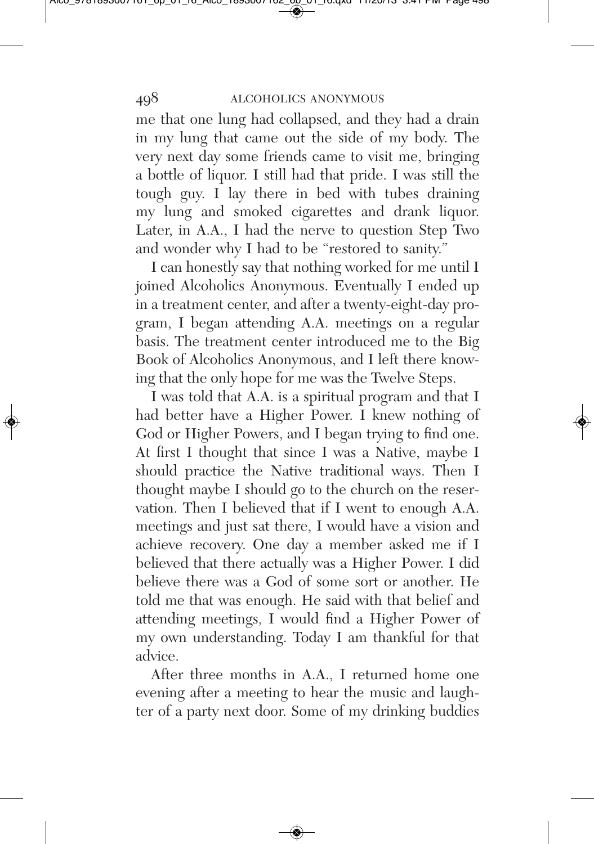me that one lung had collapsed, and they had a drain in my lung that came out the side of my body. The very next day some friends came to visit me, bringing a bottle of liquor. I still had that pride. I was still the tough guy. I lay there in bed with tubes draining my lung and smoked cigarettes and drank liquor. Later, in A.A., I had the nerve to question Step Two and wonder why I had to be "restored to sanity."

I can honestly say that nothing worked for me until I joined Alcoholics Anonymous. Eventually I ended up in a treatment center, and after a twenty-eight-day program, I began attending A.A. meetings on a regular basis. The treatment center introduced me to the Big Book of Alcoholics Anonymous, and I left there knowing that the only hope for me was the Twelve Steps.

I was told that A.A. is a spiritual program and that I had better have a Higher Power. I knew nothing of God or Higher Powers, and I began trying to find one. At first I thought that since I was a Native, maybe I should practice the Native traditional ways. Then I thought maybe I should go to the church on the reservation. Then I believed that if I went to enough A.A. meetings and just sat there, I would have a vision and achieve recovery. One day a member asked me if I believed that there actually was a Higher Power. I did believe there was a God of some sort or another. He told me that was enough. He said with that belief and attending meetings, I would find a Higher Power of my own understanding. Today I am thankful for that advice.

After three months in A.A., I returned home one evening after a meeting to hear the music and laughter of a party next door. Some of my drinking buddies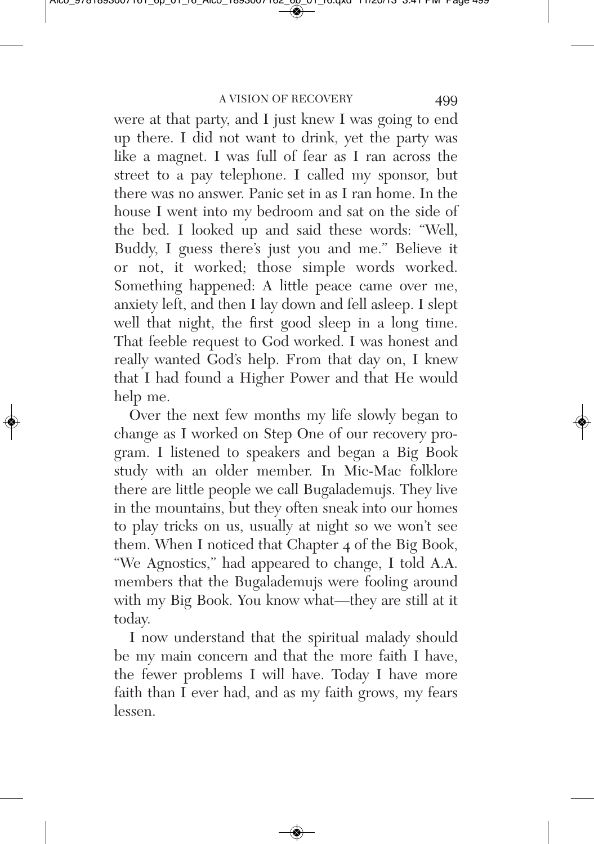were at that party, and I just knew I was going to end up there. I did not want to drink, yet the party was like a magnet. I was full of fear as I ran across the street to a pay telephone. I called my sponsor, but there was no answer. Panic set in as I ran home. In the house I went into my bedroom and sat on the side of the bed. I looked up and said these words: "Well, Buddy, I guess there's just you and me." Believe it or not, it worked; those simple words worked. Something happened: A little peace came over me, anxiety left, and then I lay down and fell asleep. I slept well that night, the first good sleep in a long time. That feeble request to God worked. I was honest and really wanted God's help. From that day on, I knew that I had found a Higher Power and that He would help me.

Over the next few months my life slowly began to change as I worked on Step One of our recovery program. I listened to speakers and began a Big Book study with an older member. In Mic-Mac folklore there are little people we call Bugalademujs. They live in the mountains, but they often sneak into our homes to play tricks on us, usually at night so we won't see them. When I noticed that Chapter 4 of the Big Book, "We Agnostics," had appeared to change, I told A.A. members that the Bugalademujs were fooling around with my Big Book. You know what—they are still at it today.

I now understand that the spiritual malady should be my main concern and that the more faith I have, the fewer problems I will have. Today I have more faith than I ever had, and as my faith grows, my fears lessen.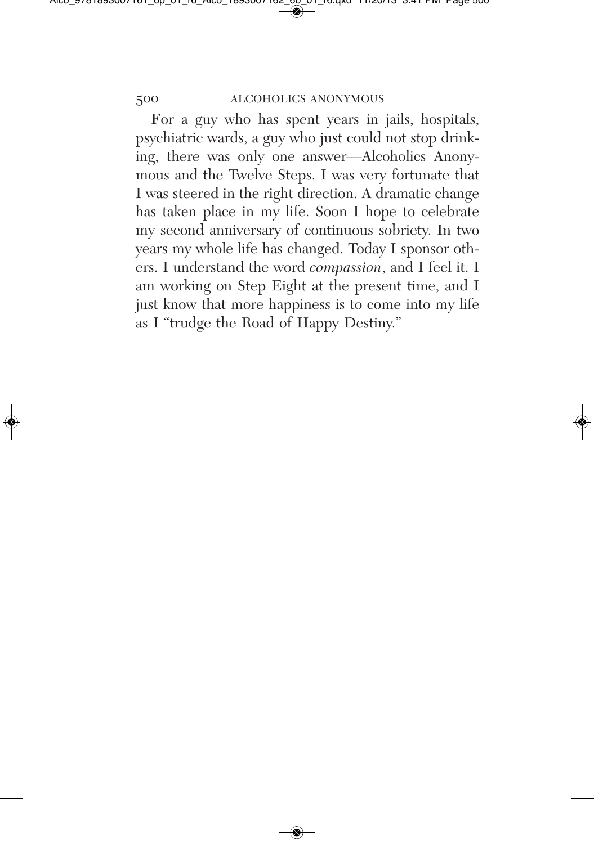For a guy who has spent years in jails, hospitals, psychiatric wards, a guy who just could not stop drinking, there was only one answer—Alcoholics Anonymous and the Twelve Steps. I was very fortunate that I was steered in the right direction. A dramatic change has taken place in my life. Soon I hope to celebrate my second anniversary of continuous sobriety. In two years my whole life has changed. Today I sponsor others. I understand the word *compassion*, and I feel it. I am working on Step Eight at the present time, and I just know that more happiness is to come into my life as I "trudge the Road of Happy Destiny."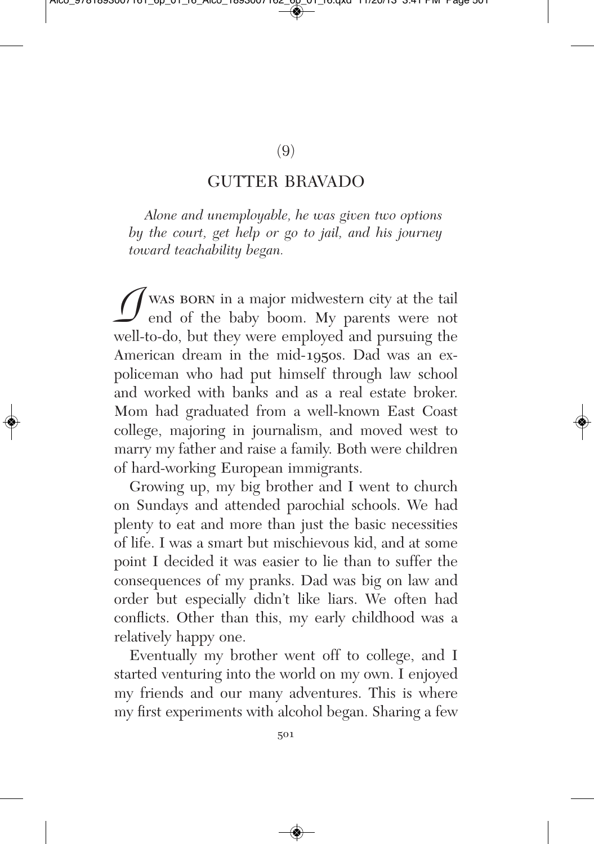# (9)

# GUTTER BRAVADO

*Alone and unemployable, he was given two options by the court, get help or go to jail, and his journey toward teachability began.*

*I* was born in a major midwestern city at the tail end of the baby boom. My parents were not well-to-do, but they were employed and pursuing the American dream in the mid-1950s. Dad was an ex policeman who had put himself through law school and worked with banks and as a real estate broker. Mom had graduated from a well-known East Coast college, majoring in journalism, and moved west to marry my father and raise a family. Both were children of hard-working European immigrants.

Growing up, my big brother and I went to church on Sundays and attended parochial schools. We had plenty to eat and more than just the basic necessities of life. I was a smart but mischievous kid, and at some point I decided it was easier to lie than to suffer the consequences of my pranks. Dad was big on law and order but especially didn't like liars. We often had conflicts. Other than this, my early childhood was a relatively happy one.

Eventually my brother went off to college, and I started venturing into the world on my own. I enjoyed my friends and our many adventures. This is where my first experiments with alcohol began. Sharing a few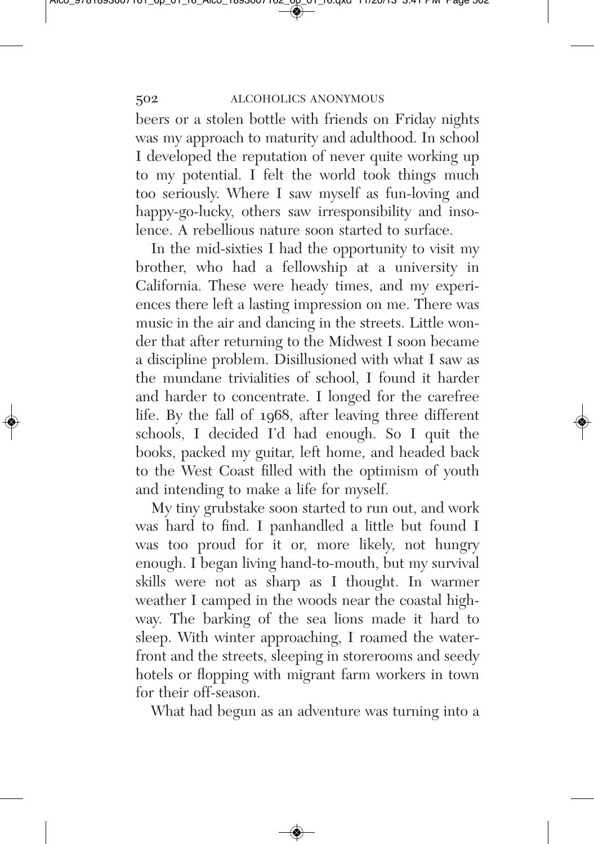beers or a stolen bottle with friends on Friday nights was my approach to maturity and adulthood. In school I developed the reputation of never quite working up to my potential. I felt the world took things much too seriously. Where I saw myself as fun-loving and happy-go-lucky, others saw irresponsibility and insolence. A rebellious nature soon started to surface.

In the mid-sixties I had the opportunity to visit my brother, who had a fellowship at a university in California. These were heady times, and my experiences there left a lasting impression on me. There was music in the air and dancing in the streets. Little wonder that after returning to the Midwest I soon became a discipline problem. Disillusioned with what I saw as the mundane trivialities of school, I found it harder and harder to concentrate. I longed for the carefree life. By the fall of 1968, after leaving three different schools, I decided I'd had enough. So I quit the books, packed my guitar, left home, and headed back to the West Coast filled with the optimism of youth and intending to make a life for myself.

My tiny grubstake soon started to run out, and work was hard to find. I panhandled a little but found I was too proud for it or, more likely, not hungry enough. I began living hand-to-mouth, but my survival skills were not as sharp as I thought. In warmer weather I camped in the woods near the coastal highway. The barking of the sea lions made it hard to sleep. With winter approaching, I roamed the waterfront and the streets, sleeping in storerooms and seedy hotels or flopping with migrant farm workers in town for their off-season.

What had begun as an adventure was turning into a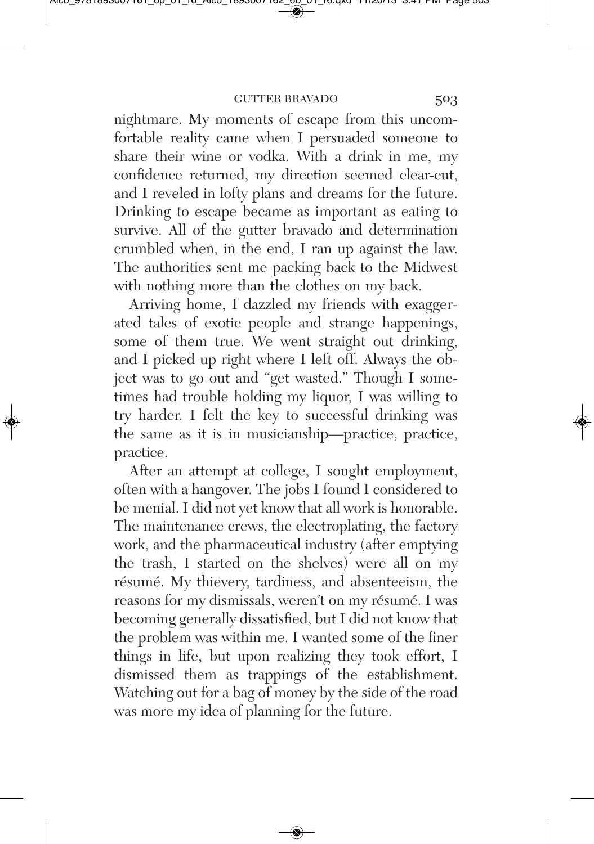nightmare. My moments of escape from this uncomfortable reality came when I persuaded someone to share their wine or vodka. With a drink in me, my confidence returned, my direction seemed clear-cut, and I reveled in lofty plans and dreams for the future. Drinking to escape became as important as eating to survive. All of the gutter bravado and determination crumbled when, in the end, I ran up against the law. The authorities sent me packing back to the Midwest with nothing more than the clothes on my back.

Arriving home, I dazzled my friends with exaggerated tales of exotic people and strange happenings, some of them true. We went straight out drinking, and I picked up right where I left off. Always the object was to go out and "get wasted." Though I sometimes had trouble holding my liquor, I was willing to try harder. I felt the key to successful drinking was the same as it is in musicianship—practice, practice, practice.

After an attempt at college, I sought employment, often with a hangover. The jobs I found I considered to be menial. I did not yet know that all work is honorable. The maintenance crews, the electroplating, the factory work, and the pharmaceutical industry (after emptying the trash, I started on the shelves) were all on my résumé. My thievery, tardiness, and absenteeism, the reasons for my dismissals, weren't on my résumé. I was becoming generally dissatisfied, but I did not know that the problem was within me. I wanted some of the finer things in life, but upon realizing they took effort, I dismissed them as trappings of the establishment. Watching out for a bag of money by the side of the road was more my idea of planning for the future.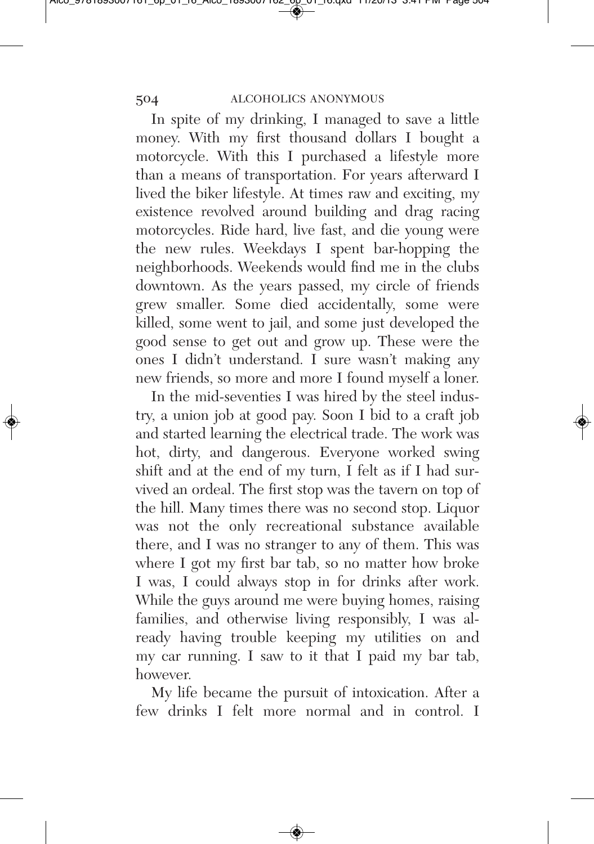In spite of my drinking, I managed to save a little money. With my first thousand dollars I bought a motorcycle. With this I purchased a lifestyle more than a means of transportation. For years afterward I lived the biker lifestyle. At times raw and exciting, my existence revolved around building and drag racing motorcycles. Ride hard, live fast, and die young were the new rules. Weekdays I spent bar-hopping the neighborhoods. Weekends would find me in the clubs downtown. As the years passed, my circle of friends grew smaller. Some died accidentally, some were killed, some went to jail, and some just developed the good sense to get out and grow up. These were the ones I didn't understand. I sure wasn't making any new friends, so more and more I found myself a loner.

In the mid-seventies I was hired by the steel industry, a union job at good pay. Soon I bid to a craft job and started learning the electrical trade. The work was hot, dirty, and dangerous. Everyone worked swing shift and at the end of my turn, I felt as if I had survived an ordeal. The first stop was the tavern on top of the hill. Many times there was no second stop. Liquor was not the only recreational substance available there, and I was no stranger to any of them. This was where I got my first bar tab, so no matter how broke I was, I could always stop in for drinks after work. While the guys around me were buying homes, raising families, and otherwise living responsibly, I was already having trouble keeping my utilities on and my car running. I saw to it that I paid my bar tab, however.

My life became the pursuit of intoxication. After a few drinks I felt more normal and in control. I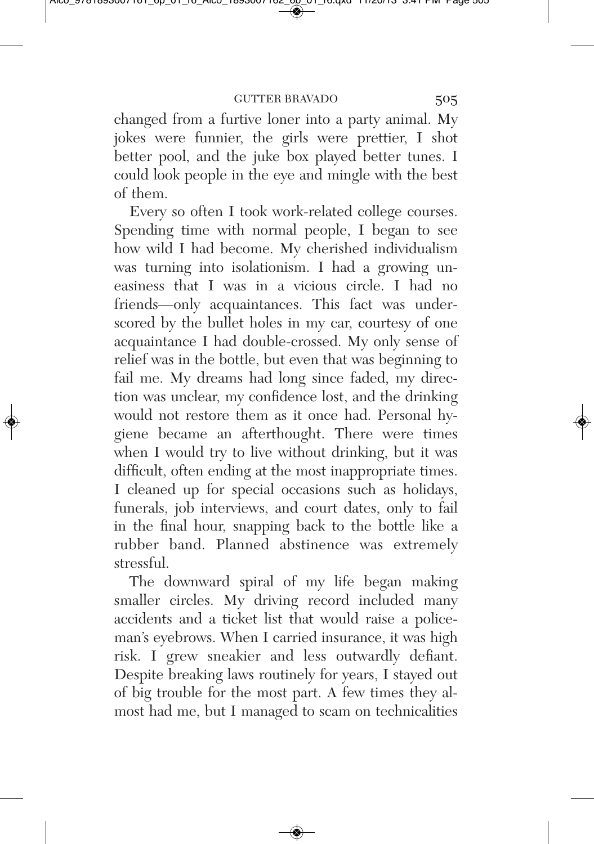changed from a furtive loner into a party animal. My jokes were funnier, the girls were prettier, I shot better pool, and the juke box played better tunes. I could look people in the eye and mingle with the best of them.

Every so often I took work-related college courses. Spending time with normal people, I began to see how wild I had become. My cherished individualism was turning into isolationism. I had a growing uneasiness that I was in a vicious circle. I had no friends—only acquaintances. This fact was underscored by the bullet holes in my car, courtesy of one acquaintance I had double-crossed. My only sense of relief was in the bottle, but even that was beginning to fail me. My dreams had long since faded, my direction was unclear, my confidence lost, and the drinking would not restore them as it once had. Personal hygiene became an afterthought. There were times when I would try to live without drinking, but it was difficult, often ending at the most inappropriate times. I cleaned up for special occasions such as holidays, funerals, job interviews, and court dates, only to fail in the final hour, snapping back to the bottle like a rubber band. Planned abstinence was extremely stressful.

The downward spiral of my life began making smaller circles. My driving record included many accidents and a ticket list that would raise a policeman's eyebrows. When I carried insurance, it was high risk. I grew sneakier and less outwardly defiant. Despite breaking laws routinely for years, I stayed out of big trouble for the most part. A few times they almost had me, but I managed to scam on technicalities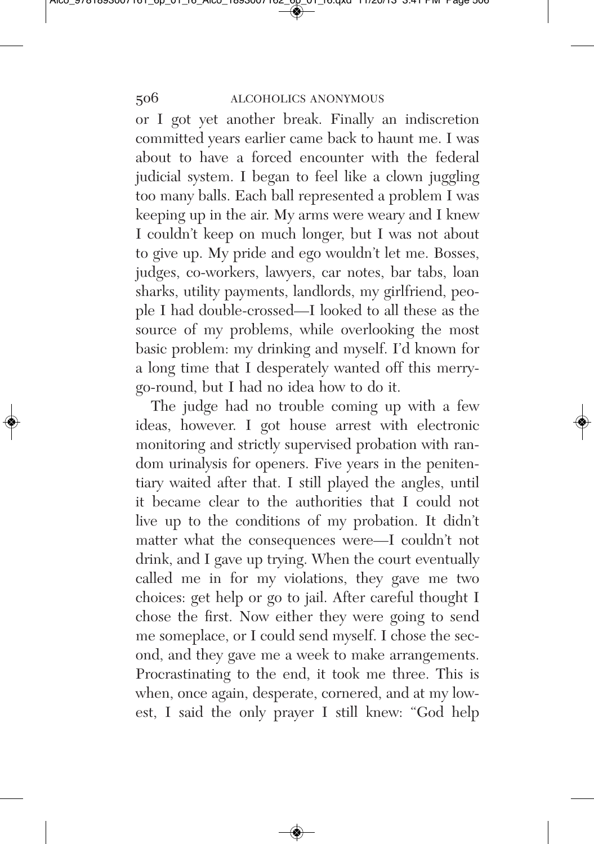or I got yet another break. Finally an indiscretion committed years earlier came back to haunt me. I was about to have a forced encounter with the federal judicial system. I began to feel like a clown juggling too many balls. Each ball represented a problem I was keeping up in the air. My arms were weary and I knew I couldn't keep on much longer, but I was not about to give up. My pride and ego wouldn't let me. Bosses, judges, co-workers, lawyers, car notes, bar tabs, loan sharks, utility payments, landlords, my girlfriend, people I had double-crossed—I looked to all these as the source of my problems, while overlooking the most basic problem: my drinking and myself. I'd known for a long time that I desperately wanted off this merrygo-round, but I had no idea how to do it.

The judge had no trouble coming up with a few ideas, however. I got house arrest with electronic monitoring and strictly supervised probation with random urinalysis for openers. Five years in the penitentiary waited after that. I still played the angles, until it became clear to the authorities that I could not live up to the conditions of my probation. It didn't matter what the consequences were—I couldn't not drink, and I gave up trying. When the court eventually called me in for my violations, they gave me two choices: get help or go to jail. After careful thought I chose the first. Now either they were going to send me someplace, or I could send myself. I chose the second, and they gave me a week to make arrangements. Procrastinating to the end, it took me three. This is when, once again, desperate, cornered, and at my lowest, I said the only prayer I still knew: "God help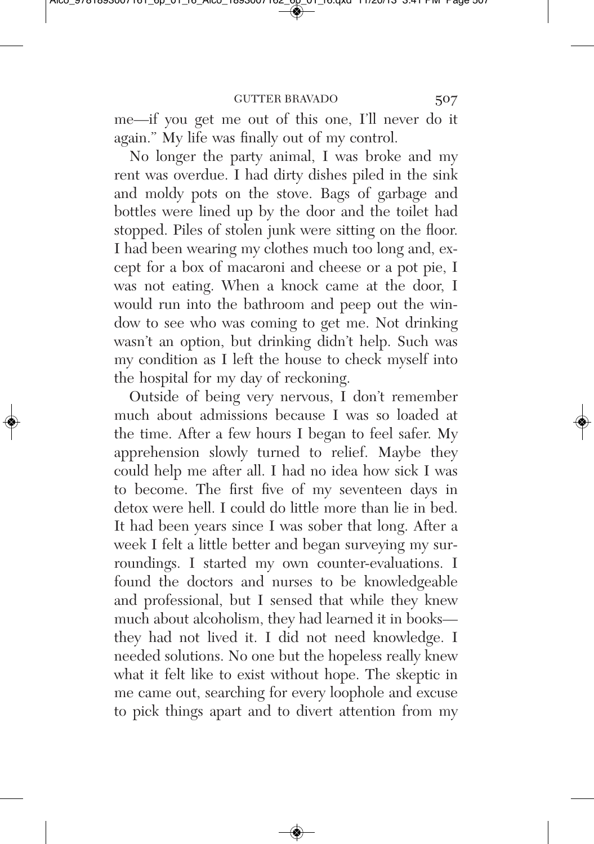me—if you get me out of this one, I'll never do it again." My life was finally out of my control.

No longer the party animal, I was broke and my rent was overdue. I had dirty dishes piled in the sink and moldy pots on the stove. Bags of garbage and bottles were lined up by the door and the toilet had stopped. Piles of stolen junk were sitting on the floor. I had been wearing my clothes much too long and, except for a box of macaroni and cheese or a pot pie, I was not eating. When a knock came at the door, I would run into the bathroom and peep out the window to see who was coming to get me. Not drinking wasn't an option, but drinking didn't help. Such was my condition as I left the house to check myself into the hospital for my day of reckoning.

Outside of being very nervous, I don't remember much about admissions because I was so loaded at the time. After a few hours I began to feel safer. My apprehension slowly turned to relief. Maybe they could help me after all. I had no idea how sick I was to become. The first five of my seventeen days in detox were hell. I could do little more than lie in bed. It had been years since I was sober that long. After a week I felt a little better and began surveying my surroundings. I started my own counter-evaluations. I found the doctors and nurses to be knowledgeable and professional, but I sensed that while they knew much about alcoholism, they had learned it in books they had not lived it. I did not need knowledge. I needed solutions. No one but the hopeless really knew what it felt like to exist without hope. The skeptic in me came out, searching for every loophole and excuse to pick things apart and to divert attention from my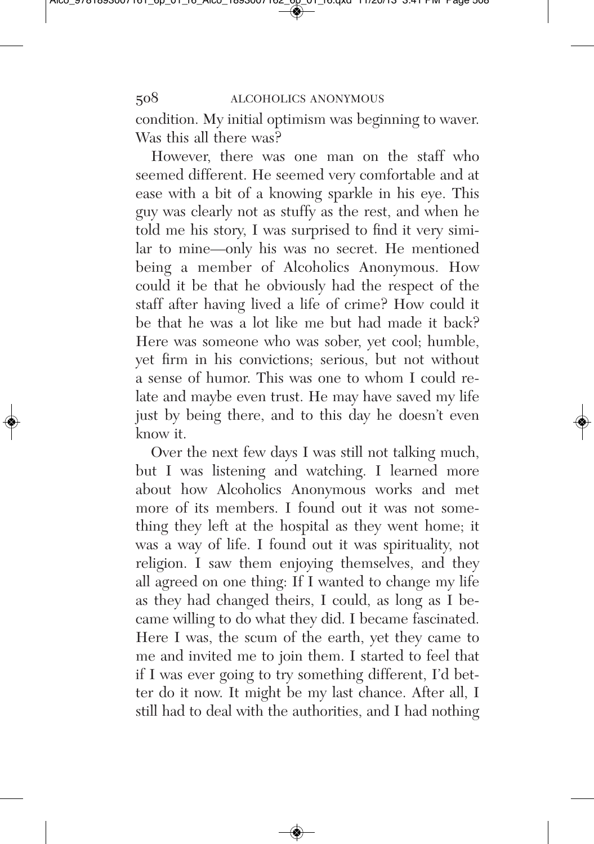condition. My initial optimism was beginning to waver. Was this all there was?

However, there was one man on the staff who seemed different. He seemed very comfortable and at ease with a bit of a knowing sparkle in his eye. This guy was clearly not as stuffy as the rest, and when he told me his story, I was surprised to find it very similar to mine—only his was no secret. He mentioned being a member of Alcoholics Anonymous. How could it be that he obviously had the respect of the staff after having lived a life of crime? How could it be that he was a lot like me but had made it back? Here was someone who was sober, yet cool; humble, yet firm in his convictions; serious, but not without a sense of humor. This was one to whom I could relate and maybe even trust. He may have saved my life just by being there, and to this day he doesn't even know it.

Over the next few days I was still not talking much, but I was listening and watching. I learned more about how Alcoholics Anonymous works and met more of its members. I found out it was not something they left at the hospital as they went home; it was a way of life. I found out it was spirituality, not religion. I saw them enjoying themselves, and they all agreed on one thing: If I wanted to change my life as they had changed theirs, I could, as long as I became willing to do what they did. I became fascinated. Here I was, the scum of the earth, yet they came to me and invited me to join them. I started to feel that if I was ever going to try something different, I'd better do it now. It might be my last chance. After all, I still had to deal with the authorities, and I had nothing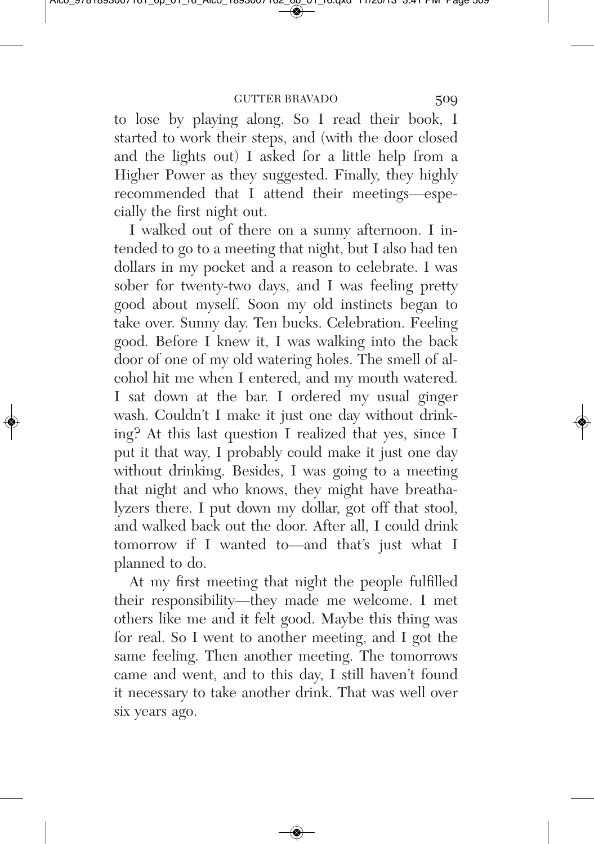to lose by playing along. So I read their book, I started to work their steps, and (with the door closed and the lights out) I asked for a little help from a Higher Power as they suggested. Finally, they highly recommended that I attend their meetings—especially the first night out.

I walked out of there on a sunny afternoon. I intended to go to a meeting that night, but I also had ten dollars in my pocket and a reason to celebrate. I was sober for twenty-two days, and I was feeling pretty good about myself. Soon my old instincts began to take over. Sunny day. Ten bucks. Celebration. Feeling good. Before I knew it, I was walking into the back door of one of my old watering holes. The smell of alcohol hit me when I entered, and my mouth watered. I sat down at the bar. I ordered my usual ginger wash. Couldn't I make it just one day without drinking? At this last question I realized that yes, since I put it that way, I probably could make it just one day without drinking. Besides, I was going to a meeting that night and who knows, they might have breathalyzers there. I put down my dollar, got off that stool, and walked back out the door. After all, I could drink tomorrow if I wanted to—and that's just what I planned to do.

At my first meeting that night the people fulfilled their responsibility—they made me welcome. I met others like me and it felt good. Maybe this thing was for real. So I went to another meeting, and I got the same feeling. Then another meeting. The tomorrows came and went, and to this day, I still haven't found it necessary to take another drink. That was well over six years ago.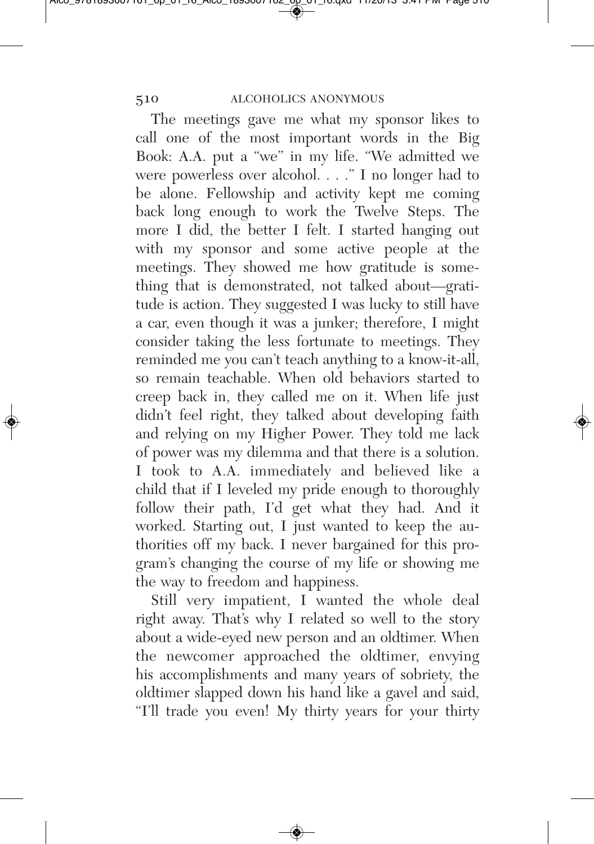The meetings gave me what my sponsor likes to call one of the most important words in the Big Book: A.A. put a "we" in my life. "We admitted we were powerless over alcohol. . . ." I no longer had to be alone. Fellowship and activity kept me coming back long enough to work the Twelve Steps. The more I did, the better I felt. I started hanging out with my sponsor and some active people at the meetings. They showed me how gratitude is something that is demonstrated, not talked about—gratitude is action. They suggested I was lucky to still have a car, even though it was a junker; therefore, I might consider taking the less fortunate to meetings. They reminded me you can't teach anything to a know-it-all, so remain teachable. When old behaviors started to creep back in, they called me on it. When life just didn't feel right, they talked about developing faith and relying on my Higher Power. They told me lack of power was my dilemma and that there is a solution. I took to A.A. immediately and believed like a child that if I leveled my pride enough to thoroughly follow their path, I'd get what they had. And it worked. Starting out, I just wanted to keep the authorities off my back. I never bargained for this program's changing the course of my life or showing me the way to freedom and happiness.

Still very impatient, I wanted the whole deal right away. That's why I related so well to the story about a wide-eyed new person and an oldtimer. When the newcomer approached the oldtimer, envying his accomplishments and many years of sobriety, the oldtimer slapped down his hand like a gavel and said, "I'll trade you even! My thirty years for your thirty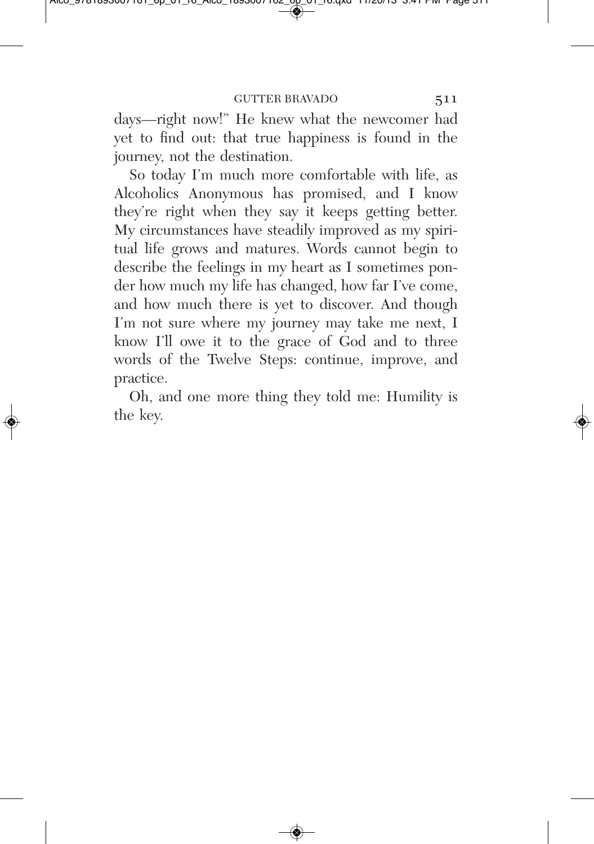days—right now!" He knew what the newcomer had yet to find out: that true happiness is found in the journey, not the destination.

So today I'm much more comfortable with life, as Alcoholics Anonymous has promised, and I know they're right when they say it keeps getting better. My circumstances have steadily improved as my spiritual life grows and matures. Words cannot begin to describe the feelings in my heart as I sometimes ponder how much my life has changed, how far I've come, and how much there is yet to discover. And though I'm not sure where my journey may take me next, I know I'll owe it to the grace of God and to three words of the Twelve Steps: continue, improve, and practice.

Oh, and one more thing they told me: Humility is the key.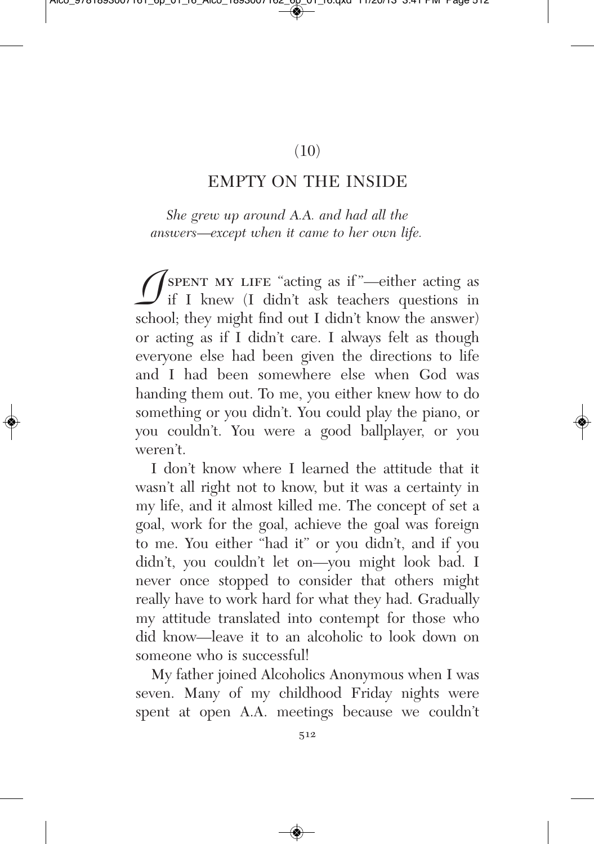#### (10)

# EMPTY ON THE INSIDE

*She grew up around A.A. and had all the answers—except when it came to her own life.*

*I* SPENT MY LIFE "acting as if"—either acting as if I knew (I didn't ask teachers questions in school; they might find out I didn't know the answer) or acting as if I didn't care. I always felt as though everyone else had been given the directions to life and I had been somewhere else when God was handing them out. To me, you either knew how to do something or you didn't. You could play the piano, or you couldn't. You were a good ballplayer, or you weren't.

I don't know where I learned the attitude that it wasn't all right not to know, but it was a certainty in my life, and it almost killed me. The concept of set a goal, work for the goal, achieve the goal was foreign to me. You either "had it" or you didn't, and if you didn't, you couldn't let on—you might look bad. I never once stopped to consider that others might really have to work hard for what they had. Gradually my attitude translated into contempt for those who did know—leave it to an alcoholic to look down on someone who is successful!

My father joined Alcoholics Anonymous when I was seven. Many of my childhood Friday nights were spent at open A.A. meetings because we couldn't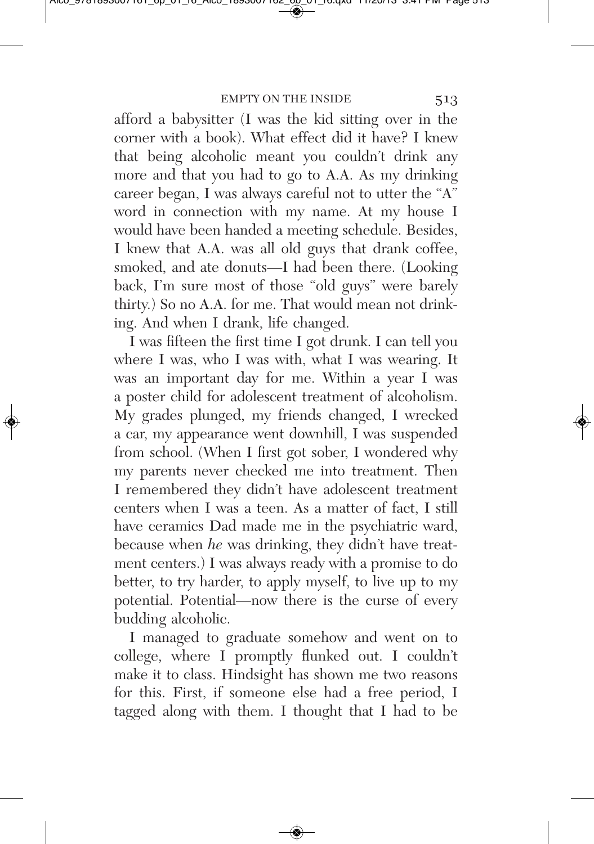afford a babysitter (I was the kid sitting over in the corner with a book). What effect did it have? I knew that being alcoholic meant you couldn't drink any more and that you had to go to A.A. As my drinking career began, I was always careful not to utter the "A" word in connection with my name. At my house I would have been handed a meeting schedule. Besides, I knew that A.A. was all old guys that drank coffee, smoked, and ate donuts—I had been there. (Looking back, I'm sure most of those "old guys" were barely thirty.) So no A.A. for me. That would mean not drinking. And when I drank, life changed.

I was fifteen the first time I got drunk. I can tell you where I was, who I was with, what I was wearing. It was an important day for me. Within a year I was a poster child for adolescent treatment of alcoholism. My grades plunged, my friends changed, I wrecked a car, my appearance went downhill, I was suspended from school. (When I first got sober, I wondered why my parents never checked me into treatment. Then I remembered they didn't have adolescent treatment centers when I was a teen. As a matter of fact, I still have ceramics Dad made me in the psychiatric ward, because when *he* was drinking, they didn't have treatment centers.) I was always ready with a promise to do better, to try harder, to apply myself, to live up to my potential. Potential—now there is the curse of every budding alcoholic.

I managed to graduate somehow and went on to college, where I promptly flunked out. I couldn't make it to class. Hindsight has shown me two reasons for this. First, if someone else had a free period, I tagged along with them. I thought that I had to be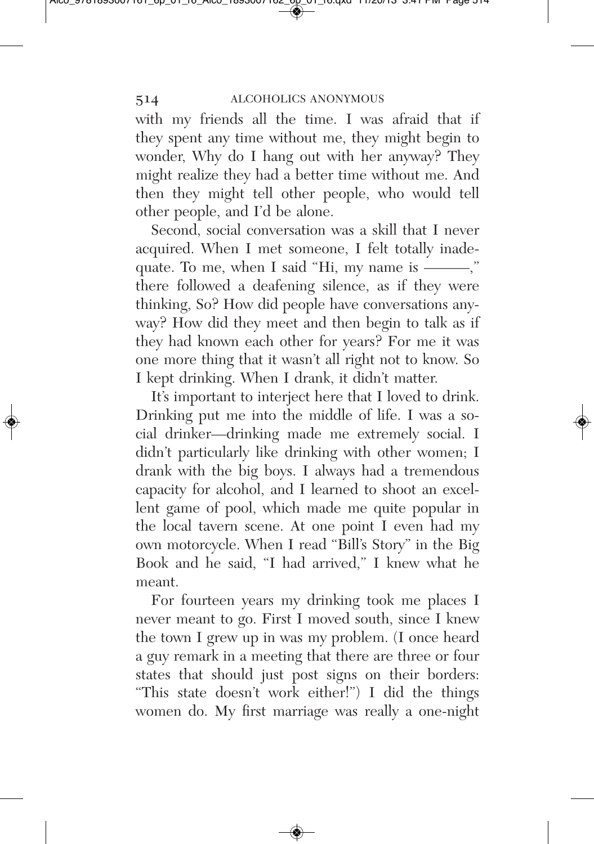with my friends all the time. I was afraid that if they spent any time without me, they might begin to wonder, Why do I hang out with her anyway? They might realize they had a better time without me. And then they might tell other people, who would tell other people, and I'd be alone.

Second, social conversation was a skill that I never acquired. When I met someone, I felt totally inadequate. To me, when I said "Hi, my name is ------," there followed a deafening silence, as if they were thinking, So? How did people have conversations anyway? How did they meet and then begin to talk as if they had known each other for years? For me it was one more thing that it wasn't all right not to know. So I kept drinking. When I drank, it didn't matter.

It's important to interject here that I loved to drink. Drinking put me into the middle of life. I was a social drinker—drinking made me extremely social. I didn't particularly like drinking with other women; I drank with the big boys. I always had a tremendous capacity for alcohol, and I learned to shoot an excellent game of pool, which made me quite popular in the local tavern scene. At one point I even had my own motorcycle. When I read "Bill's Story" in the Big Book and he said, "I had arrived," I knew what he meant.

For fourteen years my drinking took me places I never meant to go. First I moved south, since I knew the town I grew up in was my problem. (I once heard a guy remark in a meeting that there are three or four states that should just post signs on their borders: "This state doesn't work either!") I did the things women do. My first marriage was really a one-night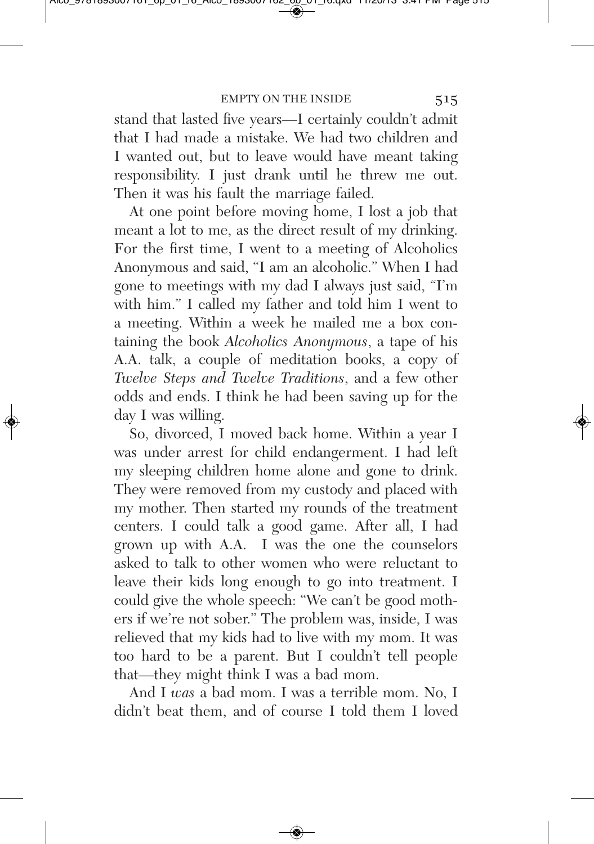stand that lasted five years—I certainly couldn't admit that I had made a mistake. We had two children and I wanted out, but to leave would have meant taking responsibility. I just drank until he threw me out. Then it was his fault the marriage failed.

At one point before moving home, I lost a job that meant a lot to me, as the direct result of my drinking. For the first time, I went to a meeting of Alcoholics Anonymous and said, "I am an alcoholic." When I had gone to meetings with my dad I always just said, "I'm with him." I called my father and told him I went to a meeting. Within a week he mailed me a box containing the book *Alcoholics Anonymous*, a tape of his A.A. talk, a couple of meditation books, a copy of *Twelve Steps and Twelve Traditions*, and a few other odds and ends. I think he had been saving up for the day I was willing.

So, divorced, I moved back home. Within a year I was under arrest for child endangerment. I had left my sleeping children home alone and gone to drink. They were removed from my custody and placed with my mother. Then started my rounds of the treatment centers. I could talk a good game. After all, I had grown up with A.A. I was the one the counselors asked to talk to other women who were reluctant to leave their kids long enough to go into treatment. I could give the whole speech: "We can't be good mothers if we're not sober." The problem was, inside, I was relieved that my kids had to live with my mom. It was too hard to be a parent. But I couldn't tell people that—they might think I was a bad mom.

And I *was* a bad mom. I was a terrible mom. No, I didn't beat them, and of course I told them I loved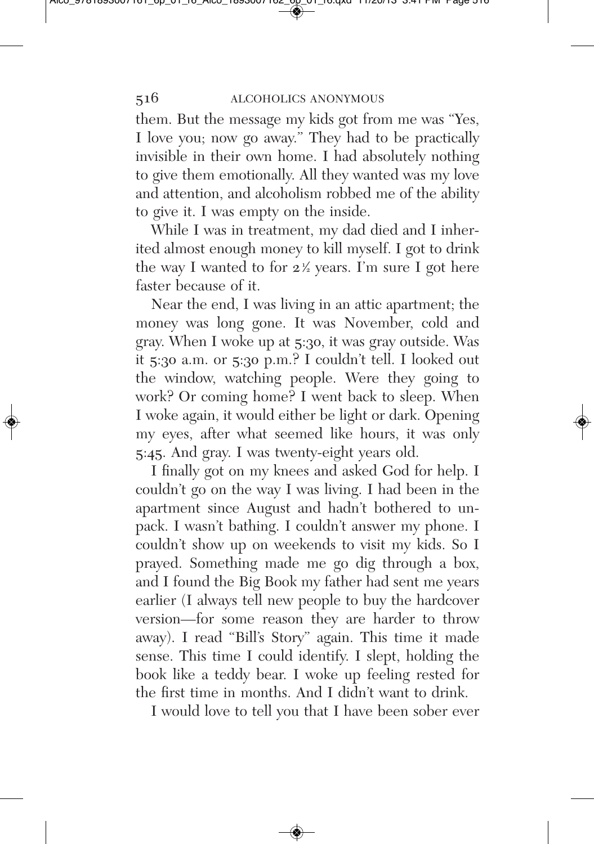them. But the message my kids got from me was "Yes, I love you; now go away." They had to be practically invisible in their own home. I had absolutely nothing to give them emotionally. All they wanted was my love and attention, and alcoholism robbed me of the ability to give it. I was empty on the inside.

While I was in treatment, my dad died and I inherited almost enough money to kill myself. I got to drink the way I wanted to for 2½ years. I'm sure I got here faster because of it.

Near the end, I was living in an attic apartment; the money was long gone. It was November, cold and gray. When I woke up at 5:30, it was gray outside. Was it 5:30 a.m. or 5:30 p.m.? I couldn't tell. I looked out the window, watching people. Were they going to work? Or coming home? I went back to sleep. When I woke again, it would either be light or dark. Opening my eyes, after what seemed like hours, it was only 5:45. And gray. I was twenty-eight years old.

I finally got on my knees and asked God for help. I couldn't go on the way I was living. I had been in the apartment since August and hadn't bothered to unpack. I wasn't bathing. I couldn't answer my phone. I couldn't show up on weekends to visit my kids. So I prayed. Something made me go dig through a box, and I found the Big Book my father had sent me years earlier (I always tell new people to buy the hardcover version—for some reason they are harder to throw away). I read "Bill's Story" again. This time it made sense. This time I could identify. I slept, holding the book like a teddy bear. I woke up feeling rested for the first time in months. And I didn't want to drink.

I would love to tell you that I have been sober ever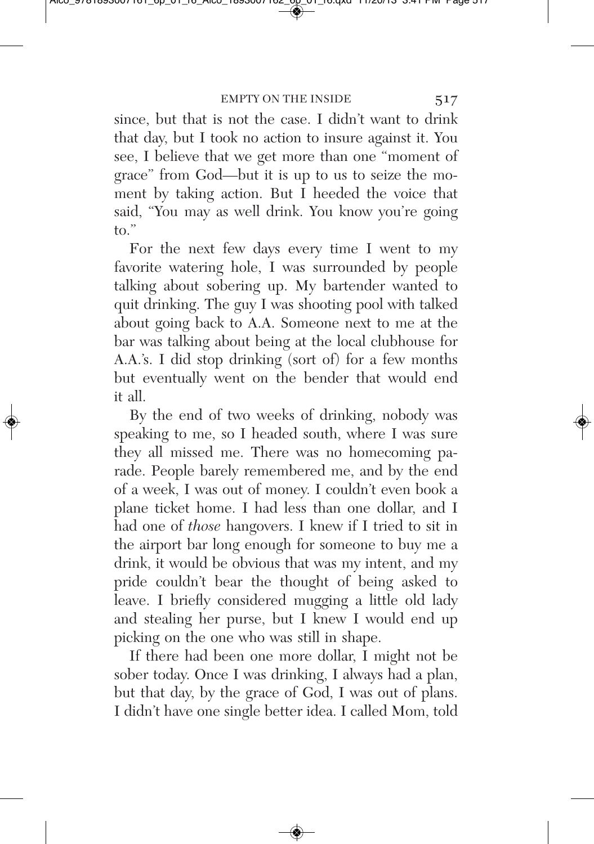since, but that is not the case. I didn't want to drink that day, but I took no action to insure against it. You see, I believe that we get more than one "moment of grace" from God—but it is up to us to seize the moment by taking action. But  $\overline{I}$  heeded the voice that said, "You may as well drink. You know you're going to."

For the next few days every time I went to my favorite watering hole, I was surrounded by people talking about sobering up. My bartender wanted to quit drinking. The guy I was shooting pool with talked about going back to A.A. Someone next to me at the bar was talking about being at the local clubhouse for A.A.'s. I did stop drinking (sort of) for a few months but eventually went on the bender that would end it all.

By the end of two weeks of drinking, nobody was speaking to me, so I headed south, where I was sure they all missed me. There was no homecoming parade. People barely remembered me, and by the end of a week, I was out of money. I couldn't even book a plane ticket home. I had less than one dollar, and I had one of *those* hangovers. I knew if I tried to sit in the airport bar long enough for someone to buy me a drink, it would be obvious that was my intent, and my pride couldn't bear the thought of being asked to leave. I briefly considered mugging a little old lady and stealing her purse, but I knew I would end up picking on the one who was still in shape.

If there had been one more dollar, I might not be sober today. Once I was drinking, I always had a plan, but that day, by the grace of God, I was out of plans. I didn't have one single better idea. I called Mom, told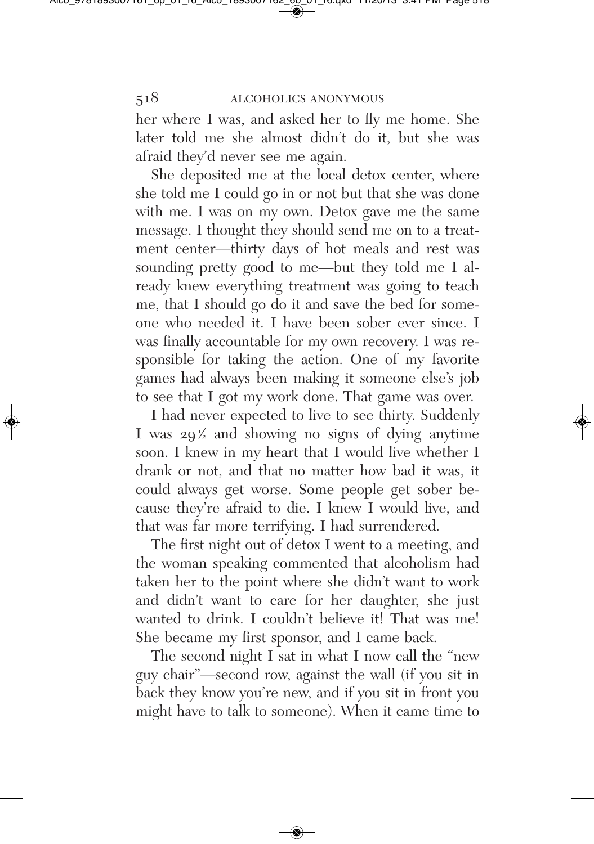her where I was, and asked her to fly me home. She later told me she almost didn't do it, but she was afraid they'd never see me again.

She deposited me at the local detox center, where she told me I could go in or not but that she was done with me. I was on my own. Detox gave me the same message. I thought they should send me on to a treatment center—thirty days of hot meals and rest was sounding pretty good to me—but they told me I already knew everything treatment was going to teach me, that I should go do it and save the bed for someone who needed it. I have been sober ever since. I was finally accountable for my own recovery. I was responsible for taking the action. One of my favorite games had always been making it someone else's job to see that I got my work done. That game was over.

I had never expected to live to see thirty. Suddenly I was 29<sup>1/2</sup> and showing no signs of dying anytime soon. I knew in my heart that I would live whether I drank or not, and that no matter how bad it was, it could always get worse. Some people get sober because they're afraid to die. I knew I would live, and that was far more terrifying. I had surrendered.

The first night out of detox I went to a meeting, and the woman speaking commented that alcoholism had taken her to the point where she didn't want to work and didn't want to care for her daughter, she just wanted to drink. I couldn't believe it! That was me! She became my first sponsor, and I came back.

The second night I sat in what I now call the "new guy chair"—second row, against the wall (if you sit in back they know you're new, and if you sit in front you might have to talk to someone). When it came time to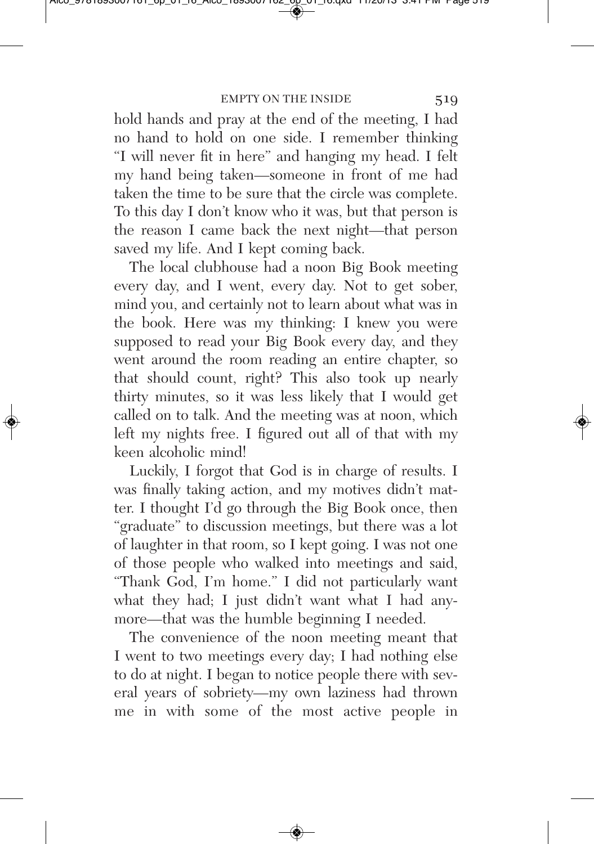hold hands and pray at the end of the meeting, I had no hand to hold on one side. I remember thinking "I will never fit in here" and hanging my head. I felt my hand being taken—someone in front of me had taken the time to be sure that the circle was complete. To this day I don't know who it was, but that person is the reason I came back the next night—that person saved my life. And I kept coming back.

The local clubhouse had a noon Big Book meeting every day, and I went, every day. Not to get sober, mind you, and certainly not to learn about what was in the book. Here was my thinking: I knew you were supposed to read your Big Book every day, and they went around the room reading an entire chapter, so that should count, right? This also took up nearly thirty minutes, so it was less likely that I would get called on to talk. And the meeting was at noon, which left my nights free. I figured out all of that with my keen alcoholic mind!

Luckily, I forgot that God is in charge of results. I was finally taking action, and my motives didn't matter. I thought I'd go through the Big Book once, then "graduate" to discussion meetings, but there was a lot of laughter in that room, so I kept going. I was not one of those people who walked into meetings and said, "Thank God, I'm home." I did not particularly want what they had; I just didn't want what I had anymore—that was the humble beginning I needed.

The convenience of the noon meeting meant that I went to two meetings every day; I had nothing else to do at night. I began to notice people there with several years of sobriety—my own laziness had thrown me in with some of the most active people in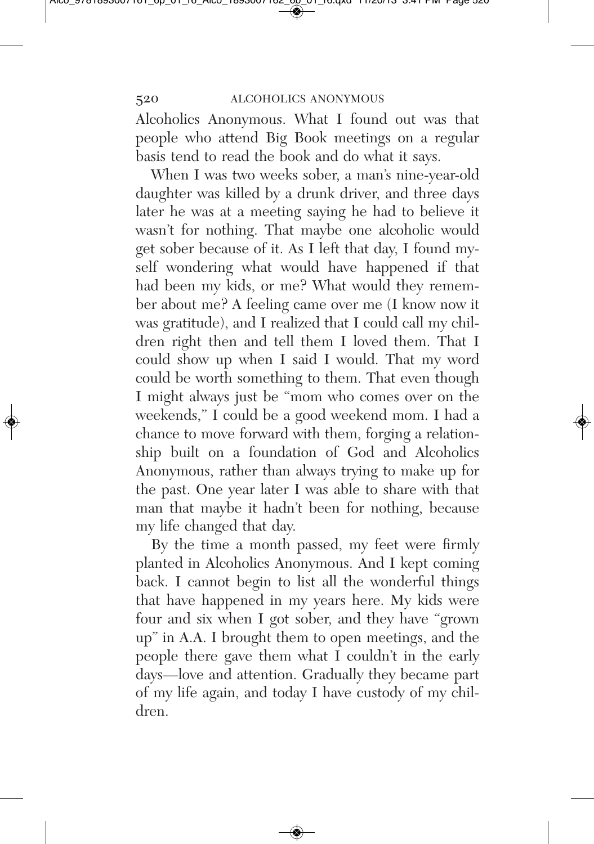Alcoholics Anonymous. What I found out was that people who attend Big Book meetings on a regular basis tend to read the book and do what it says.

When I was two weeks sober, a man's nine-year-old daughter was killed by a drunk driver, and three days later he was at a meeting saying he had to believe it wasn't for nothing. That maybe one alcoholic would get sober because of it. As I left that day, I found myself wondering what would have happened if that had been my kids, or me? What would they remember about me? A feeling came over me (I know now it was gratitude), and I realized that I could call my children right then and tell them I loved them. That I could show up when I said I would. That my word could be worth something to them. That even though I might always just be "mom who comes over on the weekends," I could be a good weekend mom. I had a chance to move forward with them, forging a relationship built on a foundation of God and Alcoholics Anonymous, rather than always trying to make up for the past. One year later I was able to share with that man that maybe it hadn't been for nothing, because my life changed that day.

By the time a month passed, my feet were firmly planted in Alcoholics Anonymous. And I kept coming back. I cannot begin to list all the wonderful things that have happened in my years here. My kids were four and six when I got sober, and they have "grown" up" in A.A. I brought them to open meetings, and the people there gave them what I couldn't in the early days—love and attention. Gradually they became part of my life again, and today I have custody of my children.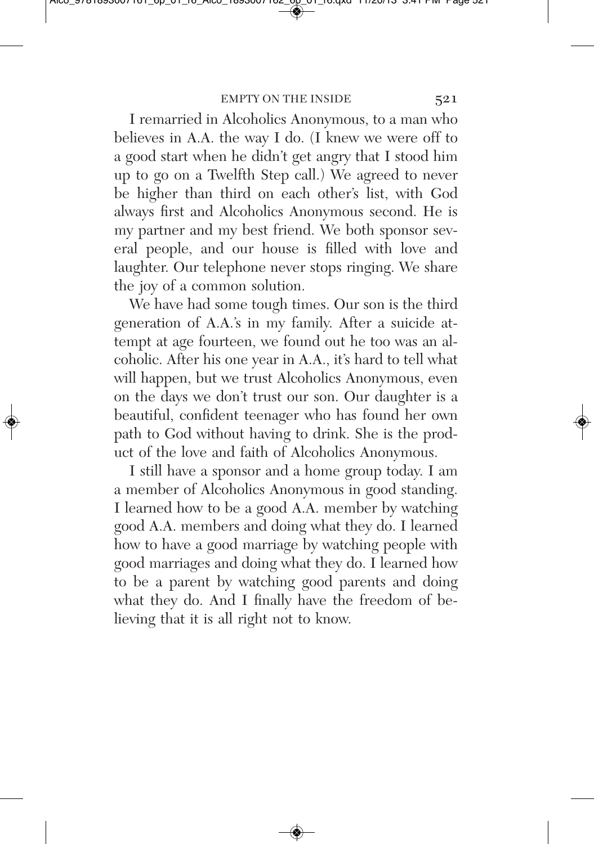I remarried in Alcoholics Anonymous, to a man who believes in A.A. the way I do. (I knew we were off to a good start when he didn't get angry that I stood him up to go on a Twelfth Step call.) We agreed to never be higher than third on each other's list, with God always first and Alcoholics Anonymous second. He is my partner and my best friend. We both sponsor several people, and our house is filled with love and laughter. Our telephone never stops ringing. We share the joy of a common solution.

We have had some tough times. Our son is the third generation of A.A.'s in my family. After a suicide attempt at age fourteen, we found out he too was an alcoholic. After his one year in A.A., it's hard to tell what will happen, but we trust Alcoholics Anonymous, even on the days we don't trust our son. Our daughter is a beautiful, confident teenager who has found her own path to God without having to drink. She is the product of the love and faith of Alcoholics Anonymous.

I still have a sponsor and a home group today. I am a member of Alcoholics Anonymous in good standing. I learned how to be a good A.A. member by watching good A.A. members and doing what they do. I learned how to have a good marriage by watching people with good marriages and doing what they do. I learned how to be a parent by watching good parents and doing what they do. And I finally have the freedom of believing that it is all right not to know.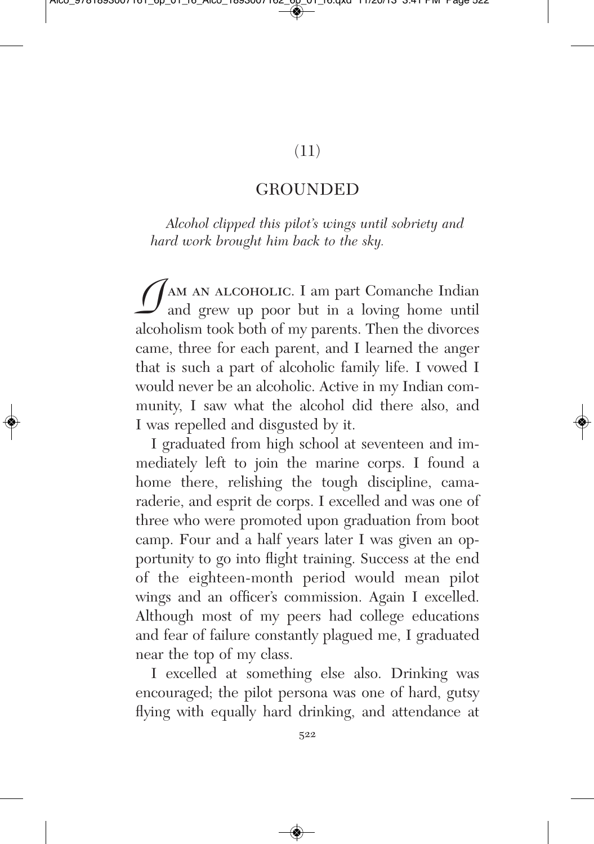#### (11)

#### GROUNDED

*Alcohol clipped this pilot's wings until sobriety and hard work brought him back to the sky.*

*I* AM AN ALCOHOLIC. I am part Comanche Indian and grew up poor but in a loving home until alcoholism took both of my parents. Then the divorces came, three for each parent, and I learned the anger that is such a part of alcoholic family life. I vowed I would never be an alcoholic. Active in my Indian community, I saw what the alcohol did there also, and I was repelled and disgusted by it.

I graduated from high school at seventeen and immediately left to join the marine corps. I found a home there, relishing the tough discipline, camaraderie, and esprit de corps. I excelled and was one of three who were promoted upon graduation from boot camp. Four and a half years later I was given an opportunity to go into flight training. Success at the end of the eighteen-month period would mean pilot wings and an officer's commission. Again I excelled. Although most of my peers had college educations and fear of failure constantly plagued me, I graduated near the top of my class.

I excelled at something else also. Drinking was encouraged; the pilot persona was one of hard, gutsy flying with equally hard drinking, and attendance at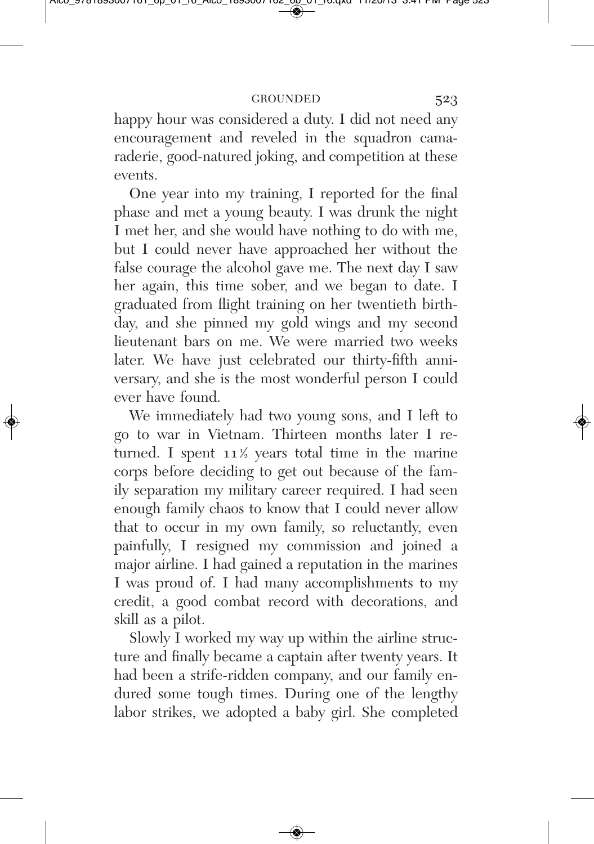happy hour was considered a duty. I did not need any encouragement and reveled in the squadron camaraderie, good-natured joking, and competition at these events.

One year into my training, I reported for the final phase and met a young beauty. I was drunk the night I met her, and she would have nothing to do with me, but I could never have approached her without the false courage the alcohol gave me. The next day I saw her again, this time sober, and we began to date. I graduated from flight training on her twentieth birthday, and she pinned my gold wings and my second lieutenant bars on me. We were married two weeks later. We have just celebrated our thirty-fifth anniversary, and she is the most wonderful person I could ever have found.

We immediately had two young sons, and I left to go to war in Vietnam. Thirteen months later I returned. I spent  $11\frac{1}{2}$  years total time in the marine corps before deciding to get out because of the fam ily separation my military career required. I had seen enough family chaos to know that I could never allow that to occur in my own family, so reluctantly, even painfully, I resigned my commission and joined a major airline. I had gained a reputation in the marines I was proud of. I had many accomplishments to my credit, a good combat record with decorations, and skill as a pilot.

Slowly I worked my way up within the airline structure and finally became a captain after twenty years. It had been a strife-ridden company, and our family endured some tough times. During one of the lengthy labor strikes, we adopted a baby girl. She completed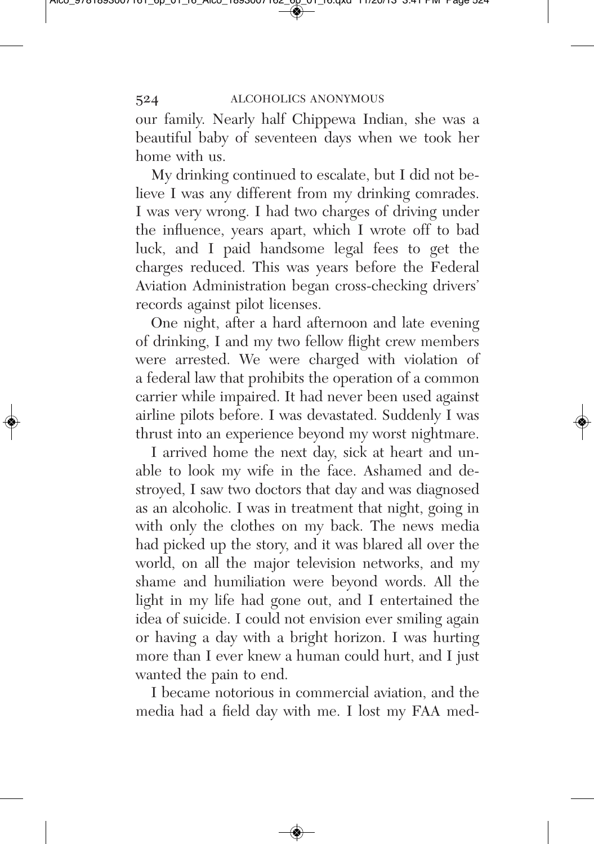our family. Nearly half Chippewa Indian, she was a beautiful baby of seventeen days when we took her home with us.

My drinking continued to escalate, but I did not believe I was any different from my drinking comrades. I was very wrong. I had two charges of driving under the influence, years apart, which I wrote off to bad luck, and I paid handsome legal fees to get the charges reduced. This was years before the Federal Aviation Administration began cross-checking drivers' records against pilot licenses.

One night, after a hard afternoon and late evening of drinking, I and my two fellow flight crew members were arrested. We were charged with violation of a federal law that prohibits the operation of a common carrier while impaired. It had never been used against airline pilots before. I was devastated. Suddenly I was thrust into an experience beyond my worst nightmare.

I arrived home the next day, sick at heart and unable to look my wife in the face. Ashamed and destroyed, I saw two doctors that day and was diagnosed as an alcoholic. I was in treatment that night, going in with only the clothes on my back. The news media had picked up the story, and it was blared all over the world, on all the major television networks, and my shame and humiliation were beyond words. All the light in my life had gone out, and I entertained the idea of suicide. I could not envision ever smiling again or having a day with a bright horizon. I was hurting more than I ever knew a human could hurt, and I just wanted the pain to end.

I became notorious in commercial aviation, and the media had a field day with me. I lost my FAA med-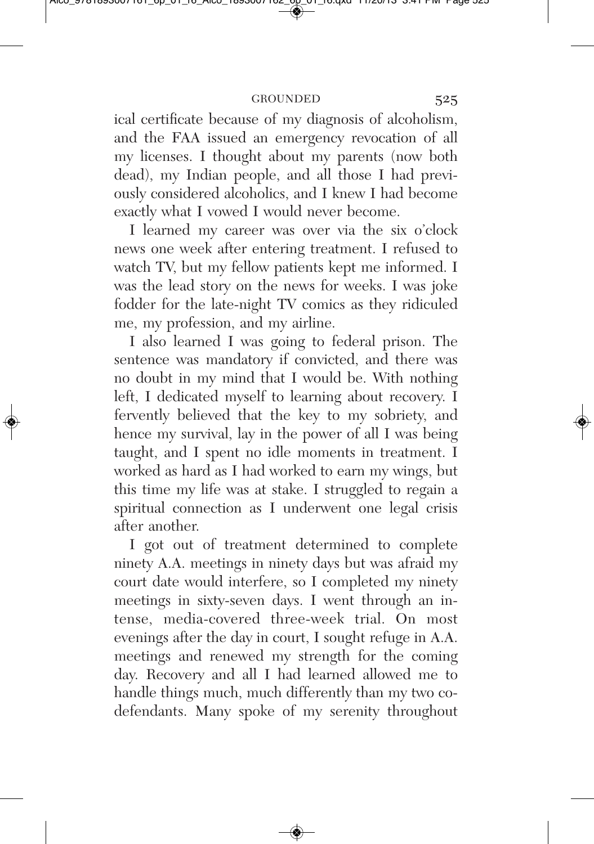#### GROUNDED 525

ical certificate because of my diagnosis of alcoholism, and the FAA issued an emergency revocation of all my licenses. I thought about my parents (now both dead), my Indian people, and all those I had previously considered alcoholics, and I knew I had become exactly what I vowed I would never become.

I learned my career was over via the six o'clock news one week after entering treatment. I refused to watch TV, but my fellow patients kept me informed. I was the lead story on the news for weeks. I was joke fodder for the late-night TV comics as they ridiculed me, my profession, and my airline.

I also learned I was going to federal prison. The sentence was mandatory if convicted, and there was no doubt in my mind that I would be. With nothing left, I dedicated myself to learning about recovery. I fervently believed that the key to my sobriety, and hence my survival, lay in the power of all I was being taught, and I spent no idle moments in treatment. I worked as hard as I had worked to earn my wings, but this time my life was at stake. I struggled to regain a spiritual connection as I underwent one legal crisis after another.

I got out of treatment determined to complete ninety A.A. meetings in ninety days but was afraid my court date would interfere, so I completed my ninety meetings in sixty-seven days. I went through an intense, media-covered three-week trial. On most evenings after the day in court, I sought refuge in A.A. meetings and renewed my strength for the coming day. Recovery and all I had learned allowed me to handle things much, much differently than my two codefendants. Many spoke of my serenity throughout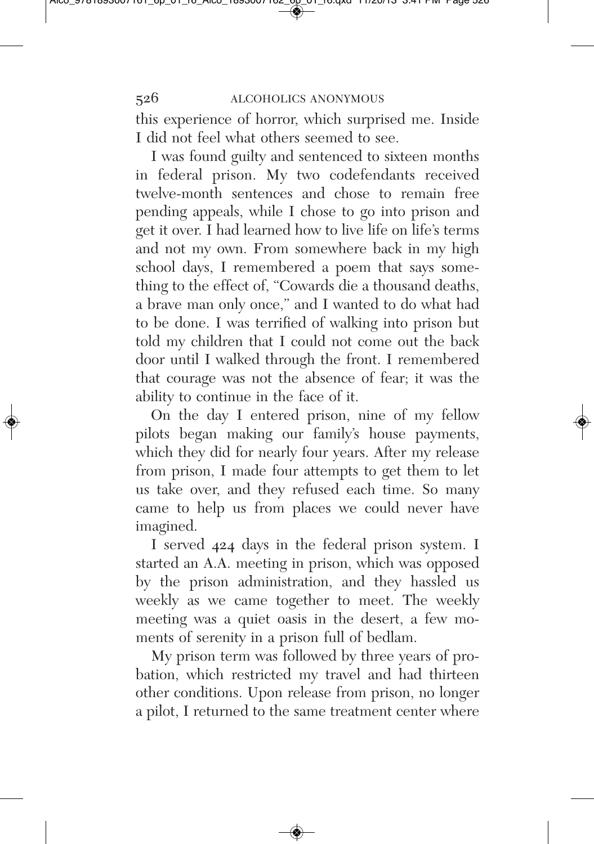this experience of horror, which surprised me. Inside I did not feel what others seemed to see.

I was found guilty and sentenced to sixteen months in federal prison. My two codefendants received twelve-month sentences and chose to remain free pending appeals, while I chose to go into prison and get it over. I had learned how to live life on life's terms and not my own. From somewhere back in my high school days, I remembered a poem that says something to the effect of, "Cowards die a thousand deaths, a brave man only once," and I wanted to do what had to be done. I was terrified of walking into prison but told my children that I could not come out the back door until I walked through the front. I remembered that courage was not the absence of fear; it was the ability to continue in the face of it.

On the day I entered prison, nine of my fellow pilots began making our family's house payments, which they did for nearly four years. After my release from prison, I made four attempts to get them to let us take over, and they refused each time. So many came to help us from places we could never have imagined.

I served 424 days in the federal prison system. I started an A.A. meeting in prison, which was opposed by the prison administration, and they hassled us weekly as we came together to meet. The weekly meeting was a quiet oasis in the desert, a few moments of serenity in a prison full of bedlam.

My prison term was followed by three years of probation, which restricted my travel and had thirteen other conditions. Upon release from prison, no longer a pilot, I returned to the same treatment center where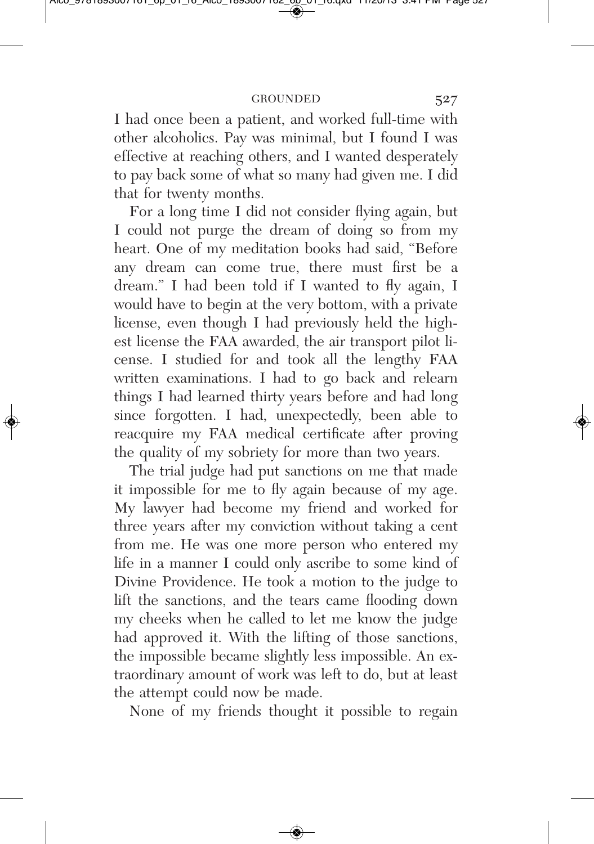I had once been a patient, and worked full-time with other alcoholics. Pay was minimal, but I found I was effective at reaching others, and I wanted desperately to pay back some of what so many had given me. I did that for twenty months.

For a long time I did not consider flying again, but I could not purge the dream of doing so from my heart. One of my meditation books had said, "Before any dream can come true, there must first be a dream." I had been told if I wanted to fly again, I would have to begin at the very bottom, with a private license, even though I had previously held the highest license the FAA awarded, the air transport pilot license. I studied for and took all the lengthy FAA written examinations. I had to go back and relearn things I had learned thirty years before and had long since forgotten. I had, unexpectedly, been able to reacquire my FAA medical certificate after proving the quality of my sobriety for more than two years.

The trial judge had put sanctions on me that made it impossible for me to fly again because of my age. My lawyer had become my friend and worked for three years after my conviction without taking a cent from me. He was one more person who entered my life in a manner I could only ascribe to some kind of Divine Providence. He took a motion to the judge to lift the sanctions, and the tears came flooding down my cheeks when he called to let me know the judge had approved it. With the lifting of those sanctions, the impossible became slightly less impossible. An extraordinary amount of work was left to do, but at least the attempt could now be made.

None of my friends thought it possible to regain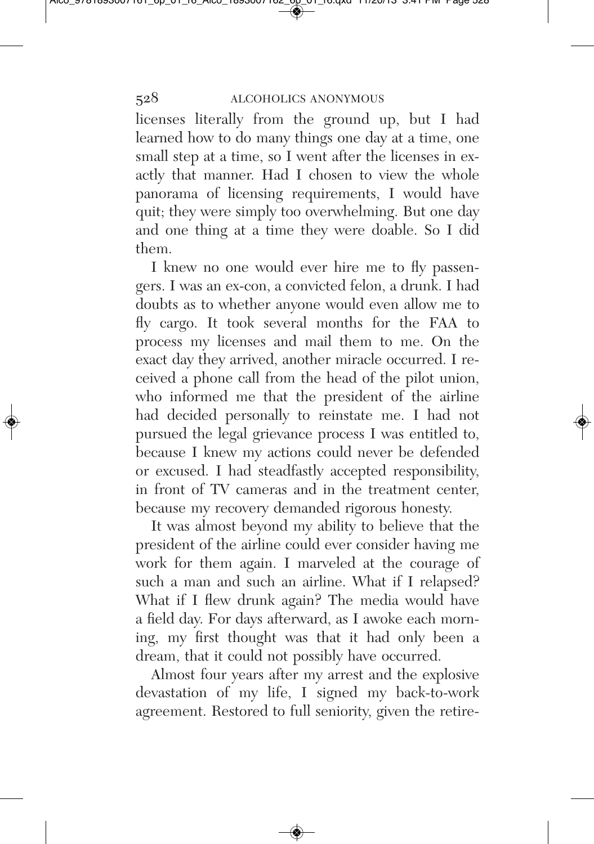licenses literally from the ground up, but I had learned how to do many things one day at a time, one small step at a time, so I went after the licenses in exactly that manner. Had I chosen to view the whole panorama of licensing requirements, I would have quit; they were simply too overwhelming. But one day and one thing at a time they were doable. So I did them.

I knew no one would ever hire me to fly passengers. I was an ex-con, a convicted felon, a drunk. I had doubts as to whether anyone would even allow me to fly cargo. It took several months for the FAA to process my licenses and mail them to me. On the exact day they arrived, another miracle occurred. I received a phone call from the head of the pilot union, who informed me that the president of the airline had decided personally to reinstate me. I had not pursued the legal grievance process I was entitled to, because I knew my actions could never be defended or excused. I had steadfastly accepted responsibility, in front of TV cameras and in the treatment center, because my recovery demanded rigorous honesty.

It was almost beyond my ability to believe that the president of the airline could ever consider having me work for them again. I marveled at the courage of such a man and such an airline. What if I relapsed? What if I flew drunk again? The media would have a field day. For days afterward, as I awoke each morning, my first thought was that it had only been a dream, that it could not possibly have occurred.

Almost four years after my arrest and the explosive devastation of my life, I signed my back-to-work agreement. Restored to full seniority, given the retire-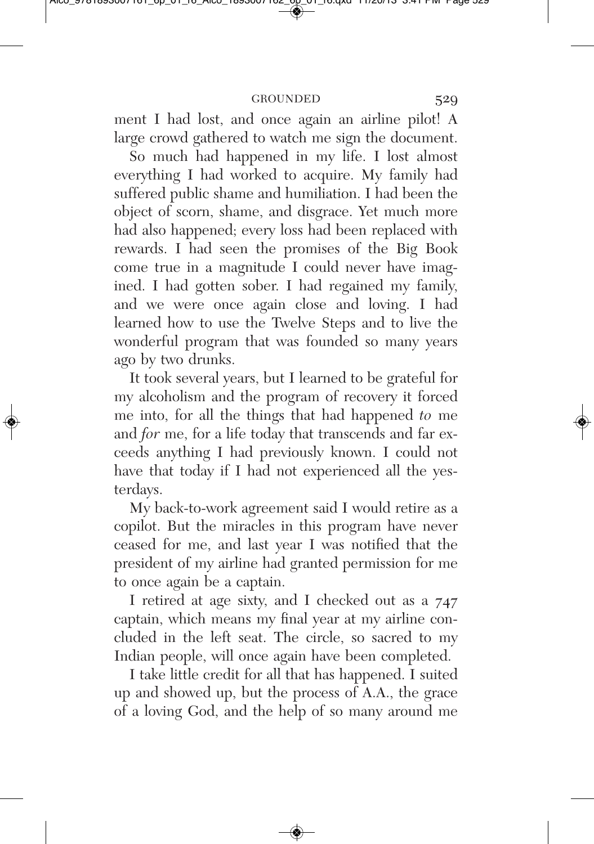ment I had lost, and once again an airline pilot! A large crowd gathered to watch me sign the document.

So much had happened in my life. I lost almost everything I had worked to acquire. My family had suffered public shame and humiliation. I had been the object of scorn, shame, and disgrace. Yet much more had also happened; every loss had been replaced with rewards. I had seen the promises of the Big Book come true in a magnitude I could never have imagined. I had gotten sober. I had regained my family, and we were once again close and loving. I had learned how to use the Twelve Steps and to live the wonderful program that was founded so many years ago by two drunks.

It took several years, but I learned to be grateful for my alcoholism and the program of recovery it forced me into, for all the things that had happened *to* me and *for* me, for a life today that transcends and far exceeds anything I had previously known. I could not have that today if I had not experienced all the yesterdays.

My back-to-work agreement said I would retire as a copilot. But the miracles in this program have never ceased for me, and last year I was notified that the president of my airline had granted permission for me to once again be a captain.

I retired at age sixty, and I checked out as a 747 captain, which means my final year at my airline concluded in the left seat. The circle, so sacred to my Indian people, will once again have been completed.

I take little credit for all that has happened. I suited up and showed up, but the process of A.A., the grace of a loving God, and the help of so many around me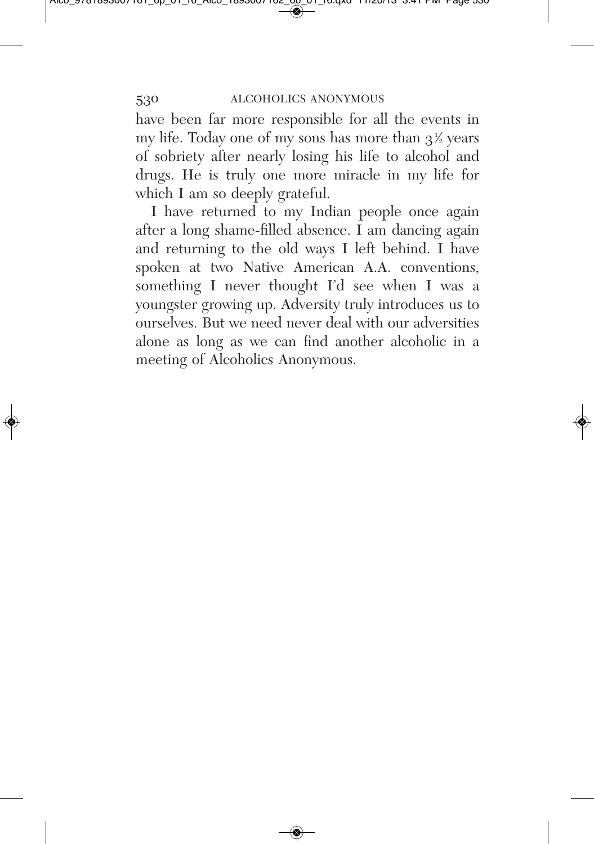have been far more responsible for all the events in my life. Today one of my sons has more than 31 ⁄<sup>2</sup> years of sobriety after nearly losing his life to alcohol and drugs. He is truly one more miracle in my life for which I am so deeply grateful.

I have returned to my Indian people once again after a long shame-filled absence. I am dancing again and returning to the old ways I left behind. I have spoken at two Native American A.A. conventions, something I never thought I'd see when I was a youngster growing up. Adversity truly introduces us to ourselves. But we need never deal with our adversities alone as long as we can find another alcoholic in a meeting of Alcoholics Anonymous.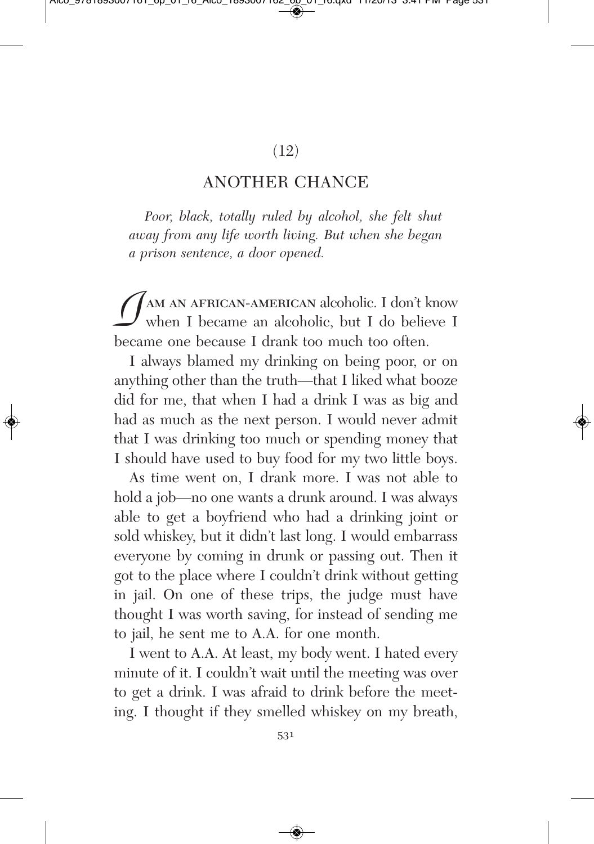## $(12)$

## ANOTHER CHANCE

*Poor, black, totally ruled by alcohol, she felt shut away from any life worth living. But when she began a prison sentence, a door opened.*

 $\iint_{A}$  am african-american alcoholic. I don't know when I became an alcoholic, but I do believe I became one because I drank too much too often.

I always blamed my drinking on being poor, or on anything other than the truth—that I liked what booze did for me, that when I had a drink I was as big and had as much as the next person. I would never admit that I was drinking too much or spending money that I should have used to buy food for my two little boys.

As time went on, I drank more. I was not able to hold a job—no one wants a drunk around. I was always able to get a boyfriend who had a drinking joint or sold whiskey, but it didn't last long. I would embarrass everyone by coming in drunk or passing out. Then it got to the place where I couldn't drink without getting in jail. On one of these trips, the judge must have thought I was worth saving, for instead of sending me to jail, he sent me to A.A. for one month.

I went to A.A. At least, my body went. I hated every minute of it. I couldn't wait until the meeting was over to get a drink. I was afraid to drink before the meeting. I thought if they smelled whiskey on my breath,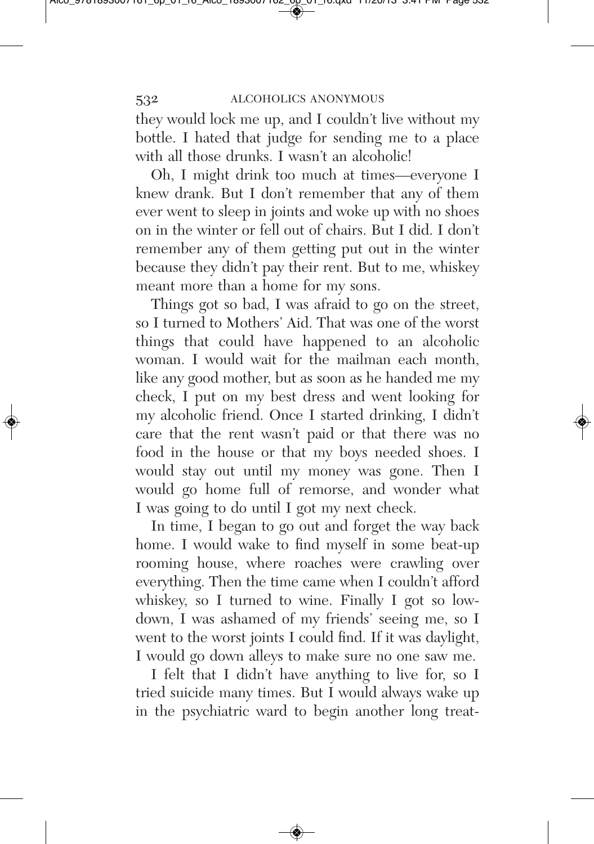they would lock me up, and I couldn't live without my bottle. I hated that judge for sending me to a place with all those drunks. I wasn't an alcoholic!

Oh, I might drink too much at times—everyone I knew drank. But I don't remember that any of them ever went to sleep in joints and woke up with no shoes on in the winter or fell out of chairs. But I did. I don't remember any of them getting put out in the winter because they didn't pay their rent. But to me, whiskey meant more than a home for my sons.

Things got so bad, I was afraid to go on the street, so I turned to Mothers' Aid. That was one of the worst things that could have happened to an alcoholic woman. I would wait for the mailman each month, like any good mother, but as soon as he handed me my check, I put on my best dress and went looking for my alcoholic friend. Once I started drinking, I didn't care that the rent wasn't paid or that there was no food in the house or that my boys needed shoes. I would stay out until my money was gone. Then I would go home full of remorse, and wonder what I was going to do until I got my next check.

In time, I began to go out and forget the way back home. I would wake to find myself in some beat-up rooming house, where roaches were crawling over everything. Then the time came when I couldn't afford whiskey, so I turned to wine. Finally I got so lowdown, I was ashamed of my friends' seeing me, so I went to the worst joints I could find. If it was daylight, I would go down alleys to make sure no one saw me.

I felt that I didn't have anything to live for, so I tried suicide many times. But I would always wake up in the psychiatric ward to begin another long treat-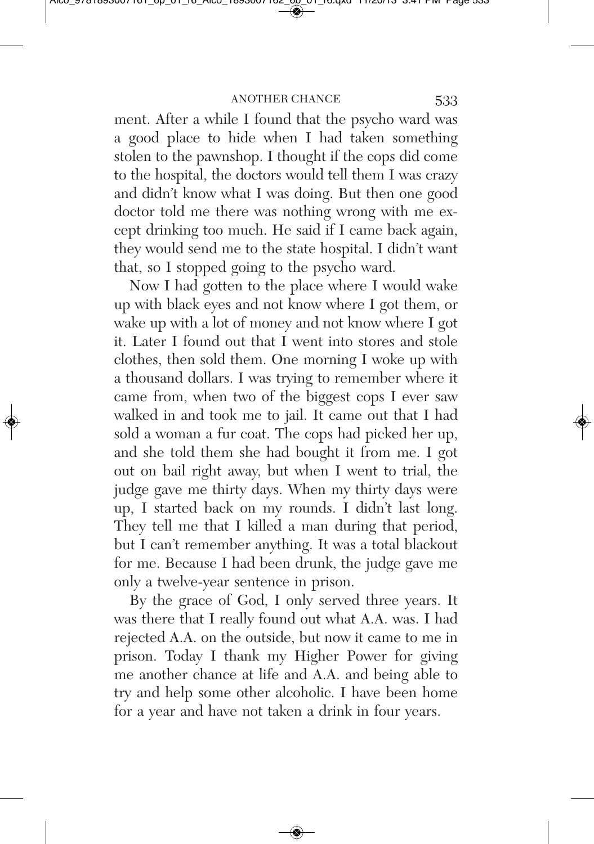ment. After a while I found that the psycho ward was a good place to hide when I had taken something stolen to the pawnshop. I thought if the cops did come to the hospital, the doctors would tell them I was crazy and didn't know what I was doing. But then one good doctor told me there was nothing wrong with me except drinking too much. He said if I came back again, they would send me to the state hospital. I didn't want that, so I stopped going to the psycho ward.

Now I had gotten to the place where I would wake up with black eyes and not know where I got them, or wake up with a lot of money and not know where I got it. Later I found out that I went into stores and stole clothes, then sold them. One morning I woke up with a thousand dollars. I was trying to remember where it came from, when two of the biggest cops I ever saw walked in and took me to jail. It came out that I had sold a woman a fur coat. The cops had picked her up, and she told them she had bought it from me. I got out on bail right away, but when I went to trial, the judge gave me thirty days. When my thirty days were up, I started back on my rounds. I didn't last long. They tell me that I killed a man during that period, but I can't remember anything. It was a total blackout for me. Because I had been drunk, the judge gave me only a twelve-year sentence in prison.

By the grace of God, I only served three years. It was there that I really found out what A.A. was. I had rejected A.A. on the outside, but now it came to me in prison. Today I thank my Higher Power for giving me another chance at life and A.A. and being able to try and help some other alcoholic. I have been home for a year and have not taken a drink in four years.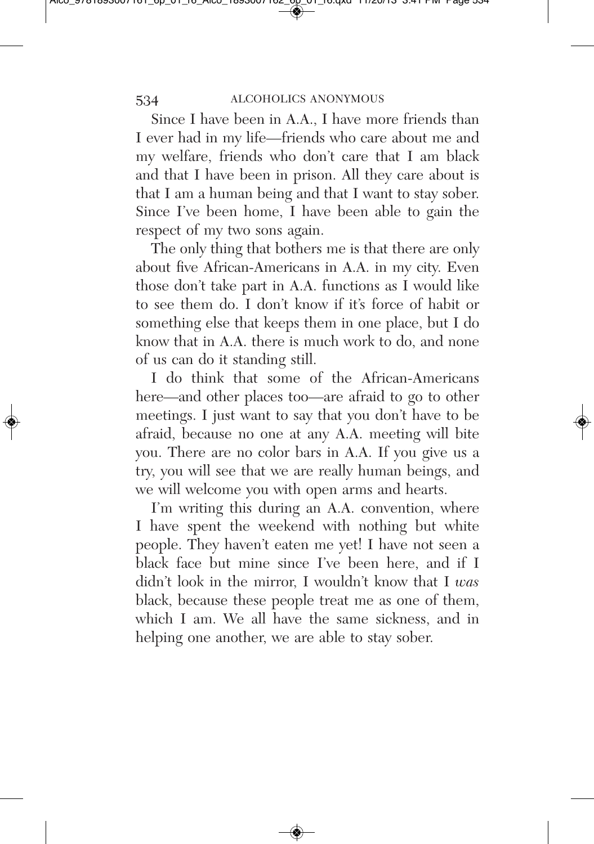Since I have been in A.A., I have more friends than I ever had in my life—friends who care about me and my welfare, friends who don't care that I am black and that I have been in prison. All they care about is that I am a human being and that I want to stay sober. Since I've been home, I have been able to gain the respect of my two sons again.

The only thing that bothers me is that there are only about five African-Americans in A.A. in my city. Even those don't take part in A.A. functions as I would like to see them do. I don't know if it's force of habit or something else that keeps them in one place, but I do know that in A.A. there is much work to do, and none of us can do it standing still.

I do think that some of the African-Americans here—and other places too—are afraid to go to other meetings. I just want to say that you don't have to be afraid, because no one at any A.A. meeting will bite you. There are no color bars in A.A. If you give us a try, you will see that we are really human beings, and we will welcome you with open arms and hearts.

I'm writing this during an A.A. convention, where I have spent the weekend with nothing but white people. They haven't eaten me yet! I have not seen a black face but mine since I've been here, and if I didn't look in the mirror, I wouldn't know that I *was* black, because these people treat me as one of them, which I am. We all have the same sickness, and in helping one another, we are able to stay sober.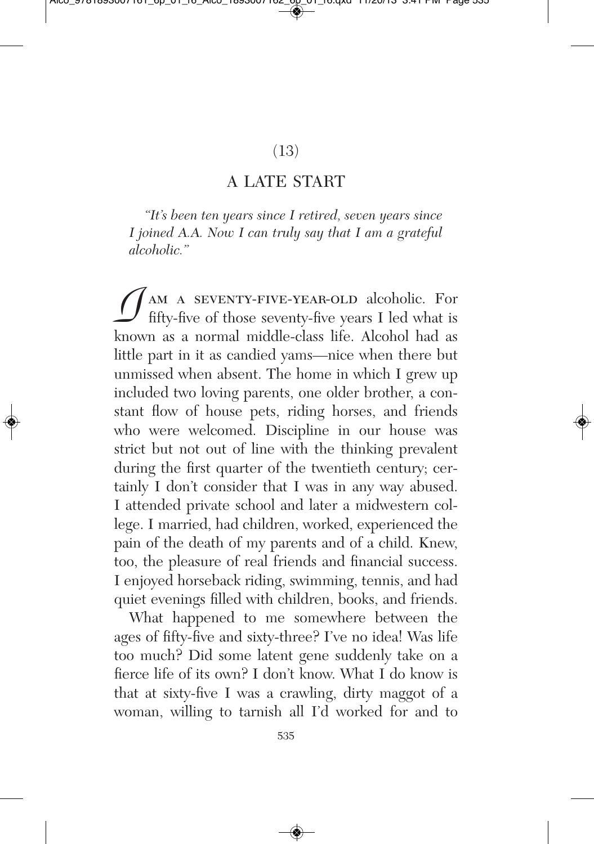#### (13)

# A LATE START

*"It's been ten years since I retired, seven years since I joined A.A. Now I can truly say that I am a grateful alcoholic."*

 $\iint_{C}$  am a seventy-five-year-old alcoholic. For fifty-five of those seventy-five years I led what is known as a normal middle-class life. Alcohol had as little part in it as candied yams—nice when there but unmissed when absent. The home in which I grew up included two loving parents, one older brother, a constant flow of house pets, riding horses, and friends who were welcomed. Discipline in our house was strict but not out of line with the thinking prevalent during the first quarter of the twentieth century; certainly I don't consider that I was in any way abused. I attended private school and later a midwestern college. I married, had children, worked, experienced the pain of the death of my parents and of a child. Knew, too, the pleasure of real friends and financial success. I enjoyed horseback riding, swimming, tennis, and had quiet evenings filled with children, books, and friends.

What happened to me somewhere between the ages of fifty-five and sixty-three? I've no idea! Was life too much? Did some latent gene suddenly take on a fierce life of its own? I don't know. What I do know is that at sixty-five I was a crawling, dirty maggot of a woman, willing to tarnish all I'd worked for and to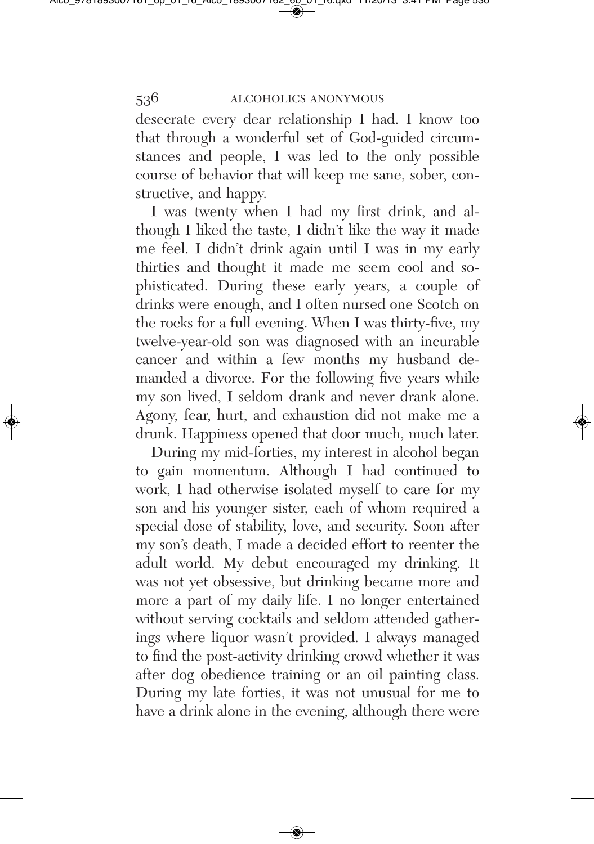desecrate every dear relationship I had. I know too that through a wonderful set of God-guided circumstances and people, I was led to the only possible course of behavior that will keep me sane, sober, constructive, and happy.

I was twenty when I had my first drink, and although I liked the taste, I didn't like the way it made me feel. I didn't drink again until I was in my early thirties and thought it made me seem cool and sophisticated. During these early years, a couple of drinks were enough, and I often nursed one Scotch on the rocks for a full evening. When I was thirty-five, my twelve-year-old son was diagnosed with an incurable cancer and within a few months my husband demanded a divorce. For the following five years while my son lived, I seldom drank and never drank alone. Agony, fear, hurt, and exhaustion did not make me a drunk. Happiness opened that door much, much later.

During my mid-forties, my interest in alcohol began to gain momentum. Although I had continued to work, I had otherwise isolated myself to care for my son and his younger sister, each of whom required a special dose of stability, love, and security. Soon after my son's death, I made a decided effort to reenter the adult world. My debut encouraged my drinking. It was not yet obsessive, but drinking became more and more a part of my daily life. I no longer entertained without serving cocktails and seldom attended gatherings where liquor wasn't provided. I always managed to find the post-activity drinking crowd whether it was after dog obedience training or an oil painting class. During my late forties, it was not unusual for me to have a drink alone in the evening, although there were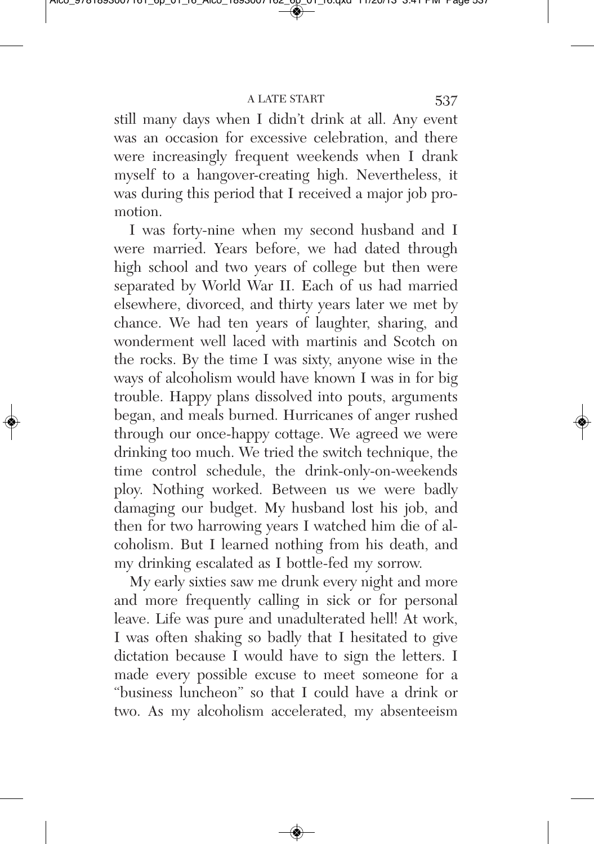still many days when I didn't drink at all. Any event was an occasion for excessive celebration, and there were increasingly frequent weekends when I drank myself to a hangover-creating high. Nevertheless, it was during this period that I received a major job promotion.

I was forty-nine when my second husband and I were married. Years before, we had dated through high school and two years of college but then were separated by World War II. Each of us had married elsewhere, divorced, and thirty years later we met by chance. We had ten years of laughter, sharing, and wonderment well laced with martinis and Scotch on the rocks. By the time I was sixty, anyone wise in the ways of alcoholism would have known I was in for big trouble. Happy plans dissolved into pouts, arguments began, and meals burned. Hurricanes of anger rushed through our once-happy cottage. We agreed we were drinking too much. We tried the switch technique, the time control schedule, the drink-only-on-weekends ploy. Nothing worked. Between us we were badly damaging our budget. My husband lost his job, and then for two harrowing years I watched him die of alcoholism. But I learned nothing from his death, and my drinking escalated as I bottle-fed my sorrow.

My early sixties saw me drunk every night and more and more frequently calling in sick or for personal leave. Life was pure and unadulterated hell! At work, I was often shaking so badly that I hesitated to give dictation because I would have to sign the letters. I made every possible excuse to meet someone for a "business luncheon" so that I could have a drink or two. As my alcoholism accelerated, my absenteeism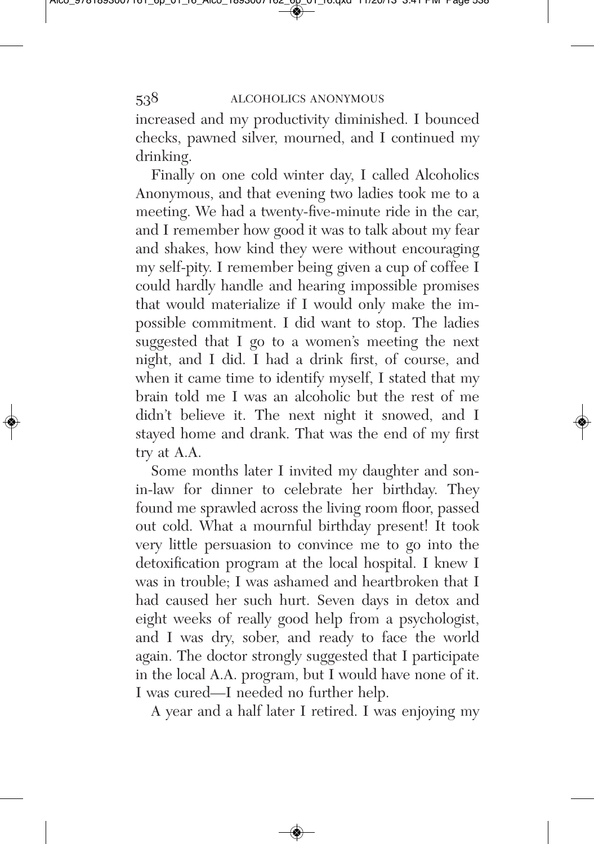#### 538 ALCOHOLICS ANONYMOUS

increased and my productivity diminished. I bounced checks, pawned silver, mourned, and I continued my drinking.

Finally on one cold winter day, I called Alcoholics Anonymous, and that evening two ladies took me to a meeting. We had a twenty-five-minute ride in the car, and I remember how good it was to talk about my fear and shakes, how kind they were without encouraging my self-pity. I remember being given a cup of coffee I could hardly handle and hearing impossible promises that would materialize if I would only make the impossible commitment. I did want to stop. The ladies suggested that I go to a women's meeting the next night, and I did. I had a drink first, of course, and when it came time to identify myself, I stated that my brain told me I was an alcoholic but the rest of me didn't believe it. The next night it snowed, and I stayed home and drank. That was the end of my first try at A.A.

Some months later I invited my daughter and sonin-law for dinner to celebrate her birthday. They found me sprawled across the living room floor, passed out cold. What a mournful birthday present! It took very little persuasion to convince me to go into the detoxification program at the local hospital. I knew I was in trouble; I was ashamed and heartbroken that I had caused her such hurt. Seven days in detox and eight weeks of really good help from a psychologist, and I was dry, sober, and ready to face the world again. The doctor strongly suggested that I participate in the local A.A. program, but I would have none of it. I was cured—I needed no further help.

A year and a half later I retired. I was enjoying my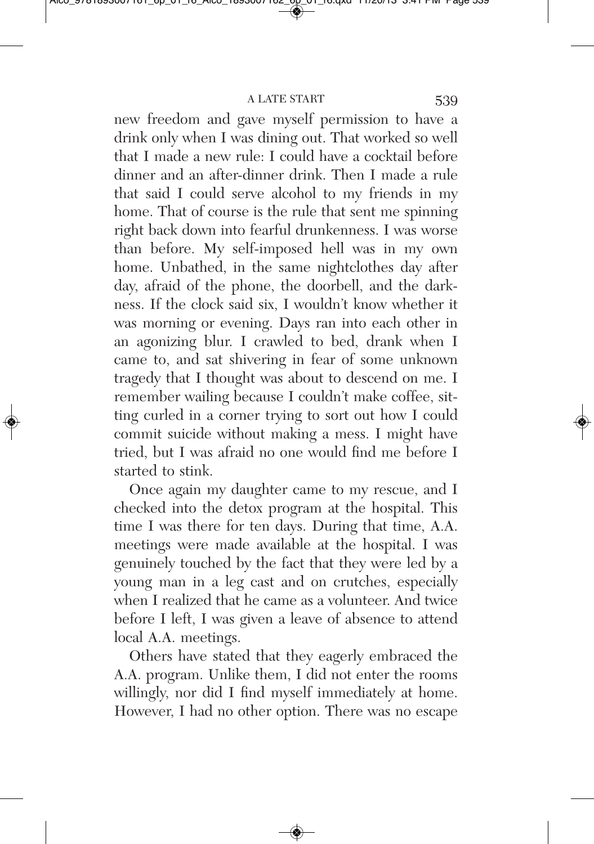new freedom and gave myself permission to have a drink only when I was dining out. That worked so well that I made a new rule: I could have a cocktail before dinner and an after-dinner drink. Then I made a rule that said I could serve alcohol to my friends in my home. That of course is the rule that sent me spinning right back down into fearful drunkenness. I was worse than before. My self-imposed hell was in my own home. Unbathed, in the same nightclothes day after day, afraid of the phone, the doorbell, and the darkness. If the clock said six, I wouldn't know whether it was morning or evening. Days ran into each other in an agonizing blur. I crawled to bed, drank when I came to, and sat shivering in fear of some unknown tragedy that I thought was about to descend on me. I remember wailing because I couldn't make coffee, sitting curled in a corner trying to sort out how I could commit suicide without making a mess. I might have tried, but I was afraid no one would find me before I started to stink.

Once again my daughter came to my rescue, and I checked into the detox program at the hospital. This time I was there for ten days. During that time, A.A. meetings were made available at the hospital. I was genuinely touched by the fact that they were led by a young man in a leg cast and on crutches, especially when I realized that he came as a volunteer. And twice before I left, I was given a leave of absence to attend local A.A. meetings.

Others have stated that they eagerly embraced the A.A. program. Unlike them, I did not enter the rooms willingly, nor did I find myself immediately at home. However, I had no other option. There was no escape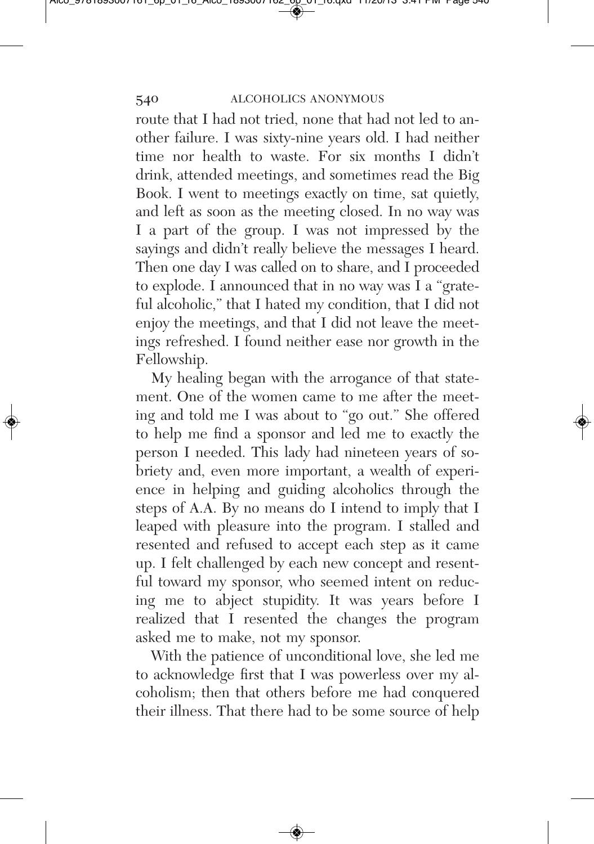route that I had not tried, none that had not led to another failure. I was sixty-nine years old. I had neither time nor health to waste. For six months I didn't drink, attended meetings, and sometimes read the Big Book. I went to meetings exactly on time, sat quietly, and left as soon as the meeting closed. In no way was I a part of the group. I was not impressed by the sayings and didn't really believe the messages I heard. Then one day I was called on to share, and I proceeded to explode. I announced that in no way was I a "grateful alcoholic," that I hated my condition, that I did not enjoy the meetings, and that I did not leave the meetings refreshed. I found neither ease nor growth in the Fellowship.

My healing began with the arrogance of that statement. One of the women came to me after the meeting and told me I was about to "go out." She offered to help me find a sponsor and led me to exactly the person I needed. This lady had nineteen years of sobriety and, even more important, a wealth of experience in helping and guiding alcoholics through the steps of A.A. By no means do I intend to imply that I leaped with pleasure into the program. I stalled and resented and refused to accept each step as it came up. I felt challenged by each new concept and resentful toward my sponsor, who seemed intent on reducing me to abject stupidity. It was years before I realized that I resented the changes the program asked me to make, not my sponsor.

With the patience of unconditional love, she led me to acknowledge first that I was powerless over my alcoholism; then that others before me had conquered their illness. That there had to be some source of help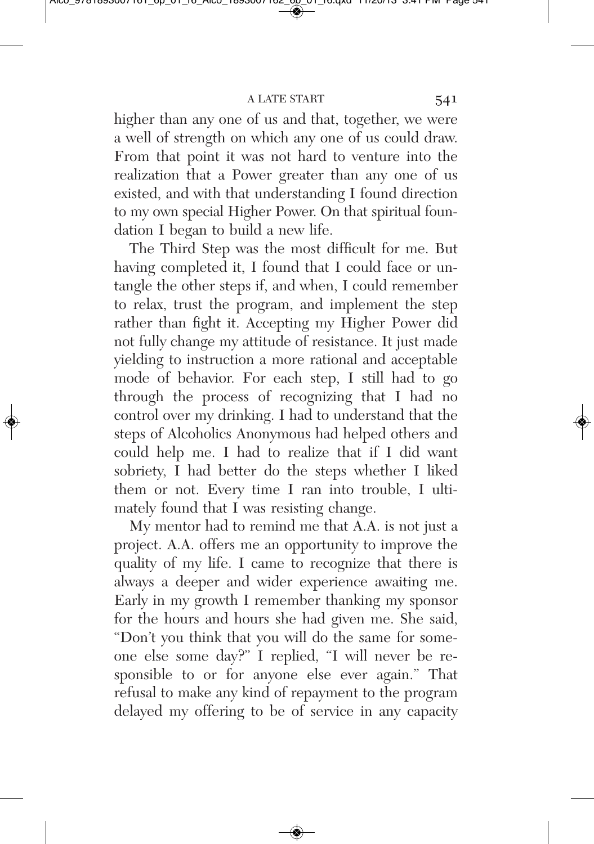higher than any one of us and that, together, we were a well of strength on which any one of us could draw. From that point it was not hard to venture into the realization that a Power greater than any one of us existed, and with that understanding I found direction to my own special Higher Power. On that spiritual foundation I began to build a new life.

The Third Step was the most difficult for me. But having completed it, I found that I could face or untangle the other steps if, and when, I could remember to relax, trust the program, and implement the step rather than fight it. Accepting my Higher Power did not fully change my attitude of resistance. It just made yielding to instruction a more rational and acceptable mode of behavior. For each step, I still had to go through the process of recognizing that I had no control over my drinking. I had to understand that the steps of Alcoholics Anonymous had helped others and could help me. I had to realize that if I did want sobriety, I had better do the steps whether I liked them or not. Every time I ran into trouble, I ultimately found that I was resisting change.

My mentor had to remind me that A.A. is not just a project. A.A. offers me an opportunity to improve the quality of my life. I came to recognize that there is always a deeper and wider experience awaiting me. Early in my growth I remember thanking my sponsor for the hours and hours she had given me. She said, "Don't you think that you will do the same for someone else some day?" I replied, "I will never be responsible to or for anyone else ever again." That refusal to make any kind of repayment to the program delayed my offering to be of service in any capacity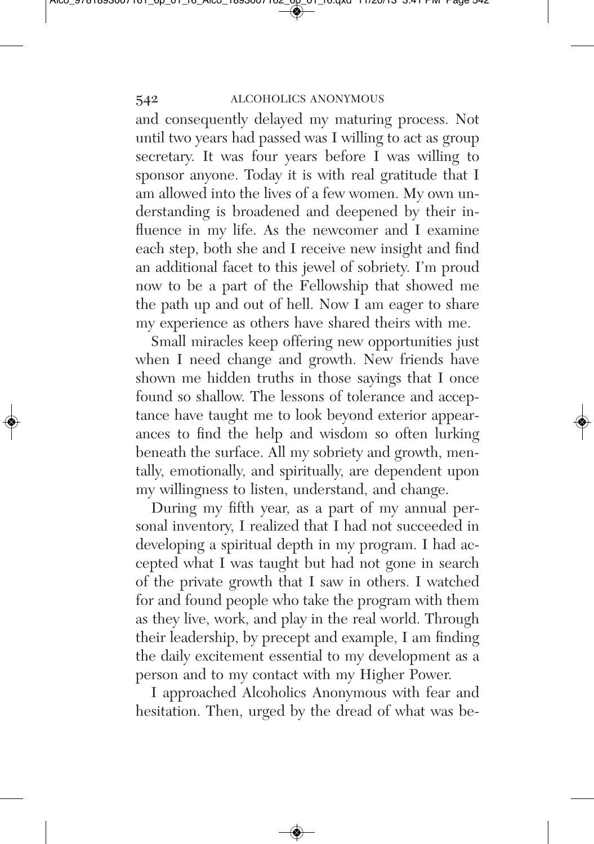and consequently delayed my maturing process. Not until two years had passed was I willing to act as group secretary. It was four years before I was willing to sponsor anyone. Today it is with real gratitude that I am allowed into the lives of a few women. My own understanding is broadened and deepened by their influence in my life. As the newcomer and I examine each step, both she and I receive new insight and find an additional facet to this jewel of sobriety. I'm proud now to be a part of the Fellowship that showed me the path up and out of hell. Now I am eager to share my experience as others have shared theirs with me.

Small miracles keep offering new opportunities just when I need change and growth. New friends have shown me hidden truths in those sayings that I once found so shallow. The lessons of tolerance and acceptance have taught me to look beyond exterior appearances to find the help and wisdom so often lurking beneath the surface. All my sobriety and growth, mentally, emotionally, and spiritually, are dependent upon my willingness to listen, understand, and change.

During my fifth year, as a part of my annual personal inventory, I realized that I had not succeeded in developing a spiritual depth in my program. I had accepted what I was taught but had not gone in search of the private growth that I saw in others. I watched for and found people who take the program with them as they live, work, and play in the real world. Through their leadership, by precept and example, I am finding the daily excitement essential to my development as a person and to my contact with my Higher Power.

I approached Alcoholics Anonymous with fear and hesitation. Then, urged by the dread of what was be-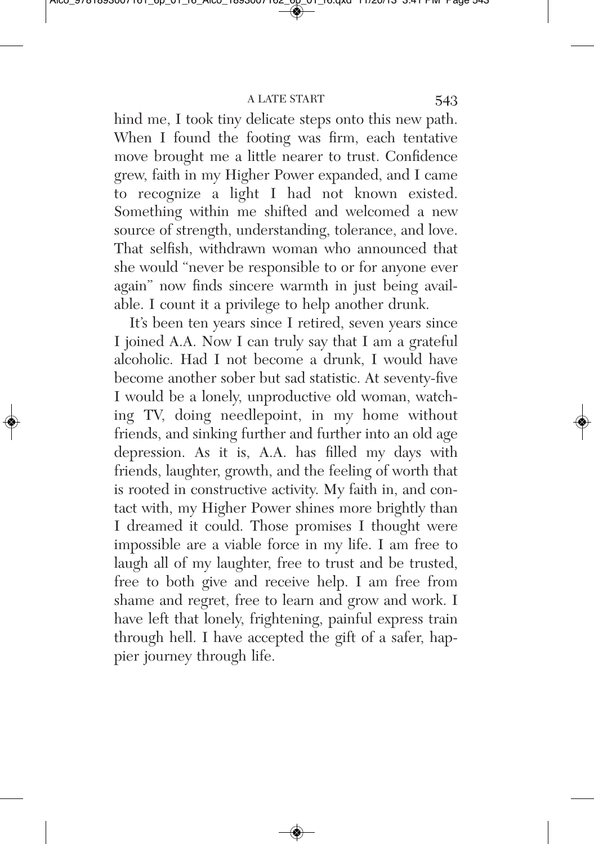hind me, I took tiny delicate steps onto this new path. When I found the footing was firm, each tentative move brought me a little nearer to trust. Confidence grew, faith in my Higher Power expanded, and I came to recognize a light I had not known existed. Something within me shifted and welcomed a new source of strength, understanding, tolerance, and love. That selfish, withdrawn woman who announced that she would "never be responsible to or for anyone ever again" now finds sincere warmth in just being available. I count it a privilege to help another drunk.

It's been ten years since I retired, seven years since I joined A.A. Now I can truly say that I am a grateful alcoholic. Had I not become a drunk, I would have become another sober but sad statistic. At seventy-five I would be a lonely, unproductive old woman, watching TV, doing needlepoint, in my home without friends, and sinking further and further into an old age depression. As it is, A.A. has filled my days with friends, laughter, growth, and the feeling of worth that is rooted in constructive activity. My faith in, and contact with, my Higher Power shines more brightly than I dreamed it could. Those promises I thought were impossible are a viable force in my life. I am free to laugh all of my laughter, free to trust and be trusted, free to both give and receive help. I am free from shame and regret, free to learn and grow and work. I have left that lonely, frightening, painful express train through hell. I have accepted the gift of a safer, happier journey through life.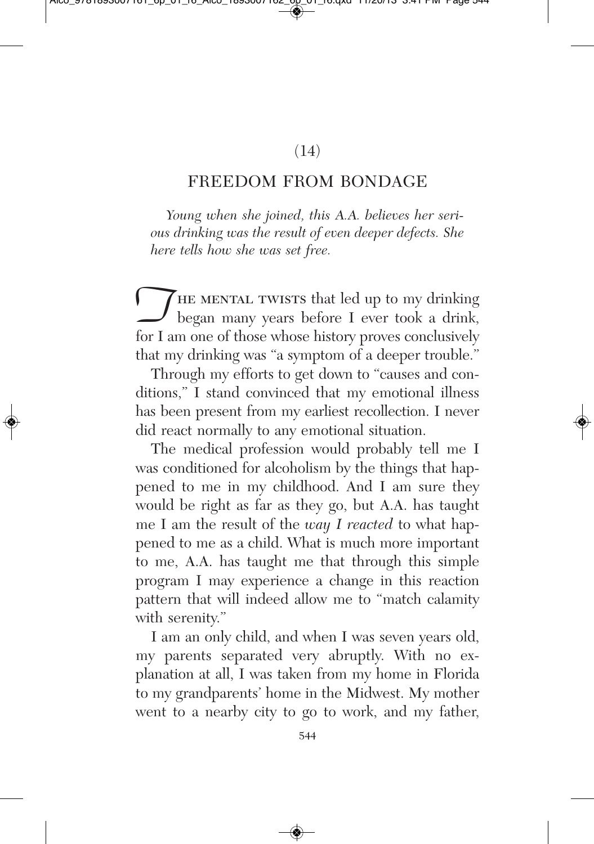## (14)

## FREEDOM FROM BONDAGE

*Young when she joined, this A.A. believes her serious drinking was the result of even deeper defects. She here tells how she was set free.*

THE MENTAL TWISTS that led up to my drinking<br>began many years before I ever took a drink,<br>for I am one of those whose history proves conclusively began many years before I ever took a drink, that my drinking was "a symptom of a deeper trouble."

Through my efforts to get down to "causes and conditions," I stand convinced that my emotional illness has been present from my earliest recollection. I never did react normally to any emotional situation.

The medical profession would probably tell me I was conditioned for alcoholism by the things that happened to me in my childhood. And I am sure they would be right as far as they go, but A.A. has taught me I am the result of the *way I reacted* to what happened to me as a child. What is much more important to me, A.A. has taught me that through this simple program I may experience a change in this reaction pattern that will indeed allow me to "match calamity with serenity."

I am an only child, and when I was seven years old, my parents separated very abruptly. With no explanation at all, I was taken from my home in Florida to my grandparents' home in the Midwest. My mother went to a nearby city to go to work, and my father,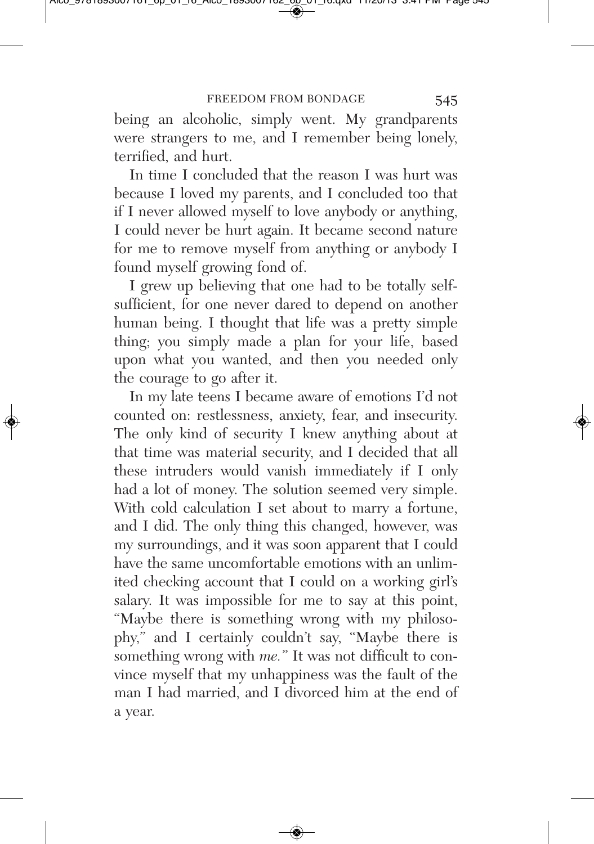being an alcoholic, simply went. My grandparents were strangers to me, and I remember being lonely, terrified, and hurt.

In time I concluded that the reason I was hurt was because I loved my parents, and I concluded too that if I never allowed myself to love anybody or anything, I could never be hurt again. It became second nature for me to remove myself from anything or anybody I found myself growing fond of.

I grew up believing that one had to be totally selfsufficient, for one never dared to depend on another human being. I thought that life was a pretty simple thing; you simply made a plan for your life, based upon what you wanted, and then you needed only the courage to go after it.

In my late teens I became aware of emotions I'd not counted on: restlessness, anxiety, fear, and insecurity. The only kind of security I knew anything about at that time was material security, and I decided that all these intruders would vanish immediately if I only had a lot of money. The solution seemed very simple. With cold calculation I set about to marry a fortune, and I did. The only thing this changed, however, was my surroundings, and it was soon apparent that I could have the same uncomfortable emotions with an unlimited checking account that I could on a working girl's salary. It was impossible for me to say at this point, "Maybe there is something wrong with my philosophy," and I certainly couldn't say, "Maybe there is something wrong with me." It was not difficult to convince myself that my unhappiness was the fault of the man I had married, and I divorced him at the end of a year.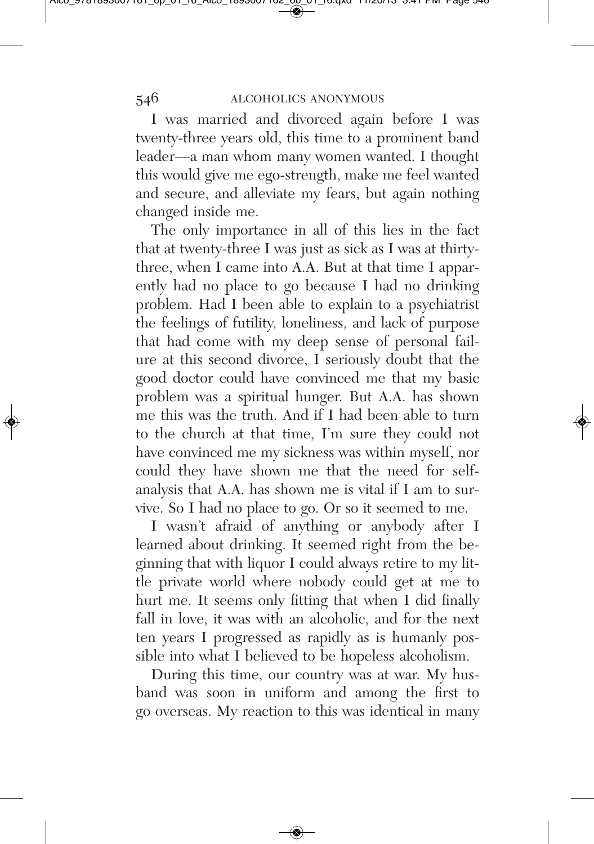I was married and divorced again before I was twenty-three years old, this time to a prominent band leader—a man whom many women wanted. I thought this would give me ego-strength, make me feel wanted and secure, and alleviate my fears, but again nothing changed inside me.

The only importance in all of this lies in the fact that at twenty-three I was just as sick as I was at thirtythree, when I came into A.A. But at that time I appar ently had no place to go because I had no drinking problem. Had I been able to explain to a psychiatrist the feelings of futility, loneliness, and lack of purpose that had come with my deep sense of personal failure at this second divorce, I seriously doubt that the good doctor could have convinced me that my basic problem was a spiritual hunger. But A.A. has shown me this was the truth. And if I had been able to turn to the church at that time, I'm sure they could not have convinced me my sickness was within myself, nor could they have shown me that the need for selfanalysis that A.A. has shown me is vital if I am to survive. So I had no place to go. Or so it seemed to me.

I wasn't afraid of anything or anybody after I learned about drinking. It seemed right from the beginning that with liquor I could always retire to my little private world where nobody could get at me to hurt me. It seems only fitting that when I did finally fall in love, it was with an alcoholic, and for the next ten years I progressed as rapidly as is humanly possible into what I believed to be hopeless alcoholism.

During this time, our country was at war. My husband was soon in uniform and among the first to go overseas. My reaction to this was identical in many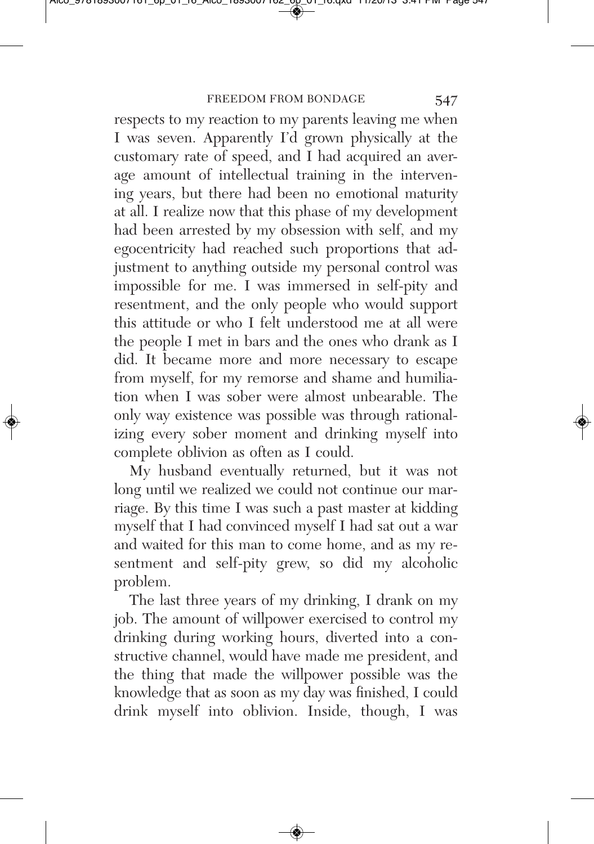respects to my reaction to my parents leaving me when I was seven. Apparently I'd grown physically at the customary rate of speed, and I had acquired an average amount of intellectual training in the intervening years, but there had been no emotional maturity at all. I realize now that this phase of my development had been arrested by my obsession with self, and my egocentricity had reached such proportions that adjustment to anything outside my personal control was impossible for me. I was immersed in self-pity and resentment, and the only people who would support this attitude or who I felt understood me at all were the people I met in bars and the ones who drank as I did. It became more and more necessary to escape from myself, for my remorse and shame and humiliation when I was sober were almost unbearable. The only way existence was possible was through rationalizing every sober moment and drinking myself into complete oblivion as often as I could.

My husband eventually returned, but it was not long until we realized we could not continue our marriage. By this time I was such a past master at kidding myself that I had convinced myself I had sat out a war and waited for this man to come home, and as my resentment and self-pity grew, so did my alcoholic problem.

The last three years of my drinking, I drank on my job. The amount of willpower exercised to control my drinking during working hours, diverted into a constructive channel, would have made me president, and the thing that made the willpower possible was the knowledge that as soon as my day was finished, I could drink myself into oblivion. Inside, though, I was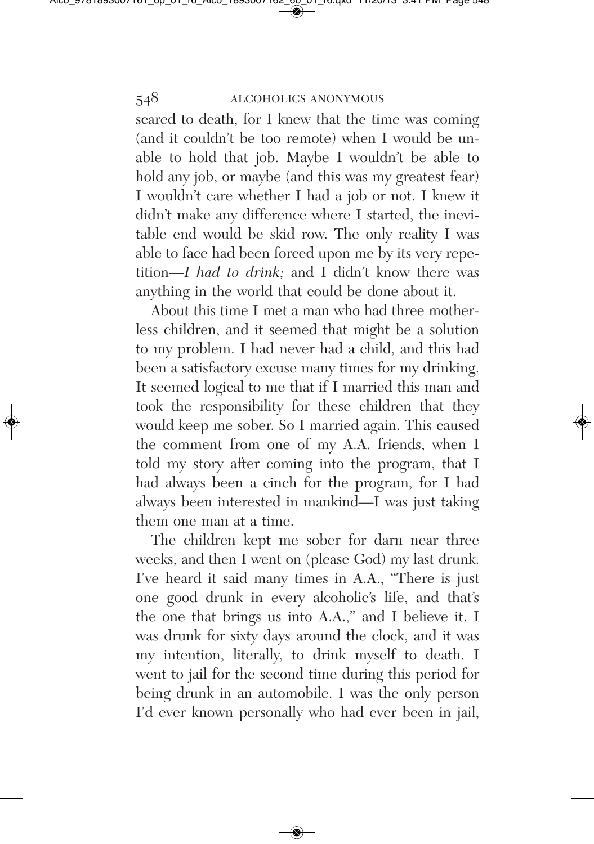scared to death, for I knew that the time was coming (and it couldn't be too remote) when I would be unable to hold that job. Maybe I wouldn't be able to hold any job, or maybe (and this was my greatest fear) I wouldn't care whether I had a job or not. I knew it didn't make any difference where I started, the inevitable end would be skid row. The only reality I was able to face had been forced upon me by its very repetition*—I had to drink;* and I didn't know there was anything in the world that could be done about it.

About this time I met a man who had three motherless children, and it seemed that might be a solution to my problem. I had never had a child, and this had been a satisfactory excuse many times for my drinking. It seemed logical to me that if I married this man and took the responsibility for these children that they would keep me sober. So I married again. This caused the comment from one of my A.A. friends, when I told my story after coming into the program, that I had always been a cinch for the program, for I had always been interested in mankind—I was just taking them one man at a time.

The children kept me sober for darn near three weeks, and then I went on (please God) my last drunk. I've heard it said many times in A.A., "There is just one good drunk in every alcoholic's life, and that's the one that brings us into A.A.," and I believe it. I was drunk for sixty days around the clock, and it was my intention, literally, to drink myself to death. I went to jail for the second time during this period for being drunk in an automobile. I was the only person I'd ever known personally who had ever been in jail,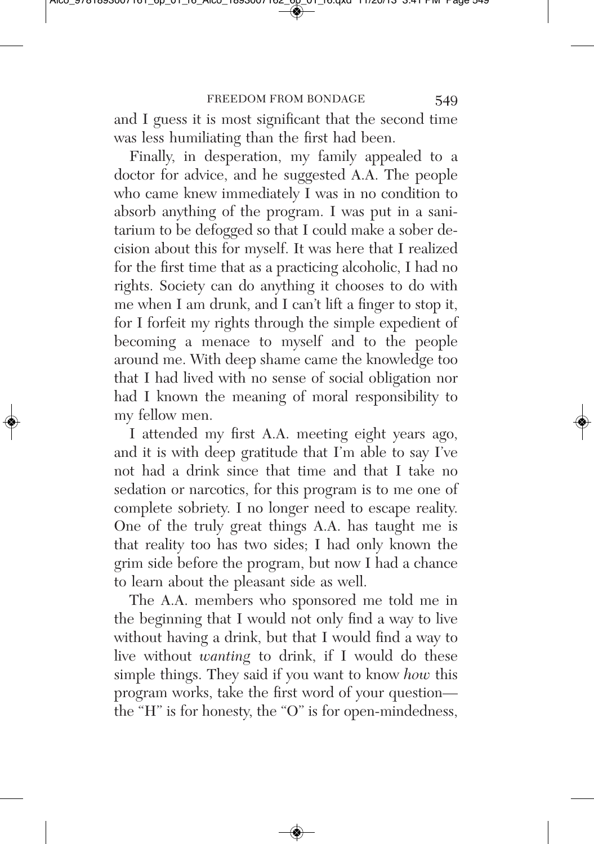and I guess it is most significant that the second time was less humiliating than the first had been.

Finally, in desperation, my family appealed to a doctor for advice, and he suggested A.A. The people who came knew immediately I was in no condition to absorb anything of the program. I was put in a sanitarium to be defogged so that I could make a sober decision about this for myself. It was here that I realized for the first time that as a practicing alcoholic, I had no rights. Society can do anything it chooses to do with me when I am drunk, and I can't lift a finger to stop it, for I forfeit my rights through the simple expedient of becoming a menace to myself and to the people around me. With deep shame came the knowledge too that I had lived with no sense of social obligation nor had I known the meaning of moral responsibility to my fellow men.

I attended my first A.A. meeting eight years ago, and it is with deep gratitude that I'm able to say I've not had a drink since that time and that I take no sedation or narcotics, for this program is to me one of complete sobriety. I no longer need to escape reality. One of the truly great things A.A. has taught me is that reality too has two sides; I had only known the grim side before the program, but now I had a chance to learn about the pleasant side as well.

The A.A. members who sponsored me told me in the beginning that I would not only find a way to live without having a drink, but that I would find a way to live without *wanting* to drink, if I would do these simple things. They said if you want to know *how* this program works, take the first word of your question the "H" is for honesty, the "O" is for open-mindedness,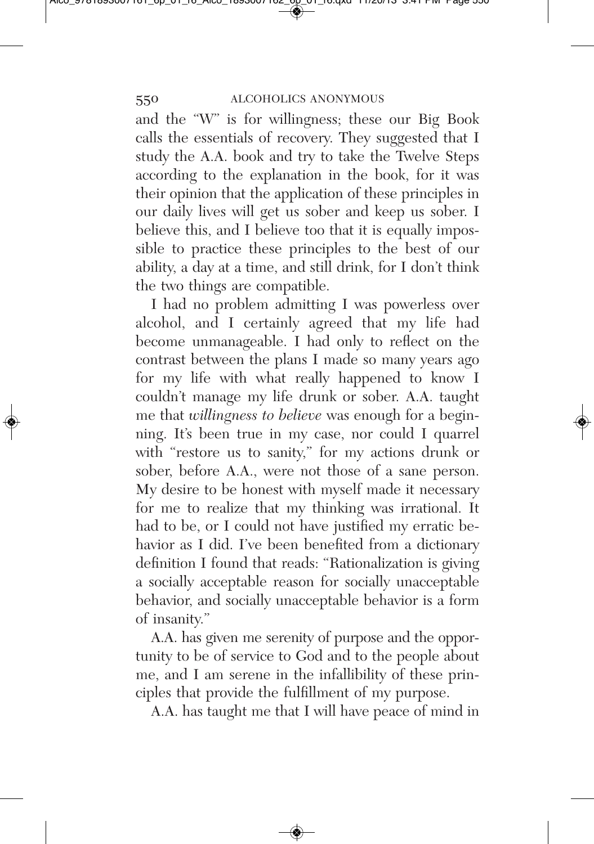and the "W" is for willingness; these our Big Book calls the essentials of recovery. They suggested that I study the A.A. book and try to take the Twelve Steps according to the explanation in the book, for it was their opinion that the application of these principles in our daily lives will get us sober and keep us sober. I believe this, and I believe too that it is equally impossible to practice these principles to the best of our ability, a day at a time, and still drink, for I don't think the two things are compatible.

I had no problem admitting I was powerless over alcohol, and I certainly agreed that my life had become unmanageable. I had only to reflect on the contrast between the plans I made so many years ago for my life with what really happened to know I couldn't manage my life drunk or sober. A.A. taught me that *willingness to believe* was enough for a beginning. It's been true in my case, nor could I quarrel with "restore us to sanity," for my actions drunk or sober, before A.A., were not those of a sane person. My desire to be honest with myself made it necessary for me to realize that my thinking was irrational. It had to be, or I could not have justified my erratic behavior as I did. I've been benefited from a dictionary definition I found that reads: "Rationalization is giving a socially acceptable reason for socially unacceptable behavior, and socially unacceptable behavior is a form of insanity."

A.A. has given me serenity of purpose and the opportunity to be of service to God and to the people about me, and I am serene in the infallibility of these principles that provide the fulfillment of my purpose.

A.A. has taught me that I will have peace of mind in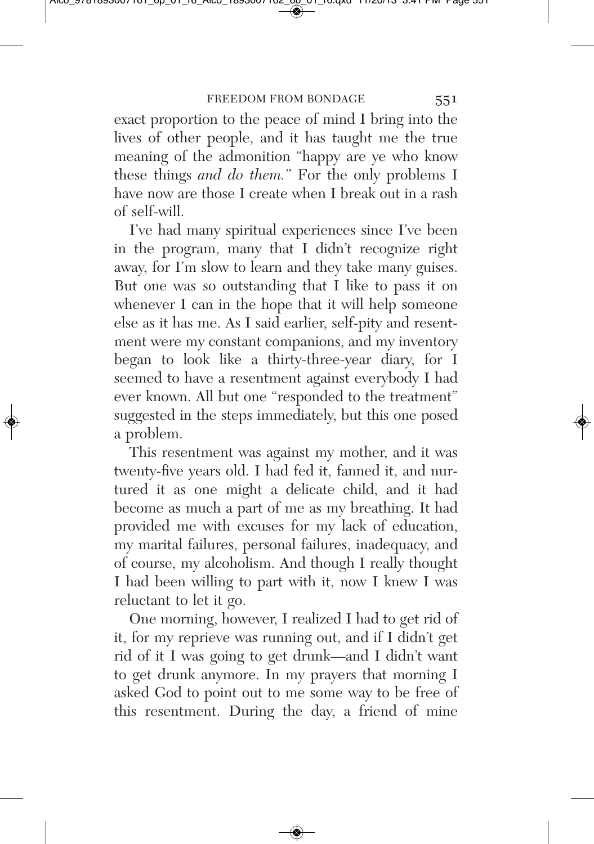exact proportion to the peace of mind I bring into the lives of other people, and it has taught me the true meaning of the admonition "happy are ye who know these things *and do them."* For the only problems I have now are those I create when I break out in a rash of self-will.

I've had many spiritual experiences since I've been in the program, many that I didn't recognize right away, for I'm slow to learn and they take many guises. But one was so outstanding that I like to pass it on whenever I can in the hope that it will help someone else as it has me. As I said earlier, self-pity and resent ment were my constant companions, and my inventory began to look like a thirty-three-year diary, for I seemed to have a resentment against everybody I had ever known. All but one "responded to the treatment" suggested in the steps immediately, but this one posed a problem.

This resentment was against my mother, and it was twenty-five years old. I had fed it, fanned it, and nurtured it as one might a delicate child, and it had become as much a part of me as my breathing. It had provided me with excuses for my lack of education, my marital failures, personal failures, inadequacy, and of course, my alcoholism. And though I really thought I had been willing to part with it, now I knew I was reluctant to let it go.

One morning, however, I realized I had to get rid of it, for my reprieve was running out, and if I didn't get rid of it I was going to get drunk—and I didn't want to get drunk anymore. In my prayers that morning I asked God to point out to me some way to be free of this resentment. During the day, a friend of mine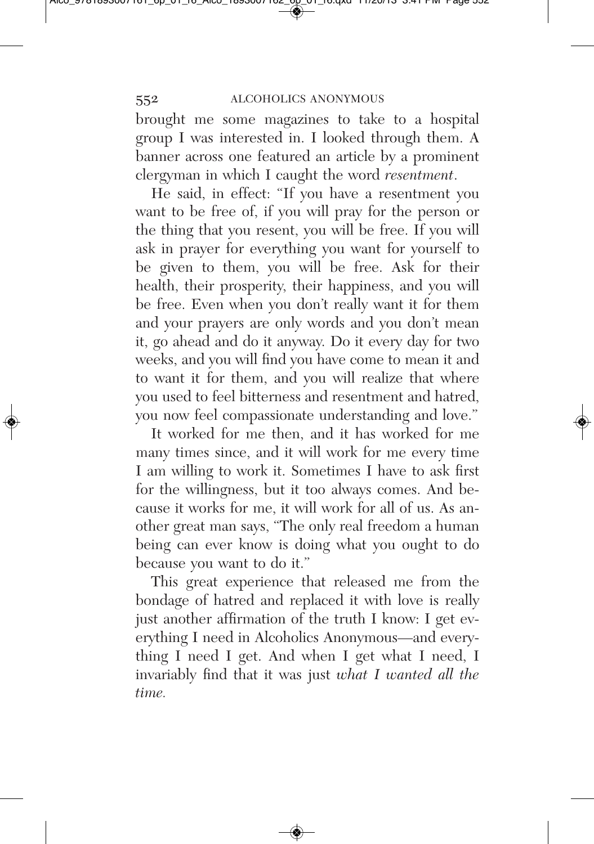brought me some magazines to take to a hospital group I was interested in. I looked through them. A banner across one featured an article by a prominent clergyman in which I caught the word *resentment*.

He said, in effect: "If you have a resentment you want to be free of, if you will pray for the person or the thing that you resent, you will be free. If you will ask in prayer for everything you want for yourself to be given to them, you will be free. Ask for their health, their prosperity, their happiness, and you will be free. Even when you don't really want it for them and your prayers are only words and you don't mean it, go ahead and do it anyway. Do it every day for two weeks, and you will find you have come to mean it and to want it for them, and you will realize that where you used to feel bitterness and resentment and hatred, you now feel compassionate understanding and love."

It worked for me then, and it has worked for me many times since, and it will work for me every time I am willing to work it. Sometimes I have to ask first for the willingness, but it too always comes. And because it works for me, it will work for all of us. As another great man says, "The only real freedom a human being can ever know is doing what you ought to do because you want to do it."

This great experience that released me from the bondage of hatred and replaced it with love is really just another affirmation of the truth I know: I get everything I need in Alcoholics Anonymous—and everything I need I get. And when I get what I need, I invariably find that it was just *what I wanted all the time.*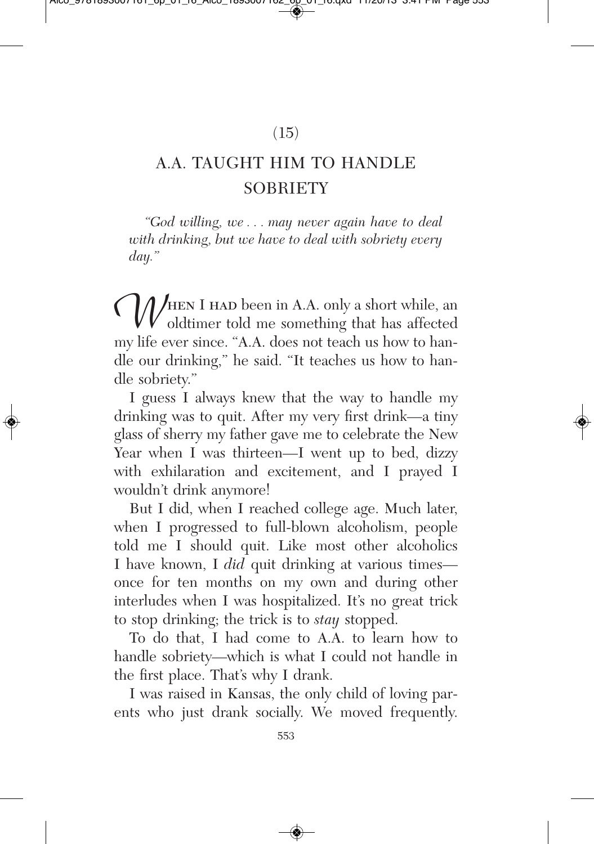## $(15)$

## A.A. TAUGHT HIM TO HANDLE **SOBRIETY**

*"God willing, we . . . may never again have to deal with drinking, but we have to deal with sobriety every day."*

WHEN I HAD been in A.A. only a short while, an old that has affected my life ever since. "A.A. does not teach us how to hanoldtimer told me something that has affected my life ever since. "A.A. does not teach us how to handle our drinking," he said. "It teaches us how to handle sobriety."

I guess I always knew that the way to handle my drinking was to quit. After my very first drink—a tiny glass of sherry my father gave me to celebrate the New Year when I was thirteen—I went up to bed, dizzy with exhilaration and excitement, and I prayed I wouldn't drink anymore!

But I did, when I reached college age. Much later, when I progressed to full-blown alcoholism, people told me I should quit. Like most other alcoholics I have known, I *did* quit drinking at various times once for ten months on my own and during other interludes when I was hospitalized. It's no great trick to stop drinking; the trick is to *stay* stopped.

To do that, I had come to A.A. to learn how to handle sobriety—which is what I could not handle in the first place. That's why I drank.

I was raised in Kansas, the only child of loving parents who just drank socially. We moved frequently.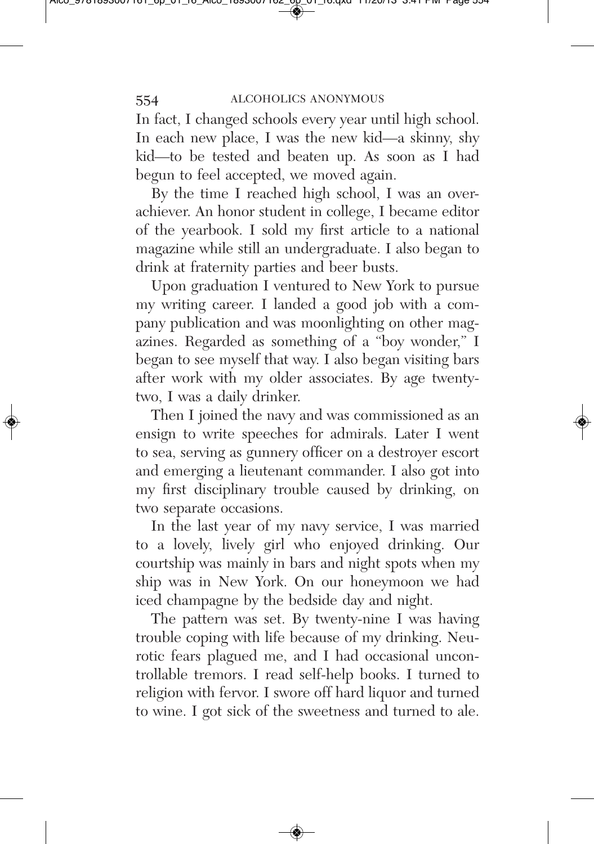In fact, I changed schools every year until high school. In each new place, I was the new kid—a skinny, shy kid—to be tested and beaten up. As soon as I had begun to feel accepted, we moved again.

By the time I reached high school, I was an overachiever. An honor student in college, I became editor of the yearbook. I sold my first article to a national magazine while still an undergraduate. I also began to drink at fraternity parties and beer busts.

Upon graduation I ventured to New York to pursue my writing career. I landed a good job with a company publication and was moonlighting on other magazines. Regarded as something of a "boy wonder," I began to see myself that way. I also began visiting bars after work with my older associates. By age twentytwo, I was a daily drinker.

Then I joined the navy and was commissioned as an ensign to write speeches for admirals. Later I went to sea, serving as gunnery officer on a destroyer escort and emerging a lieutenant commander. I also got into my first disciplinary trouble caused by drinking, on two separate occasions.

In the last year of my navy service, I was married to a lovely, lively girl who enjoyed drinking. Our courtship was mainly in bars and night spots when my ship was in New York. On our honeymoon we had iced champagne by the bedside day and night.

The pattern was set. By twenty-nine I was having trouble coping with life because of my drinking. Neu rotic fears plagued me, and I had occasional uncontrollable tremors. I read self-help books. I turned to religion with fervor. I swore off hard liquor and turned to wine. I got sick of the sweetness and turned to ale.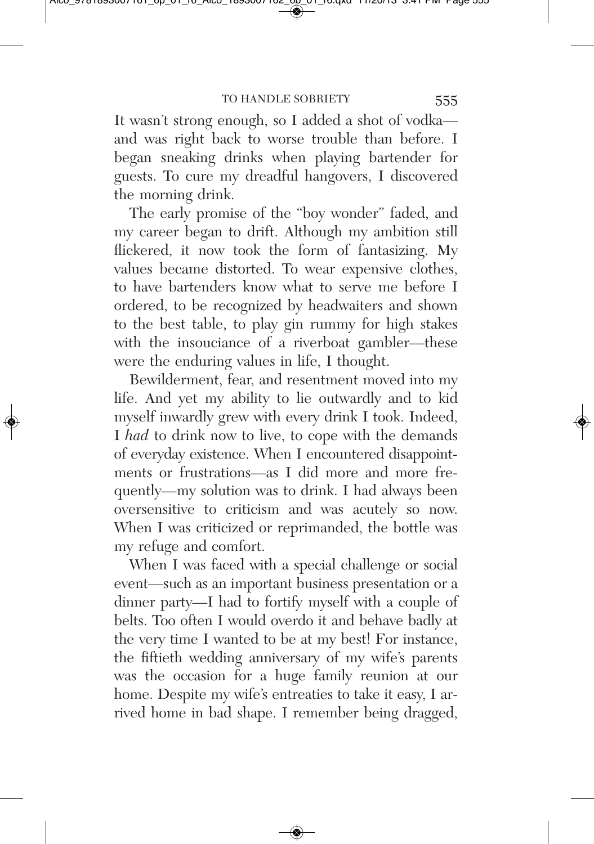It wasn't strong enough, so I added a shot of vodka and was right back to worse trouble than before. I began sneaking drinks when playing bartender for guests. To cure my dreadful hangovers, I discovered the morning drink.

The early promise of the "boy wonder" faded, and my career began to drift. Although my ambition still flickered, it now took the form of fantasizing. My values became distorted. To wear expensive clothes, to have bartenders know what to serve me before I ordered, to be recognized by headwaiters and shown to the best table, to play gin rummy for high stakes with the insouciance of a riverboat gambler—these were the enduring values in life, I thought.

Bewilderment, fear, and resentment moved into my life. And yet my ability to lie outwardly and to kid myself inwardly grew with every drink I took. Indeed, I *had* to drink now to live, to cope with the demands of everyday existence. When I encountered disappointments or frustrations—as I did more and more frequently—my solution was to drink. I had always been oversensitive to criticism and was acutely so now. When I was criticized or reprimanded, the bottle was my refuge and comfort.

When I was faced with a special challenge or social event—such as an important business presentation or a dinner party—I had to fortify myself with a couple of belts. Too often I would overdo it and behave badly at the very time I wanted to be at my best! For instance, the fiftieth wedding anniversary of my wife's parents was the occasion for a huge family reunion at our home. Despite my wife's entreaties to take it easy, I arrived home in bad shape. I remember being dragged,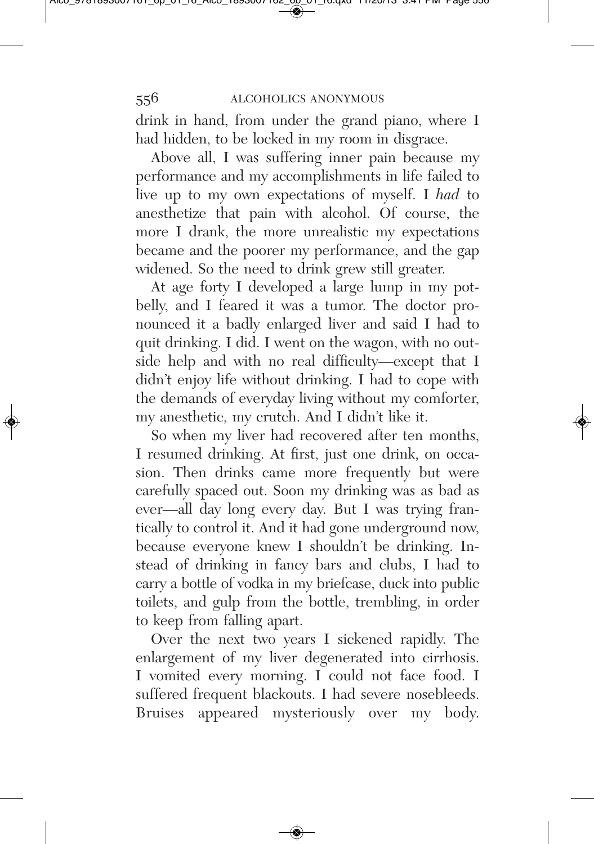drink in hand, from under the grand piano, where I had hidden, to be locked in my room in disgrace.

Above all, I was suffering inner pain because my performance and my accomplishments in life failed to live up to my own expectations of myself. I *had* to anesthetize that pain with alcohol. Of course, the more I drank, the more unrealistic my expectations became and the poorer my performance, and the gap widened. So the need to drink grew still greater.

At age forty I developed a large lump in my potbelly, and I feared it was a tumor. The doctor pronounced it a badly enlarged liver and said I had to quit drinking. I did. I went on the wagon, with no outside help and with no real difficulty—except that I didn't enjoy life without drinking. I had to cope with the demands of everyday living without my comforter, my anesthetic, my crutch. And I didn't like it.

So when my liver had recovered after ten months, I resumed drinking. At first, just one drink, on occasion. Then drinks came more frequently but were carefully spaced out. Soon my drinking was as bad as ever—all day long every day. But I was trying fran tically to control it. And it had gone underground now, because everyone knew I shouldn't be drinking. In stead of drinking in fancy bars and clubs, I had to carry a bottle of vodka in my briefcase, duck into public toilets, and gulp from the bottle, trembling, in order to keep from falling apart.

Over the next two years I sickened rapidly. The enlargement of my liver degenerated into cirrhosis. I vomited every morning. I could not face food. I suffered frequent blackouts. I had severe nosebleeds. Bruises appeared mysteriously over my body.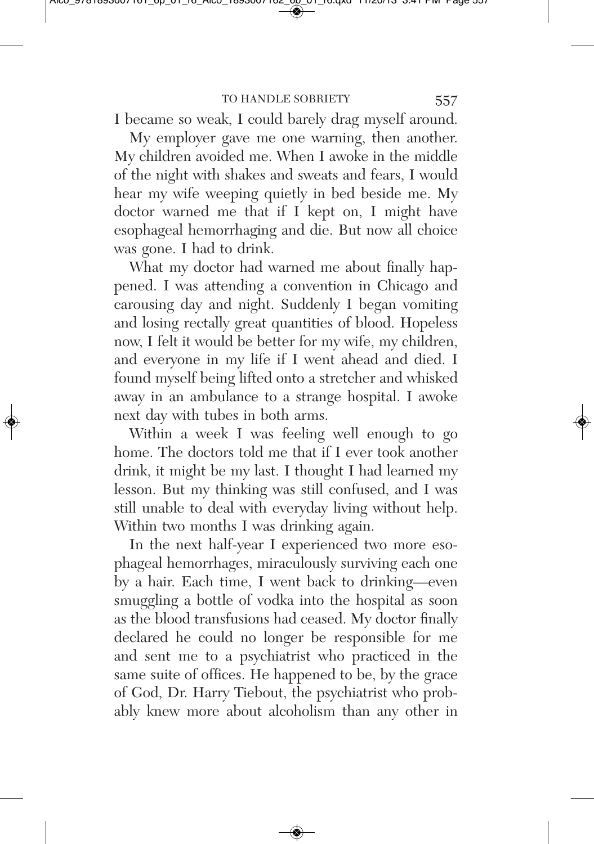I became so weak, I could barely drag myself around.

My employer gave me one warning, then another. My children avoided me. When I awoke in the middle of the night with shakes and sweats and fears, I would hear my wife weeping quietly in bed beside me. My doctor warned me that if I kept on, I might have esophageal hemorrhaging and die. But now all choice was gone. I had to drink.

What my doctor had warned me about finally happened. I was attending a convention in Chicago and carousing day and night. Suddenly I began vomiting and losing rectally great quantities of blood. Hopeless now, I felt it would be better for my wife, my children, and everyone in my life if I went ahead and died. I found myself being lifted onto a stretcher and whisked away in an ambulance to a strange hospital. I awoke next day with tubes in both arms.

Within a week I was feeling well enough to go home. The doctors told me that if I ever took another drink, it might be my last. I thought I had learned my lesson. But my thinking was still confused, and I was still unable to deal with everyday living without help. Within two months I was drinking again.

In the next half-year I experienced two more esophageal hemorrhages, miraculously surviving each one by a hair. Each time, I went back to drinking—even smuggling a bottle of vodka into the hospital as soon as the blood transfusions had ceased. My doctor finally declared he could no longer be responsible for me and sent me to a psychiatrist who practiced in the same suite of offices. He happened to be, by the grace of God, Dr. Harry Tiebout, the psychiatrist who probably knew more about alcoholism than any other in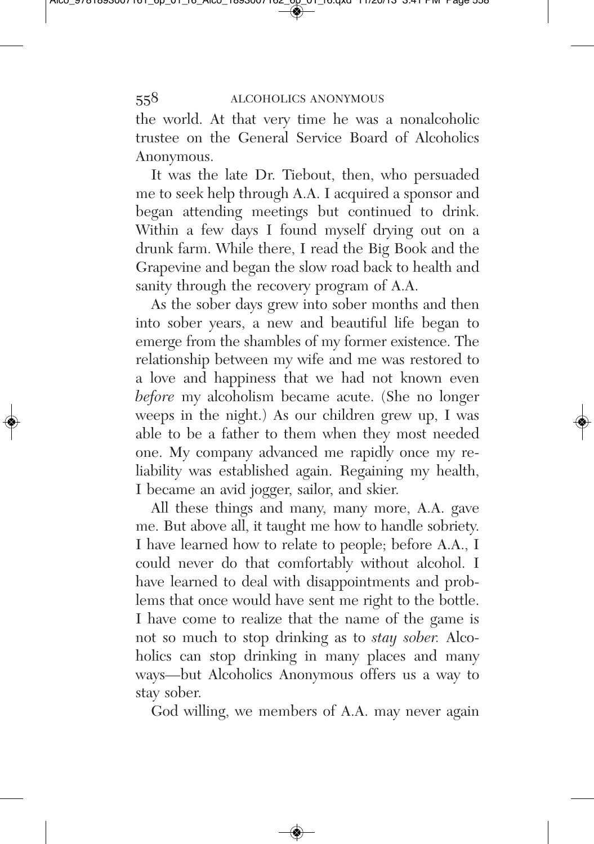the world. At that very time he was a nonalcoholic trustee on the General Service Board of Alcoholics Anonymous.

It was the late Dr. Tiebout, then, who persuaded me to seek help through A.A. I acquired a sponsor and began attending meetings but continued to drink. Within a few days I found myself drying out on a drunk farm. While there, I read the Big Book and the Grapevine and began the slow road back to health and sanity through the recovery program of A.A.

As the sober days grew into sober months and then into sober years, a new and beautiful life began to emerge from the shambles of my former existence. The relationship between my wife and me was restored to a love and happiness that we had not known even *before* my alcoholism became acute. (She no longer weeps in the night.) As our children grew up, I was able to be a father to them when they most needed one. My company advanced me rapidly once my reliability was established again. Regaining my health, I became an avid jogger, sailor, and skier.

All these things and many, many more, A.A. gave me. But above all, it taught me how to handle sobriety. I have learned how to relate to people; before A.A., I could never do that comfortably without alcohol. I have learned to deal with disappointments and problems that once would have sent me right to the bottle. I have come to realize that the name of the game is not so much to stop drinking as to *stay sober*. Alcoholics can stop drinking in many places and many ways—but Alcoholics Anonymous offers us a way to stay sober.

God willing, we members of A.A. may never again